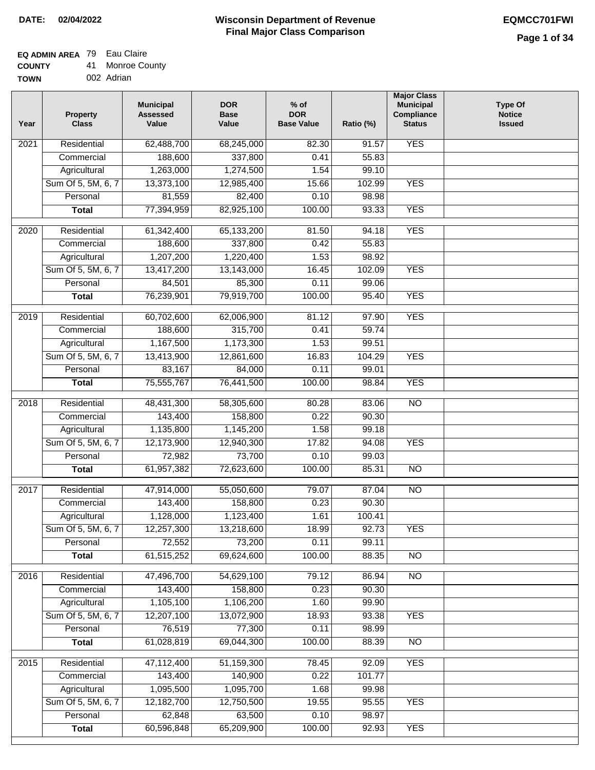### **EQ ADMIN AREA** 79 Eau Claire

| <b>COUNTY</b> | 41. | <b>Monroe County</b> |
|---------------|-----|----------------------|
| <b>TOWN</b>   |     | 002 Adrian           |

| Year              | <b>Property</b><br><b>Class</b> | <b>Municipal</b><br><b>Assessed</b><br>Value | <b>DOR</b><br><b>Base</b><br>Value | $%$ of<br><b>DOR</b><br><b>Base Value</b> | Ratio (%) | <b>Major Class</b><br><b>Municipal</b><br>Compliance<br><b>Status</b> | <b>Type Of</b><br><b>Notice</b><br><b>Issued</b> |
|-------------------|---------------------------------|----------------------------------------------|------------------------------------|-------------------------------------------|-----------|-----------------------------------------------------------------------|--------------------------------------------------|
| $\overline{202}1$ | Residential                     | 62,488,700                                   | 68,245,000                         | 82.30                                     | 91.57     | <b>YES</b>                                                            |                                                  |
|                   | Commercial                      | 188,600                                      | 337,800                            | 0.41                                      | 55.83     |                                                                       |                                                  |
|                   | Agricultural                    | 1,263,000                                    | 1,274,500                          | 1.54                                      | 99.10     |                                                                       |                                                  |
|                   | Sum Of 5, 5M, 6, 7              | 13,373,100                                   | 12,985,400                         | 15.66                                     | 102.99    | <b>YES</b>                                                            |                                                  |
|                   | Personal                        | 81,559                                       | 82,400                             | 0.10                                      | 98.98     |                                                                       |                                                  |
|                   | <b>Total</b>                    | 77,394,959                                   | 82,925,100                         | 100.00                                    | 93.33     | <b>YES</b>                                                            |                                                  |
| $\overline{2020}$ | Residential                     | 61,342,400                                   | 65,133,200                         | 81.50                                     | 94.18     | <b>YES</b>                                                            |                                                  |
|                   | Commercial                      | 188,600                                      | 337,800                            | 0.42                                      | 55.83     |                                                                       |                                                  |
|                   | Agricultural                    | 1,207,200                                    | 1,220,400                          | 1.53                                      | 98.92     |                                                                       |                                                  |
|                   | Sum Of 5, 5M, 6, 7              | 13,417,200                                   | 13,143,000                         | 16.45                                     | 102.09    | <b>YES</b>                                                            |                                                  |
|                   | Personal                        | 84,501                                       | 85,300                             | 0.11                                      | 99.06     |                                                                       |                                                  |
|                   | <b>Total</b>                    | 76,239,901                                   | 79,919,700                         | 100.00                                    | 95.40     | <b>YES</b>                                                            |                                                  |
|                   |                                 |                                              |                                    |                                           |           |                                                                       |                                                  |
| 2019              | Residential                     | 60,702,600                                   | 62,006,900                         | 81.12                                     | 97.90     | <b>YES</b>                                                            |                                                  |
|                   | Commercial                      | 188,600                                      | 315,700                            | 0.41                                      | 59.74     |                                                                       |                                                  |
|                   | Agricultural                    | 1,167,500                                    | 1,173,300                          | 1.53                                      | 99.51     |                                                                       |                                                  |
|                   | Sum Of 5, 5M, 6, 7              | 13,413,900                                   | 12,861,600                         | 16.83                                     | 104.29    | <b>YES</b>                                                            |                                                  |
|                   | Personal                        | 83,167                                       | 84,000                             | 0.11                                      | 99.01     |                                                                       |                                                  |
|                   | <b>Total</b>                    | 75,555,767                                   | 76,441,500                         | 100.00                                    | 98.84     | <b>YES</b>                                                            |                                                  |
| 2018              | Residential                     | 48,431,300                                   | 58,305,600                         | 80.28                                     | 83.06     | $\overline{10}$                                                       |                                                  |
|                   | Commercial                      | 143,400                                      | 158,800                            | 0.22                                      | 90.30     |                                                                       |                                                  |
|                   | Agricultural                    | 1,135,800                                    | 1,145,200                          | 1.58                                      | 99.18     |                                                                       |                                                  |
|                   | Sum Of 5, 5M, 6, 7              | 12,173,900                                   | 12,940,300                         | 17.82                                     | 94.08     | <b>YES</b>                                                            |                                                  |
|                   | Personal                        | 72,982                                       | 73,700                             | 0.10                                      | 99.03     |                                                                       |                                                  |
|                   | <b>Total</b>                    | 61,957,382                                   | 72,623,600                         | 100.00                                    | 85.31     | <b>NO</b>                                                             |                                                  |
| 2017              | Residential                     | 47,914,000                                   | 55,050,600                         | 79.07                                     | 87.04     | $\overline{NO}$                                                       |                                                  |
|                   | Commercial                      | 143,400                                      | 158,800                            | 0.23                                      | 90.30     |                                                                       |                                                  |
|                   | Agricultural                    | 1,128,000                                    | 1,123,400                          | 1.61                                      | 100.41    |                                                                       |                                                  |
|                   | Sum Of 5, 5M, 6, 7              | 12,257,300                                   | 13,218,600                         | 18.99                                     | 92.73     | <b>YES</b>                                                            |                                                  |
|                   | Personal                        | 72,552                                       | 73,200                             | 0.11                                      | 99.11     |                                                                       |                                                  |
|                   | <b>Total</b>                    | 61,515,252                                   | 69,624,600                         | 100.00                                    | 88.35     | <b>NO</b>                                                             |                                                  |
| 2016              | Residential                     | 47,496,700                                   | 54,629,100                         | 79.12                                     | 86.94     | N <sub>O</sub>                                                        |                                                  |
|                   | Commercial                      | 143,400                                      | 158,800                            | 0.23                                      | 90.30     |                                                                       |                                                  |
|                   | Agricultural                    | 1,105,100                                    | 1,106,200                          | 1.60                                      | 99.90     |                                                                       |                                                  |
|                   | Sum Of 5, 5M, 6, 7              | 12,207,100                                   | 13,072,900                         | 18.93                                     | 93.38     | <b>YES</b>                                                            |                                                  |
|                   | Personal                        | 76,519                                       | 77,300                             | 0.11                                      | 98.99     |                                                                       |                                                  |
|                   | <b>Total</b>                    | 61,028,819                                   | 69,044,300                         | 100.00                                    | 88.39     | N <sub>O</sub>                                                        |                                                  |
| 2015              | Residential                     | 47,112,400                                   | 51,159,300                         | 78.45                                     | 92.09     | <b>YES</b>                                                            |                                                  |
|                   | Commercial                      | 143,400                                      | 140,900                            | 0.22                                      | 101.77    |                                                                       |                                                  |
|                   | Agricultural                    | 1,095,500                                    | 1,095,700                          | 1.68                                      | 99.98     |                                                                       |                                                  |
|                   | Sum Of 5, 5M, 6, 7              | 12,182,700                                   | 12,750,500                         | 19.55                                     | 95.55     | <b>YES</b>                                                            |                                                  |
|                   | Personal                        | 62,848                                       | 63,500                             | 0.10                                      | 98.97     |                                                                       |                                                  |
|                   | <b>Total</b>                    | 60,596,848                                   | 65,209,900                         | 100.00                                    | 92.93     | <b>YES</b>                                                            |                                                  |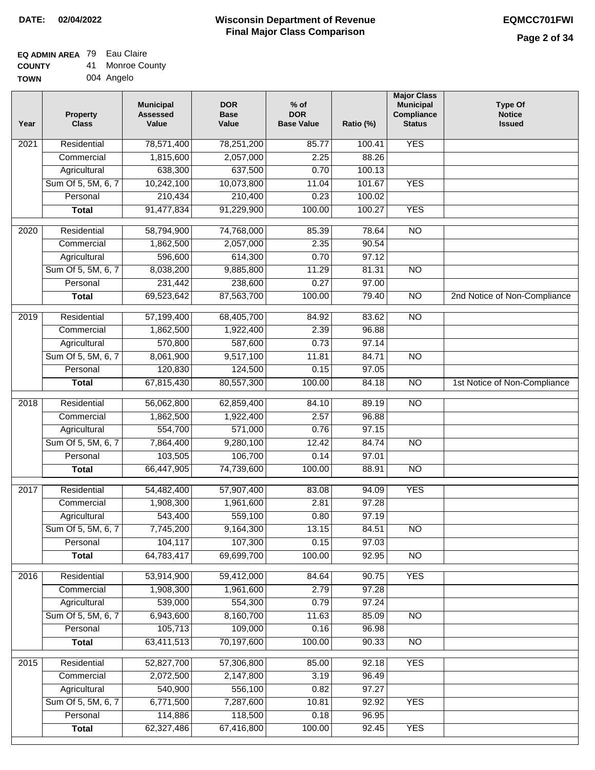## **EQ ADMIN AREA** 79 Eau Claire

| <b>COUNTY</b> | 41 | <b>Monroe County</b> |
|---------------|----|----------------------|
| <b>TOWN</b>   |    | 004 Angelo           |

| √ | 004 Angelo |
|---|------------|
|   |            |

| <b>YES</b><br>Residential<br>$\overline{202}1$<br>78,571,400<br>78,251,200<br>85.77<br>100.41<br>1,815,600<br>2.25<br>88.26<br>Commercial<br>2,057,000<br>638,300<br>637,500<br>Agricultural<br>0.70<br>100.13<br>Sum Of 5, 5M, 6, 7<br>10,242,100<br>10,073,800<br>11.04<br>101.67<br><b>YES</b><br>210,434<br>210,400<br>0.23<br>100.02<br>Personal<br>91,477,834<br>91,229,900<br>100.00<br>100.27<br><b>YES</b><br><b>Total</b><br>74,768,000<br>$\overline{NO}$<br>$\overline{2020}$<br>Residential<br>58,794,900<br>85.39<br>78.64<br>1,862,500<br>2,057,000<br>2.35<br>90.54<br>Commercial<br>614,300<br>0.70<br>97.12<br>596,600<br>Agricultural<br>Sum Of 5, 5M, 6, 7<br>8,038,200<br>9,885,800<br>11.29<br>81.31<br>$\overline{NO}$<br>238,600<br>0.27<br>97.00<br>Personal<br>231,442<br>69,523,642<br>87,563,700<br>100.00<br>$\overline{NO}$<br>2nd Notice of Non-Compliance<br><b>Total</b><br>79.40<br>2019<br>Residential<br>57,199,400<br>68,405,700<br>84.92<br>83.62<br>$\overline{3}$<br>1,862,500<br>1,922,400<br>2.39<br>96.88<br>Commercial<br>570,800<br>587,600<br>0.73<br>97.14<br>Agricultural<br>Sum Of 5, 5M, 6, 7<br>8,061,900<br>9,517,100<br>11.81<br>84.71<br>$\overline{NO}$<br>Personal<br>120,830<br>124,500<br>0.15<br>97.05<br>67,815,430<br>80,557,300<br>100.00<br>$\overline{NO}$<br><b>Total</b><br>84.18<br>1st Notice of Non-Compliance<br>Residential<br>56,062,800<br>62,859,400<br>89.19<br>$\overline{10}$<br>2018<br>84.10<br>Commercial<br>1,862,500<br>1,922,400<br>2.57<br>96.88<br>554,700<br>571,000<br>97.15<br>Agricultural<br>0.76<br>Sum Of 5, 5M, 6, 7<br>7,864,400<br>9,280,100<br>12.42<br>84.74<br>$\overline{3}$<br>Personal<br>103,505<br>106,700<br>0.14<br>97.01<br>66,447,905<br>74,739,600<br>100.00<br>88.91<br><b>NO</b><br><b>Total</b><br>2017<br>Residential<br>57,907,400<br>94.09<br><b>YES</b><br>54,482,400<br>83.08<br>Commercial<br>1,908,300<br>1,961,600<br>2.81<br>97.28<br>543,400<br>559,100<br>0.80<br>97.19<br>Agricultural<br>7,745,200<br>13.15<br>Sum Of 5, 5M, 6, 7<br>9,164,300<br>84.51<br>N <sub>O</sub><br>104,117<br>107,300<br>Personal<br>0.15<br>97.03<br>64,783,417<br>69,699,700<br>100.00<br>92.95<br><b>Total</b><br><b>NO</b><br><b>YES</b><br>Residential<br>53,914,900<br>59,412,000<br>2016<br>84.64<br>90.75<br>1,908,300<br>1,961,600<br>2.79<br>97.28<br>Commercial<br>539,000<br>554,300<br>0.79<br>97.24<br>Agricultural<br>Sum Of 5, 5M, 6, 7<br>6,943,600<br>8,160,700<br>11.63<br>85.09<br>$\overline{NO}$<br>105,713<br>109,000<br>Personal<br>96.98<br>0.16<br>63,411,513<br>70,197,600<br>100.00<br>90.33<br>N <sub>O</sub><br><b>Total</b><br><b>YES</b><br>Residential<br>52,827,700<br>57,306,800<br>85.00<br>92.18<br>2015 | Year | <b>Property</b><br><b>Class</b> | <b>Municipal</b><br><b>Assessed</b><br>Value | <b>DOR</b><br><b>Base</b><br>Value | % of<br><b>DOR</b><br><b>Base Value</b> | Ratio (%) | <b>Major Class</b><br><b>Municipal</b><br>Compliance<br><b>Status</b> | <b>Type Of</b><br><b>Notice</b><br><b>Issued</b> |
|-----------------------------------------------------------------------------------------------------------------------------------------------------------------------------------------------------------------------------------------------------------------------------------------------------------------------------------------------------------------------------------------------------------------------------------------------------------------------------------------------------------------------------------------------------------------------------------------------------------------------------------------------------------------------------------------------------------------------------------------------------------------------------------------------------------------------------------------------------------------------------------------------------------------------------------------------------------------------------------------------------------------------------------------------------------------------------------------------------------------------------------------------------------------------------------------------------------------------------------------------------------------------------------------------------------------------------------------------------------------------------------------------------------------------------------------------------------------------------------------------------------------------------------------------------------------------------------------------------------------------------------------------------------------------------------------------------------------------------------------------------------------------------------------------------------------------------------------------------------------------------------------------------------------------------------------------------------------------------------------------------------------------------------------------------------------------------------------------------------------------------------------------------------------------------------------------------------------------------------------------------------------------------------------------------------------------------------------------------------------------------------------------------------------------------------------------------------------------------------------------------------------------------------------------------------------------------------------------------------------------------------------------------------------------------------------------------------------------------------------------------|------|---------------------------------|----------------------------------------------|------------------------------------|-----------------------------------------|-----------|-----------------------------------------------------------------------|--------------------------------------------------|
|                                                                                                                                                                                                                                                                                                                                                                                                                                                                                                                                                                                                                                                                                                                                                                                                                                                                                                                                                                                                                                                                                                                                                                                                                                                                                                                                                                                                                                                                                                                                                                                                                                                                                                                                                                                                                                                                                                                                                                                                                                                                                                                                                                                                                                                                                                                                                                                                                                                                                                                                                                                                                                                                                                                                                     |      |                                 |                                              |                                    |                                         |           |                                                                       |                                                  |
|                                                                                                                                                                                                                                                                                                                                                                                                                                                                                                                                                                                                                                                                                                                                                                                                                                                                                                                                                                                                                                                                                                                                                                                                                                                                                                                                                                                                                                                                                                                                                                                                                                                                                                                                                                                                                                                                                                                                                                                                                                                                                                                                                                                                                                                                                                                                                                                                                                                                                                                                                                                                                                                                                                                                                     |      |                                 |                                              |                                    |                                         |           |                                                                       |                                                  |
|                                                                                                                                                                                                                                                                                                                                                                                                                                                                                                                                                                                                                                                                                                                                                                                                                                                                                                                                                                                                                                                                                                                                                                                                                                                                                                                                                                                                                                                                                                                                                                                                                                                                                                                                                                                                                                                                                                                                                                                                                                                                                                                                                                                                                                                                                                                                                                                                                                                                                                                                                                                                                                                                                                                                                     |      |                                 |                                              |                                    |                                         |           |                                                                       |                                                  |
|                                                                                                                                                                                                                                                                                                                                                                                                                                                                                                                                                                                                                                                                                                                                                                                                                                                                                                                                                                                                                                                                                                                                                                                                                                                                                                                                                                                                                                                                                                                                                                                                                                                                                                                                                                                                                                                                                                                                                                                                                                                                                                                                                                                                                                                                                                                                                                                                                                                                                                                                                                                                                                                                                                                                                     |      |                                 |                                              |                                    |                                         |           |                                                                       |                                                  |
|                                                                                                                                                                                                                                                                                                                                                                                                                                                                                                                                                                                                                                                                                                                                                                                                                                                                                                                                                                                                                                                                                                                                                                                                                                                                                                                                                                                                                                                                                                                                                                                                                                                                                                                                                                                                                                                                                                                                                                                                                                                                                                                                                                                                                                                                                                                                                                                                                                                                                                                                                                                                                                                                                                                                                     |      |                                 |                                              |                                    |                                         |           |                                                                       |                                                  |
|                                                                                                                                                                                                                                                                                                                                                                                                                                                                                                                                                                                                                                                                                                                                                                                                                                                                                                                                                                                                                                                                                                                                                                                                                                                                                                                                                                                                                                                                                                                                                                                                                                                                                                                                                                                                                                                                                                                                                                                                                                                                                                                                                                                                                                                                                                                                                                                                                                                                                                                                                                                                                                                                                                                                                     |      |                                 |                                              |                                    |                                         |           |                                                                       |                                                  |
|                                                                                                                                                                                                                                                                                                                                                                                                                                                                                                                                                                                                                                                                                                                                                                                                                                                                                                                                                                                                                                                                                                                                                                                                                                                                                                                                                                                                                                                                                                                                                                                                                                                                                                                                                                                                                                                                                                                                                                                                                                                                                                                                                                                                                                                                                                                                                                                                                                                                                                                                                                                                                                                                                                                                                     |      |                                 |                                              |                                    |                                         |           |                                                                       |                                                  |
|                                                                                                                                                                                                                                                                                                                                                                                                                                                                                                                                                                                                                                                                                                                                                                                                                                                                                                                                                                                                                                                                                                                                                                                                                                                                                                                                                                                                                                                                                                                                                                                                                                                                                                                                                                                                                                                                                                                                                                                                                                                                                                                                                                                                                                                                                                                                                                                                                                                                                                                                                                                                                                                                                                                                                     |      |                                 |                                              |                                    |                                         |           |                                                                       |                                                  |
|                                                                                                                                                                                                                                                                                                                                                                                                                                                                                                                                                                                                                                                                                                                                                                                                                                                                                                                                                                                                                                                                                                                                                                                                                                                                                                                                                                                                                                                                                                                                                                                                                                                                                                                                                                                                                                                                                                                                                                                                                                                                                                                                                                                                                                                                                                                                                                                                                                                                                                                                                                                                                                                                                                                                                     |      |                                 |                                              |                                    |                                         |           |                                                                       |                                                  |
|                                                                                                                                                                                                                                                                                                                                                                                                                                                                                                                                                                                                                                                                                                                                                                                                                                                                                                                                                                                                                                                                                                                                                                                                                                                                                                                                                                                                                                                                                                                                                                                                                                                                                                                                                                                                                                                                                                                                                                                                                                                                                                                                                                                                                                                                                                                                                                                                                                                                                                                                                                                                                                                                                                                                                     |      |                                 |                                              |                                    |                                         |           |                                                                       |                                                  |
|                                                                                                                                                                                                                                                                                                                                                                                                                                                                                                                                                                                                                                                                                                                                                                                                                                                                                                                                                                                                                                                                                                                                                                                                                                                                                                                                                                                                                                                                                                                                                                                                                                                                                                                                                                                                                                                                                                                                                                                                                                                                                                                                                                                                                                                                                                                                                                                                                                                                                                                                                                                                                                                                                                                                                     |      |                                 |                                              |                                    |                                         |           |                                                                       |                                                  |
|                                                                                                                                                                                                                                                                                                                                                                                                                                                                                                                                                                                                                                                                                                                                                                                                                                                                                                                                                                                                                                                                                                                                                                                                                                                                                                                                                                                                                                                                                                                                                                                                                                                                                                                                                                                                                                                                                                                                                                                                                                                                                                                                                                                                                                                                                                                                                                                                                                                                                                                                                                                                                                                                                                                                                     |      |                                 |                                              |                                    |                                         |           |                                                                       |                                                  |
|                                                                                                                                                                                                                                                                                                                                                                                                                                                                                                                                                                                                                                                                                                                                                                                                                                                                                                                                                                                                                                                                                                                                                                                                                                                                                                                                                                                                                                                                                                                                                                                                                                                                                                                                                                                                                                                                                                                                                                                                                                                                                                                                                                                                                                                                                                                                                                                                                                                                                                                                                                                                                                                                                                                                                     |      |                                 |                                              |                                    |                                         |           |                                                                       |                                                  |
|                                                                                                                                                                                                                                                                                                                                                                                                                                                                                                                                                                                                                                                                                                                                                                                                                                                                                                                                                                                                                                                                                                                                                                                                                                                                                                                                                                                                                                                                                                                                                                                                                                                                                                                                                                                                                                                                                                                                                                                                                                                                                                                                                                                                                                                                                                                                                                                                                                                                                                                                                                                                                                                                                                                                                     |      |                                 |                                              |                                    |                                         |           |                                                                       |                                                  |
|                                                                                                                                                                                                                                                                                                                                                                                                                                                                                                                                                                                                                                                                                                                                                                                                                                                                                                                                                                                                                                                                                                                                                                                                                                                                                                                                                                                                                                                                                                                                                                                                                                                                                                                                                                                                                                                                                                                                                                                                                                                                                                                                                                                                                                                                                                                                                                                                                                                                                                                                                                                                                                                                                                                                                     |      |                                 |                                              |                                    |                                         |           |                                                                       |                                                  |
|                                                                                                                                                                                                                                                                                                                                                                                                                                                                                                                                                                                                                                                                                                                                                                                                                                                                                                                                                                                                                                                                                                                                                                                                                                                                                                                                                                                                                                                                                                                                                                                                                                                                                                                                                                                                                                                                                                                                                                                                                                                                                                                                                                                                                                                                                                                                                                                                                                                                                                                                                                                                                                                                                                                                                     |      |                                 |                                              |                                    |                                         |           |                                                                       |                                                  |
|                                                                                                                                                                                                                                                                                                                                                                                                                                                                                                                                                                                                                                                                                                                                                                                                                                                                                                                                                                                                                                                                                                                                                                                                                                                                                                                                                                                                                                                                                                                                                                                                                                                                                                                                                                                                                                                                                                                                                                                                                                                                                                                                                                                                                                                                                                                                                                                                                                                                                                                                                                                                                                                                                                                                                     |      |                                 |                                              |                                    |                                         |           |                                                                       |                                                  |
|                                                                                                                                                                                                                                                                                                                                                                                                                                                                                                                                                                                                                                                                                                                                                                                                                                                                                                                                                                                                                                                                                                                                                                                                                                                                                                                                                                                                                                                                                                                                                                                                                                                                                                                                                                                                                                                                                                                                                                                                                                                                                                                                                                                                                                                                                                                                                                                                                                                                                                                                                                                                                                                                                                                                                     |      |                                 |                                              |                                    |                                         |           |                                                                       |                                                  |
|                                                                                                                                                                                                                                                                                                                                                                                                                                                                                                                                                                                                                                                                                                                                                                                                                                                                                                                                                                                                                                                                                                                                                                                                                                                                                                                                                                                                                                                                                                                                                                                                                                                                                                                                                                                                                                                                                                                                                                                                                                                                                                                                                                                                                                                                                                                                                                                                                                                                                                                                                                                                                                                                                                                                                     |      |                                 |                                              |                                    |                                         |           |                                                                       |                                                  |
|                                                                                                                                                                                                                                                                                                                                                                                                                                                                                                                                                                                                                                                                                                                                                                                                                                                                                                                                                                                                                                                                                                                                                                                                                                                                                                                                                                                                                                                                                                                                                                                                                                                                                                                                                                                                                                                                                                                                                                                                                                                                                                                                                                                                                                                                                                                                                                                                                                                                                                                                                                                                                                                                                                                                                     |      |                                 |                                              |                                    |                                         |           |                                                                       |                                                  |
|                                                                                                                                                                                                                                                                                                                                                                                                                                                                                                                                                                                                                                                                                                                                                                                                                                                                                                                                                                                                                                                                                                                                                                                                                                                                                                                                                                                                                                                                                                                                                                                                                                                                                                                                                                                                                                                                                                                                                                                                                                                                                                                                                                                                                                                                                                                                                                                                                                                                                                                                                                                                                                                                                                                                                     |      |                                 |                                              |                                    |                                         |           |                                                                       |                                                  |
|                                                                                                                                                                                                                                                                                                                                                                                                                                                                                                                                                                                                                                                                                                                                                                                                                                                                                                                                                                                                                                                                                                                                                                                                                                                                                                                                                                                                                                                                                                                                                                                                                                                                                                                                                                                                                                                                                                                                                                                                                                                                                                                                                                                                                                                                                                                                                                                                                                                                                                                                                                                                                                                                                                                                                     |      |                                 |                                              |                                    |                                         |           |                                                                       |                                                  |
|                                                                                                                                                                                                                                                                                                                                                                                                                                                                                                                                                                                                                                                                                                                                                                                                                                                                                                                                                                                                                                                                                                                                                                                                                                                                                                                                                                                                                                                                                                                                                                                                                                                                                                                                                                                                                                                                                                                                                                                                                                                                                                                                                                                                                                                                                                                                                                                                                                                                                                                                                                                                                                                                                                                                                     |      |                                 |                                              |                                    |                                         |           |                                                                       |                                                  |
|                                                                                                                                                                                                                                                                                                                                                                                                                                                                                                                                                                                                                                                                                                                                                                                                                                                                                                                                                                                                                                                                                                                                                                                                                                                                                                                                                                                                                                                                                                                                                                                                                                                                                                                                                                                                                                                                                                                                                                                                                                                                                                                                                                                                                                                                                                                                                                                                                                                                                                                                                                                                                                                                                                                                                     |      |                                 |                                              |                                    |                                         |           |                                                                       |                                                  |
|                                                                                                                                                                                                                                                                                                                                                                                                                                                                                                                                                                                                                                                                                                                                                                                                                                                                                                                                                                                                                                                                                                                                                                                                                                                                                                                                                                                                                                                                                                                                                                                                                                                                                                                                                                                                                                                                                                                                                                                                                                                                                                                                                                                                                                                                                                                                                                                                                                                                                                                                                                                                                                                                                                                                                     |      |                                 |                                              |                                    |                                         |           |                                                                       |                                                  |
|                                                                                                                                                                                                                                                                                                                                                                                                                                                                                                                                                                                                                                                                                                                                                                                                                                                                                                                                                                                                                                                                                                                                                                                                                                                                                                                                                                                                                                                                                                                                                                                                                                                                                                                                                                                                                                                                                                                                                                                                                                                                                                                                                                                                                                                                                                                                                                                                                                                                                                                                                                                                                                                                                                                                                     |      |                                 |                                              |                                    |                                         |           |                                                                       |                                                  |
|                                                                                                                                                                                                                                                                                                                                                                                                                                                                                                                                                                                                                                                                                                                                                                                                                                                                                                                                                                                                                                                                                                                                                                                                                                                                                                                                                                                                                                                                                                                                                                                                                                                                                                                                                                                                                                                                                                                                                                                                                                                                                                                                                                                                                                                                                                                                                                                                                                                                                                                                                                                                                                                                                                                                                     |      |                                 |                                              |                                    |                                         |           |                                                                       |                                                  |
|                                                                                                                                                                                                                                                                                                                                                                                                                                                                                                                                                                                                                                                                                                                                                                                                                                                                                                                                                                                                                                                                                                                                                                                                                                                                                                                                                                                                                                                                                                                                                                                                                                                                                                                                                                                                                                                                                                                                                                                                                                                                                                                                                                                                                                                                                                                                                                                                                                                                                                                                                                                                                                                                                                                                                     |      |                                 |                                              |                                    |                                         |           |                                                                       |                                                  |
|                                                                                                                                                                                                                                                                                                                                                                                                                                                                                                                                                                                                                                                                                                                                                                                                                                                                                                                                                                                                                                                                                                                                                                                                                                                                                                                                                                                                                                                                                                                                                                                                                                                                                                                                                                                                                                                                                                                                                                                                                                                                                                                                                                                                                                                                                                                                                                                                                                                                                                                                                                                                                                                                                                                                                     |      |                                 |                                              |                                    |                                         |           |                                                                       |                                                  |
|                                                                                                                                                                                                                                                                                                                                                                                                                                                                                                                                                                                                                                                                                                                                                                                                                                                                                                                                                                                                                                                                                                                                                                                                                                                                                                                                                                                                                                                                                                                                                                                                                                                                                                                                                                                                                                                                                                                                                                                                                                                                                                                                                                                                                                                                                                                                                                                                                                                                                                                                                                                                                                                                                                                                                     |      |                                 |                                              |                                    |                                         |           |                                                                       |                                                  |
|                                                                                                                                                                                                                                                                                                                                                                                                                                                                                                                                                                                                                                                                                                                                                                                                                                                                                                                                                                                                                                                                                                                                                                                                                                                                                                                                                                                                                                                                                                                                                                                                                                                                                                                                                                                                                                                                                                                                                                                                                                                                                                                                                                                                                                                                                                                                                                                                                                                                                                                                                                                                                                                                                                                                                     |      |                                 |                                              |                                    |                                         |           |                                                                       |                                                  |
|                                                                                                                                                                                                                                                                                                                                                                                                                                                                                                                                                                                                                                                                                                                                                                                                                                                                                                                                                                                                                                                                                                                                                                                                                                                                                                                                                                                                                                                                                                                                                                                                                                                                                                                                                                                                                                                                                                                                                                                                                                                                                                                                                                                                                                                                                                                                                                                                                                                                                                                                                                                                                                                                                                                                                     |      |                                 |                                              |                                    |                                         |           |                                                                       |                                                  |
|                                                                                                                                                                                                                                                                                                                                                                                                                                                                                                                                                                                                                                                                                                                                                                                                                                                                                                                                                                                                                                                                                                                                                                                                                                                                                                                                                                                                                                                                                                                                                                                                                                                                                                                                                                                                                                                                                                                                                                                                                                                                                                                                                                                                                                                                                                                                                                                                                                                                                                                                                                                                                                                                                                                                                     |      |                                 |                                              |                                    |                                         |           |                                                                       |                                                  |
|                                                                                                                                                                                                                                                                                                                                                                                                                                                                                                                                                                                                                                                                                                                                                                                                                                                                                                                                                                                                                                                                                                                                                                                                                                                                                                                                                                                                                                                                                                                                                                                                                                                                                                                                                                                                                                                                                                                                                                                                                                                                                                                                                                                                                                                                                                                                                                                                                                                                                                                                                                                                                                                                                                                                                     |      |                                 |                                              |                                    |                                         |           |                                                                       |                                                  |
|                                                                                                                                                                                                                                                                                                                                                                                                                                                                                                                                                                                                                                                                                                                                                                                                                                                                                                                                                                                                                                                                                                                                                                                                                                                                                                                                                                                                                                                                                                                                                                                                                                                                                                                                                                                                                                                                                                                                                                                                                                                                                                                                                                                                                                                                                                                                                                                                                                                                                                                                                                                                                                                                                                                                                     |      |                                 |                                              |                                    |                                         |           |                                                                       |                                                  |
|                                                                                                                                                                                                                                                                                                                                                                                                                                                                                                                                                                                                                                                                                                                                                                                                                                                                                                                                                                                                                                                                                                                                                                                                                                                                                                                                                                                                                                                                                                                                                                                                                                                                                                                                                                                                                                                                                                                                                                                                                                                                                                                                                                                                                                                                                                                                                                                                                                                                                                                                                                                                                                                                                                                                                     |      |                                 |                                              |                                    |                                         |           |                                                                       |                                                  |
|                                                                                                                                                                                                                                                                                                                                                                                                                                                                                                                                                                                                                                                                                                                                                                                                                                                                                                                                                                                                                                                                                                                                                                                                                                                                                                                                                                                                                                                                                                                                                                                                                                                                                                                                                                                                                                                                                                                                                                                                                                                                                                                                                                                                                                                                                                                                                                                                                                                                                                                                                                                                                                                                                                                                                     |      |                                 |                                              |                                    |                                         |           |                                                                       |                                                  |
|                                                                                                                                                                                                                                                                                                                                                                                                                                                                                                                                                                                                                                                                                                                                                                                                                                                                                                                                                                                                                                                                                                                                                                                                                                                                                                                                                                                                                                                                                                                                                                                                                                                                                                                                                                                                                                                                                                                                                                                                                                                                                                                                                                                                                                                                                                                                                                                                                                                                                                                                                                                                                                                                                                                                                     |      | Commercial                      | 2,072,500                                    | 2,147,800                          | 3.19                                    | 96.49     |                                                                       |                                                  |
| 540,900<br>556,100<br>0.82<br>97.27<br>Agricultural                                                                                                                                                                                                                                                                                                                                                                                                                                                                                                                                                                                                                                                                                                                                                                                                                                                                                                                                                                                                                                                                                                                                                                                                                                                                                                                                                                                                                                                                                                                                                                                                                                                                                                                                                                                                                                                                                                                                                                                                                                                                                                                                                                                                                                                                                                                                                                                                                                                                                                                                                                                                                                                                                                 |      |                                 |                                              |                                    |                                         |           |                                                                       |                                                  |
| Sum Of 5, 5M, 6, 7<br>6,771,500<br>7,287,600<br>10.81<br>92.92<br><b>YES</b>                                                                                                                                                                                                                                                                                                                                                                                                                                                                                                                                                                                                                                                                                                                                                                                                                                                                                                                                                                                                                                                                                                                                                                                                                                                                                                                                                                                                                                                                                                                                                                                                                                                                                                                                                                                                                                                                                                                                                                                                                                                                                                                                                                                                                                                                                                                                                                                                                                                                                                                                                                                                                                                                        |      |                                 |                                              |                                    |                                         |           |                                                                       |                                                  |
| 114,886<br>118,500<br>96.95<br>Personal<br>0.18                                                                                                                                                                                                                                                                                                                                                                                                                                                                                                                                                                                                                                                                                                                                                                                                                                                                                                                                                                                                                                                                                                                                                                                                                                                                                                                                                                                                                                                                                                                                                                                                                                                                                                                                                                                                                                                                                                                                                                                                                                                                                                                                                                                                                                                                                                                                                                                                                                                                                                                                                                                                                                                                                                     |      |                                 |                                              |                                    |                                         |           |                                                                       |                                                  |
| 62,327,486<br>67,416,800<br>100.00<br>92.45<br><b>YES</b><br><b>Total</b>                                                                                                                                                                                                                                                                                                                                                                                                                                                                                                                                                                                                                                                                                                                                                                                                                                                                                                                                                                                                                                                                                                                                                                                                                                                                                                                                                                                                                                                                                                                                                                                                                                                                                                                                                                                                                                                                                                                                                                                                                                                                                                                                                                                                                                                                                                                                                                                                                                                                                                                                                                                                                                                                           |      |                                 |                                              |                                    |                                         |           |                                                                       |                                                  |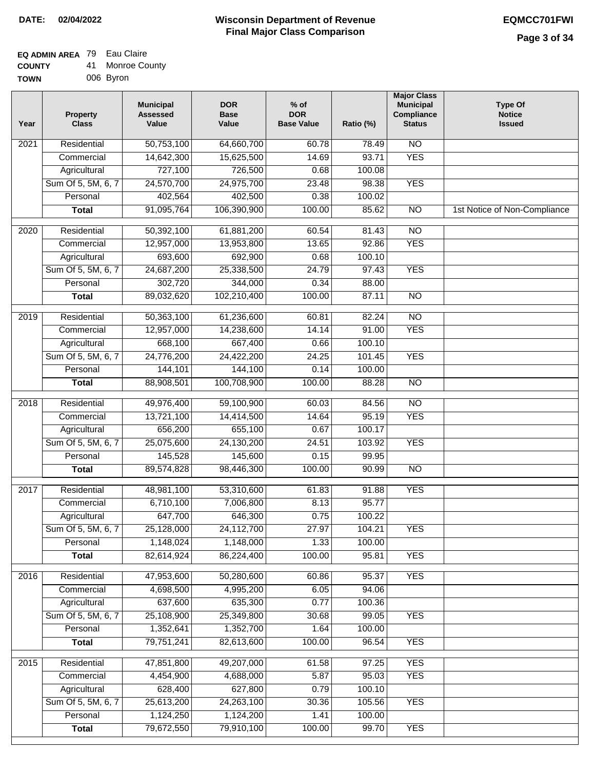### **Wisconsin Department of Revenue Final Major Class Comparison DATE: 02/04/2022 EQMCC701FWI**

#### **EQ ADMIN AREA** 79 Eau Claire **COUNTY** 41 Monroe County

| <b>UUUNIT</b> | ÷ . | טטט סעוווט |
|---------------|-----|------------|
| <b>TOWN</b>   |     | 006 Byron  |

| Year              | <b>Property</b><br><b>Class</b> | <b>Municipal</b><br><b>Assessed</b><br>Value | <b>DOR</b><br><b>Base</b><br>Value | $%$ of<br><b>DOR</b><br><b>Base Value</b> | Ratio (%) | <b>Major Class</b><br><b>Municipal</b><br>Compliance<br><b>Status</b> | <b>Type Of</b><br><b>Notice</b><br><b>Issued</b> |
|-------------------|---------------------------------|----------------------------------------------|------------------------------------|-------------------------------------------|-----------|-----------------------------------------------------------------------|--------------------------------------------------|
| 2021              | Residential                     | 50,753,100                                   | 64,660,700                         | 60.78                                     | 78.49     | <b>NO</b>                                                             |                                                  |
|                   | Commercial                      | 14,642,300                                   | 15,625,500                         | 14.69                                     | 93.71     | <b>YES</b>                                                            |                                                  |
|                   | Agricultural                    | 727,100                                      | 726,500                            | 0.68                                      | 100.08    |                                                                       |                                                  |
|                   | Sum Of 5, 5M, 6, 7              | 24,570,700                                   | 24,975,700                         | 23.48                                     | 98.38     | <b>YES</b>                                                            |                                                  |
|                   | Personal                        | 402,564                                      | 402,500                            | 0.38                                      | 100.02    |                                                                       |                                                  |
|                   | <b>Total</b>                    | 91,095,764                                   | 106,390,900                        | 100.00                                    | 85.62     | $\overline{NO}$                                                       | 1st Notice of Non-Compliance                     |
| 2020              | Residential                     | 50,392,100                                   | 61,881,200                         | 60.54                                     | 81.43     | $\overline{10}$                                                       |                                                  |
|                   | Commercial                      | 12,957,000                                   | 13,953,800                         | 13.65                                     | 92.86     | <b>YES</b>                                                            |                                                  |
|                   | Agricultural                    | 693,600                                      | 692,900                            | 0.68                                      | 100.10    |                                                                       |                                                  |
|                   | Sum Of 5, 5M, 6, 7              | 24,687,200                                   | 25,338,500                         | 24.79                                     | 97.43     | <b>YES</b>                                                            |                                                  |
|                   | Personal                        | 302,720                                      | 344,000                            | 0.34                                      | 88.00     |                                                                       |                                                  |
|                   | <b>Total</b>                    | 89,032,620                                   | 102,210,400                        | 100.00                                    | 87.11     | $\overline{NO}$                                                       |                                                  |
|                   |                                 |                                              |                                    |                                           |           |                                                                       |                                                  |
| 2019              | Residential                     | 50,363,100                                   | 61,236,600                         | 60.81                                     | 82.24     | $\overline{10}$                                                       |                                                  |
|                   | Commercial                      | 12,957,000                                   | 14,238,600                         | 14.14                                     | 91.00     | <b>YES</b>                                                            |                                                  |
|                   | Agricultural                    | 668,100                                      | 667,400                            | 0.66                                      | 100.10    |                                                                       |                                                  |
|                   | Sum Of 5, 5M, 6, 7              | 24,776,200                                   | 24,422,200                         | 24.25                                     | 101.45    | <b>YES</b>                                                            |                                                  |
|                   | Personal                        | 144,101                                      | 144,100                            | 0.14                                      | 100.00    |                                                                       |                                                  |
|                   | <b>Total</b>                    | 88,908,501                                   | 100,708,900                        | 100.00                                    | 88.28     | <b>NO</b>                                                             |                                                  |
| $\overline{2018}$ | Residential                     | 49,976,400                                   | 59,100,900                         | 60.03                                     | 84.56     | $\overline{NO}$                                                       |                                                  |
|                   | Commercial                      | 13,721,100                                   | 14,414,500                         | 14.64                                     | 95.19     | <b>YES</b>                                                            |                                                  |
|                   | Agricultural                    | 656,200                                      | 655,100                            | 0.67                                      | 100.17    |                                                                       |                                                  |
|                   | Sum Of 5, 5M, 6, 7              | 25,075,600                                   | 24,130,200                         | 24.51                                     | 103.92    | <b>YES</b>                                                            |                                                  |
|                   | Personal                        | 145,528                                      | 145,600                            | 0.15                                      | 99.95     |                                                                       |                                                  |
|                   | <b>Total</b>                    | 89,574,828                                   | 98,446,300                         | 100.00                                    | 90.99     | $\overline{10}$                                                       |                                                  |
| 2017              | Residential                     | 48,981,100                                   | 53,310,600                         | 61.83                                     | 91.88     | <b>YES</b>                                                            |                                                  |
|                   | Commercial                      | 6,710,100                                    | 7,006,800                          | 8.13                                      | 95.77     |                                                                       |                                                  |
|                   | Agricultural                    | 647,700                                      | 646,300                            | 0.75                                      | 100.22    |                                                                       |                                                  |
|                   | Sum Of 5, 5M, 6, 7              | 25,128,000                                   | 24,112,700                         | 27.97                                     | 104.21    | <b>YES</b>                                                            |                                                  |
|                   | Personal                        | 1,148,024                                    | 1,148,000                          | 1.33                                      | 100.00    |                                                                       |                                                  |
|                   | <b>Total</b>                    | 82,614,924                                   | 86,224,400                         | 100.00                                    | 95.81     | <b>YES</b>                                                            |                                                  |
| 2016              | Residential                     | 47,953,600                                   | 50,280,600                         | 60.86                                     | 95.37     | <b>YES</b>                                                            |                                                  |
|                   | Commercial                      | 4,698,500                                    | 4,995,200                          | 6.05                                      | 94.06     |                                                                       |                                                  |
|                   | Agricultural                    | 637,600                                      | 635,300                            | 0.77                                      | 100.36    |                                                                       |                                                  |
|                   | Sum Of 5, 5M, 6, 7              | 25,108,900                                   | 25,349,800                         | 30.68                                     | 99.05     | <b>YES</b>                                                            |                                                  |
|                   | Personal                        | 1,352,641                                    | 1,352,700                          | 1.64                                      | 100.00    |                                                                       |                                                  |
|                   | <b>Total</b>                    | 79,751,241                                   | 82,613,600                         | 100.00                                    | 96.54     | <b>YES</b>                                                            |                                                  |
|                   |                                 |                                              |                                    |                                           |           |                                                                       |                                                  |
| 2015              | Residential                     | 47,851,800                                   | 49,207,000                         | 61.58                                     | 97.25     | <b>YES</b>                                                            |                                                  |
|                   | Commercial                      | 4,454,900                                    | 4,688,000                          | 5.87                                      | 95.03     | <b>YES</b>                                                            |                                                  |
|                   | Agricultural                    | 628,400                                      | 627,800                            | 0.79                                      | 100.10    |                                                                       |                                                  |
|                   | Sum Of 5, 5M, 6, 7              | 25,613,200                                   | 24,263,100                         | 30.36                                     | 105.56    | <b>YES</b>                                                            |                                                  |
|                   | Personal                        | 1,124,250                                    | 1,124,200                          | 1.41                                      | 100.00    |                                                                       |                                                  |
|                   | <b>Total</b>                    | 79,672,550                                   | 79,910,100                         | 100.00                                    | 99.70     | <b>YES</b>                                                            |                                                  |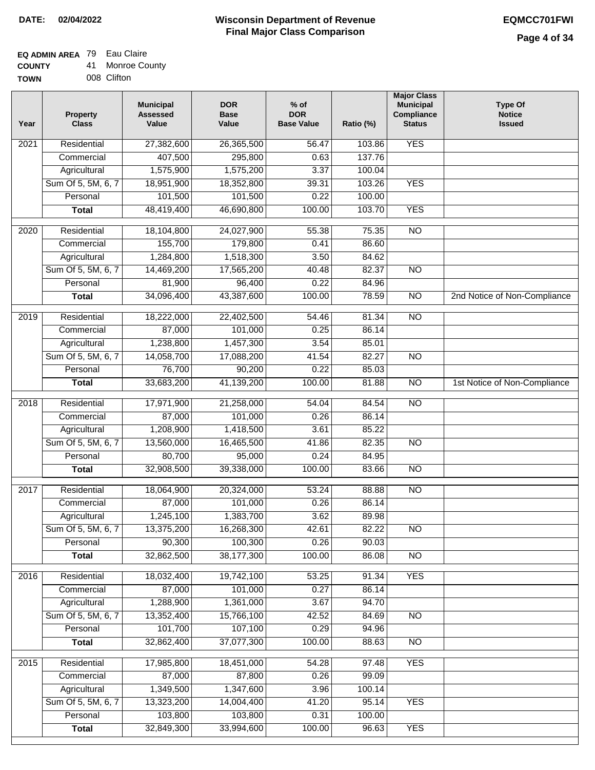#### **EQ ADMIN AREA** 79 Eau Claire  $\overline{41}$

| <b>COUNTY</b> | 41. | <b>Monroe County</b> |
|---------------|-----|----------------------|
| <b>TOWN</b>   |     | 008 Clifton          |

| Year | <b>Property</b><br><b>Class</b> | <b>Municipal</b><br><b>Assessed</b><br>Value | <b>DOR</b><br><b>Base</b><br>Value | $%$ of<br><b>DOR</b><br><b>Base Value</b> | Ratio (%) | <b>Major Class</b><br><b>Municipal</b><br>Compliance<br><b>Status</b> | <b>Type Of</b><br><b>Notice</b><br><b>Issued</b> |
|------|---------------------------------|----------------------------------------------|------------------------------------|-------------------------------------------|-----------|-----------------------------------------------------------------------|--------------------------------------------------|
| 2021 | Residential                     | 27,382,600                                   | 26,365,500                         | 56.47                                     | 103.86    | <b>YES</b>                                                            |                                                  |
|      | Commercial                      | 407,500                                      | 295,800                            | 0.63                                      | 137.76    |                                                                       |                                                  |
|      | Agricultural                    | 1,575,900                                    | 1,575,200                          | 3.37                                      | 100.04    |                                                                       |                                                  |
|      | Sum Of 5, 5M, 6, 7              | 18,951,900                                   | 18,352,800                         | 39.31                                     | 103.26    | <b>YES</b>                                                            |                                                  |
|      | Personal                        | 101,500                                      | 101,500                            | 0.22                                      | 100.00    |                                                                       |                                                  |
|      | <b>Total</b>                    | 48,419,400                                   | 46,690,800                         | 100.00                                    | 103.70    | <b>YES</b>                                                            |                                                  |
| 2020 | Residential                     | 18,104,800                                   | 24,027,900                         | 55.38                                     | 75.35     | $\overline{NO}$                                                       |                                                  |
|      | Commercial                      | 155,700                                      | 179,800                            | 0.41                                      | 86.60     |                                                                       |                                                  |
|      | Agricultural                    | 1,284,800                                    | 1,518,300                          | 3.50                                      | 84.62     |                                                                       |                                                  |
|      | Sum Of 5, 5M, 6, 7              | 14,469,200                                   | 17,565,200                         | 40.48                                     | 82.37     | <b>NO</b>                                                             |                                                  |
|      | Personal                        | 81,900                                       | 96,400                             | 0.22                                      | 84.96     |                                                                       |                                                  |
|      | <b>Total</b>                    | 34,096,400                                   | 43,387,600                         | 100.00                                    | 78.59     | $\overline{NO}$                                                       | 2nd Notice of Non-Compliance                     |
| 2019 | Residential                     | 18,222,000                                   | 22,402,500                         | 54.46                                     | 81.34     | $\overline{NO}$                                                       |                                                  |
|      | Commercial                      | 87,000                                       | 101,000                            | 0.25                                      | 86.14     |                                                                       |                                                  |
|      | Agricultural                    | 1,238,800                                    | 1,457,300                          | 3.54                                      | 85.01     |                                                                       |                                                  |
|      | Sum Of 5, 5M, 6, 7              | 14,058,700                                   | 17,088,200                         | 41.54                                     | 82.27     | $\overline{NO}$                                                       |                                                  |
|      | Personal                        | 76,700                                       | 90,200                             | 0.22                                      | 85.03     |                                                                       |                                                  |
|      | <b>Total</b>                    | 33,683,200                                   | 41,139,200                         | 100.00                                    | 81.88     | $\overline{NO}$                                                       | 1st Notice of Non-Compliance                     |
| 2018 | Residential                     | 17,971,900                                   | 21,258,000                         | 54.04                                     | 84.54     | $\overline{NO}$                                                       |                                                  |
|      | Commercial                      | 87,000                                       | 101,000                            | 0.26                                      | 86.14     |                                                                       |                                                  |
|      | Agricultural                    | 1,208,900                                    | 1,418,500                          | 3.61                                      | 85.22     |                                                                       |                                                  |
|      | Sum Of 5, 5M, 6, 7              | 13,560,000                                   | 16,465,500                         | 41.86                                     | 82.35     | $\overline{10}$                                                       |                                                  |
|      | Personal                        | 80,700                                       | 95,000                             | 0.24                                      | 84.95     |                                                                       |                                                  |
|      | <b>Total</b>                    | 32,908,500                                   | 39,338,000                         | 100.00                                    | 83.66     | <b>NO</b>                                                             |                                                  |
| 2017 | Residential                     | 18,064,900                                   | 20,324,000                         | 53.24                                     | 88.88     | <b>NO</b>                                                             |                                                  |
|      | Commercial                      | 87,000                                       | 101,000                            | 0.26                                      | 86.14     |                                                                       |                                                  |
|      | Agricultural                    | 1,245,100                                    | 1,383,700                          | 3.62                                      | 89.98     |                                                                       |                                                  |
|      | Sum Of 5, 5M, 6, 7              | 13,375,200                                   | 16,268,300                         | 42.61                                     | 82.22     | <b>NO</b>                                                             |                                                  |
|      | Personal                        | 90,300                                       | 100,300                            | 0.26                                      | 90.03     |                                                                       |                                                  |
|      | <b>Total</b>                    | 32,862,500                                   | 38,177,300                         | 100.00                                    | 86.08     | <b>NO</b>                                                             |                                                  |
| 2016 | Residential                     | 18,032,400                                   | 19,742,100                         | 53.25                                     | 91.34     | <b>YES</b>                                                            |                                                  |
|      | Commercial                      | 87,000                                       | 101,000                            | 0.27                                      | 86.14     |                                                                       |                                                  |
|      | Agricultural                    | 1,288,900                                    | 1,361,000                          | 3.67                                      | 94.70     |                                                                       |                                                  |
|      | Sum Of 5, 5M, 6, 7              | 13,352,400                                   | 15,766,100                         | 42.52                                     | 84.69     | $\overline{NO}$                                                       |                                                  |
|      | Personal                        | 101,700                                      | 107,100                            | 0.29                                      | 94.96     |                                                                       |                                                  |
|      | <b>Total</b>                    | 32,862,400                                   | 37,077,300                         | 100.00                                    | 88.63     | N <sub>O</sub>                                                        |                                                  |
| 2015 | Residential                     | 17,985,800                                   | 18,451,000                         | 54.28                                     | 97.48     | <b>YES</b>                                                            |                                                  |
|      | Commercial                      | 87,000                                       | 87,800                             | 0.26                                      | 99.09     |                                                                       |                                                  |
|      | Agricultural                    | 1,349,500                                    | 1,347,600                          | 3.96                                      | 100.14    |                                                                       |                                                  |
|      | Sum Of 5, 5M, 6, 7              | 13,323,200                                   | 14,004,400                         | 41.20                                     | 95.14     | <b>YES</b>                                                            |                                                  |
|      | Personal                        | 103,800                                      | 103,800                            | 0.31                                      | 100.00    |                                                                       |                                                  |
|      | <b>Total</b>                    | 32,849,300                                   | 33,994,600                         | 100.00                                    | 96.63     | <b>YES</b>                                                            |                                                  |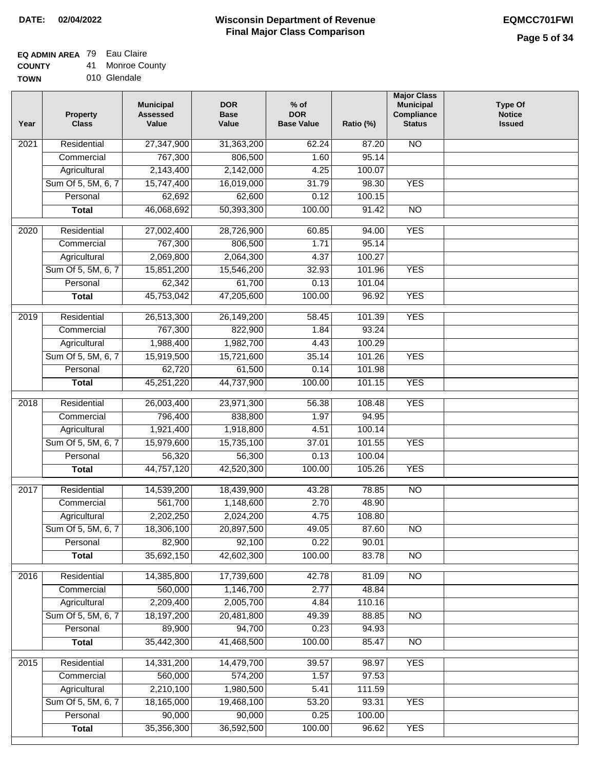### **EQ ADMIN AREA** 79 Eau Claire

**COUNTY** 41 Monroe County

**TOWN** 010 Glendale

| Year              | <b>Property</b><br><b>Class</b> | <b>Municipal</b><br><b>Assessed</b><br>Value | <b>DOR</b><br><b>Base</b><br>Value | % of<br><b>DOR</b><br><b>Base Value</b> | Ratio (%) | <b>Major Class</b><br><b>Municipal</b><br>Compliance<br><b>Status</b> | <b>Type Of</b><br><b>Notice</b><br><b>Issued</b> |
|-------------------|---------------------------------|----------------------------------------------|------------------------------------|-----------------------------------------|-----------|-----------------------------------------------------------------------|--------------------------------------------------|
| $\overline{202}1$ | Residential                     | 27,347,900                                   | 31,363,200                         | 62.24                                   | 87.20     | <b>NO</b>                                                             |                                                  |
|                   | Commercial                      | 767,300                                      | 806,500                            | 1.60                                    | 95.14     |                                                                       |                                                  |
|                   | Agricultural                    | 2,143,400                                    | 2,142,000                          | 4.25                                    | 100.07    |                                                                       |                                                  |
|                   | Sum Of 5, 5M, 6, 7              | 15,747,400                                   | 16,019,000                         | 31.79                                   | 98.30     | <b>YES</b>                                                            |                                                  |
|                   | Personal                        | 62,692                                       | 62,600                             | 0.12                                    | 100.15    |                                                                       |                                                  |
|                   | <b>Total</b>                    | 46,068,692                                   | 50,393,300                         | 100.00                                  | 91.42     | $\overline{NO}$                                                       |                                                  |
| $\overline{2020}$ | Residential                     | 27,002,400                                   | 28,726,900                         | 60.85                                   | 94.00     | <b>YES</b>                                                            |                                                  |
|                   | Commercial                      | 767,300                                      | 806,500                            | 1.71                                    | 95.14     |                                                                       |                                                  |
|                   | Agricultural                    | 2,069,800                                    | 2,064,300                          | 4.37                                    | 100.27    |                                                                       |                                                  |
|                   | Sum Of 5, 5M, 6, 7              | 15,851,200                                   | 15,546,200                         | 32.93                                   | 101.96    | <b>YES</b>                                                            |                                                  |
|                   | Personal                        | 62,342                                       | 61,700                             | 0.13                                    | 101.04    |                                                                       |                                                  |
|                   | <b>Total</b>                    | 45,753,042                                   | 47,205,600                         | 100.00                                  | 96.92     | <b>YES</b>                                                            |                                                  |
|                   |                                 |                                              |                                    |                                         |           |                                                                       |                                                  |
| 2019              | Residential                     | 26,513,300                                   | 26,149,200                         | 58.45                                   | 101.39    | <b>YES</b>                                                            |                                                  |
|                   | Commercial                      | 767,300                                      | 822,900                            | 1.84                                    | 93.24     |                                                                       |                                                  |
|                   | Agricultural                    | 1,988,400                                    | 1,982,700                          | 4.43                                    | 100.29    |                                                                       |                                                  |
|                   | Sum Of 5, 5M, 6, 7              | 15,919,500                                   | 15,721,600                         | 35.14                                   | 101.26    | <b>YES</b>                                                            |                                                  |
|                   | Personal                        | 62,720                                       | 61,500                             | 0.14                                    | 101.98    |                                                                       |                                                  |
|                   | <b>Total</b>                    | 45,251,220                                   | 44,737,900                         | 100.00                                  | 101.15    | <b>YES</b>                                                            |                                                  |
| 2018              | Residential                     | 26,003,400                                   | 23,971,300                         | 56.38                                   | 108.48    | <b>YES</b>                                                            |                                                  |
|                   | Commercial                      | 796,400                                      | 838,800                            | 1.97                                    | 94.95     |                                                                       |                                                  |
|                   | Agricultural                    | 1,921,400                                    | 1,918,800                          | 4.51                                    | 100.14    |                                                                       |                                                  |
|                   | Sum Of 5, 5M, 6, 7              | 15,979,600                                   | 15,735,100                         | 37.01                                   | 101.55    | <b>YES</b>                                                            |                                                  |
|                   | Personal                        | 56,320                                       | 56,300                             | 0.13                                    | 100.04    |                                                                       |                                                  |
|                   | <b>Total</b>                    | 44,757,120                                   | 42,520,300                         | 100.00                                  | 105.26    | <b>YES</b>                                                            |                                                  |
| 2017              | Residential                     | 14,539,200                                   | 18,439,900                         | 43.28                                   | 78.85     | $\overline{NO}$                                                       |                                                  |
|                   | Commercial                      | 561,700                                      | 1,148,600                          | 2.70                                    | 48.90     |                                                                       |                                                  |
|                   | Agricultural                    | 2,202,250                                    | 2,024,200                          | 4.75                                    | 108.80    |                                                                       |                                                  |
|                   | Sum Of 5, 5M, 6, 7              | 18,306,100                                   | 20,897,500                         | 49.05                                   | 87.60     | N <sub>O</sub>                                                        |                                                  |
|                   | Personal                        | 82,900                                       | 92,100                             | 0.22                                    | 90.01     |                                                                       |                                                  |
|                   | <b>Total</b>                    | 35,692,150                                   | 42,602,300                         | 100.00                                  | 83.78     | <b>NO</b>                                                             |                                                  |
|                   |                                 |                                              |                                    |                                         |           |                                                                       |                                                  |
| 2016              | Residential                     | 14,385,800                                   | 17,739,600                         | 42.78                                   | 81.09     | N <sub>O</sub>                                                        |                                                  |
|                   | Commercial                      | 560,000                                      | 1,146,700                          | 2.77                                    | 48.84     |                                                                       |                                                  |
|                   | Agricultural                    | 2,209,400                                    | 2,005,700                          | 4.84                                    | 110.16    |                                                                       |                                                  |
|                   | Sum Of 5, 5M, 6, 7              | 18,197,200                                   | 20,481,800                         | 49.39                                   | 88.85     | $\overline{NO}$                                                       |                                                  |
|                   | Personal                        | 89,900                                       | 94,700                             | 0.23                                    | 94.93     |                                                                       |                                                  |
|                   | <b>Total</b>                    | 35,442,300                                   | 41,468,500                         | 100.00                                  | 85.47     | $\overline{NO}$                                                       |                                                  |
| 2015              | Residential                     | 14,331,200                                   | 14,479,700                         | 39.57                                   | 98.97     | <b>YES</b>                                                            |                                                  |
|                   | Commercial                      | 560,000                                      | 574,200                            | 1.57                                    | 97.53     |                                                                       |                                                  |
|                   | Agricultural                    | 2,210,100                                    | 1,980,500                          | 5.41                                    | 111.59    |                                                                       |                                                  |
|                   | Sum Of 5, 5M, 6, 7              | 18,165,000                                   | 19,468,100                         | 53.20                                   | 93.31     | <b>YES</b>                                                            |                                                  |
|                   | Personal                        | 90,000                                       | 90,000                             | 0.25                                    | 100.00    |                                                                       |                                                  |
|                   | <b>Total</b>                    | 35,356,300                                   | 36,592,500                         | 100.00                                  | 96.62     | <b>YES</b>                                                            |                                                  |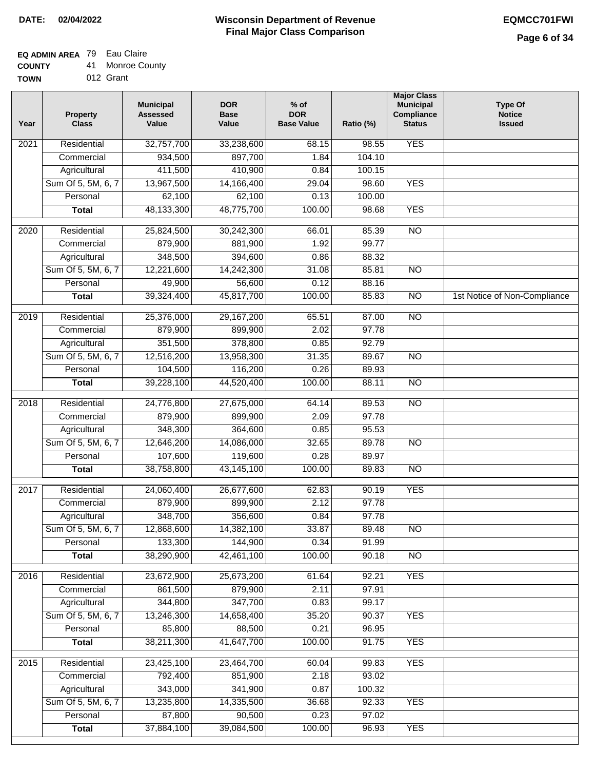### **EQ ADMIN AREA** 79 Eau Claire

**COUNTY** 41 Monroe County

**TOWN** 012 Grant

| Year              | <b>Property</b><br><b>Class</b> | <b>Municipal</b><br><b>Assessed</b><br>Value | <b>DOR</b><br><b>Base</b><br>Value | $%$ of<br><b>DOR</b><br><b>Base Value</b> | Ratio (%)      | <b>Major Class</b><br><b>Municipal</b><br>Compliance<br><b>Status</b> | <b>Type Of</b><br><b>Notice</b><br><b>Issued</b> |
|-------------------|---------------------------------|----------------------------------------------|------------------------------------|-------------------------------------------|----------------|-----------------------------------------------------------------------|--------------------------------------------------|
| $\overline{202}1$ | Residential                     | 32,757,700                                   | 33,238,600                         | 68.15                                     | 98.55          | <b>YES</b>                                                            |                                                  |
|                   | Commercial                      | 934,500                                      | 897,700                            | 1.84                                      | 104.10         |                                                                       |                                                  |
|                   | Agricultural                    | 411,500                                      | 410,900                            | 0.84                                      | 100.15         |                                                                       |                                                  |
|                   | Sum Of 5, 5M, 6, 7              | 13,967,500                                   | 14,166,400                         | 29.04                                     | 98.60          | <b>YES</b>                                                            |                                                  |
|                   | Personal                        | 62,100                                       | 62,100                             | 0.13                                      | 100.00         |                                                                       |                                                  |
|                   | <b>Total</b>                    | 48,133,300                                   | 48,775,700                         | 100.00                                    | 98.68          | <b>YES</b>                                                            |                                                  |
| $\overline{2020}$ | Residential                     | 25,824,500                                   | 30,242,300                         | 66.01                                     | 85.39          | $\overline{N}$                                                        |                                                  |
|                   | Commercial                      | 879,900                                      | 881,900                            | 1.92                                      | 99.77          |                                                                       |                                                  |
|                   | Agricultural                    | 348,500                                      | 394,600                            | 0.86                                      | 88.32          |                                                                       |                                                  |
|                   | Sum Of 5, 5M, 6, 7              | 12,221,600                                   | 14,242,300                         | 31.08                                     | 85.81          | $\overline{NO}$                                                       |                                                  |
|                   | Personal                        | 49,900                                       | 56,600                             | 0.12                                      | 88.16          |                                                                       |                                                  |
|                   | <b>Total</b>                    | 39,324,400                                   | 45,817,700                         | 100.00                                    | 85.83          | $\overline{NO}$                                                       | 1st Notice of Non-Compliance                     |
| 2019              | Residential                     | 25,376,000                                   | 29,167,200                         | 65.51                                     | 87.00          | $\overline{NO}$                                                       |                                                  |
|                   | Commercial                      | 879,900                                      | 899,900                            | 2.02                                      | 97.78          |                                                                       |                                                  |
|                   | Agricultural                    | 351,500                                      | 378,800                            | 0.85                                      | 92.79          |                                                                       |                                                  |
|                   | Sum Of 5, 5M, 6, 7              | 12,516,200                                   | 13,958,300                         | 31.35                                     | 89.67          | $\overline{NO}$                                                       |                                                  |
|                   | Personal                        | 104,500                                      | 116,200                            | 0.26                                      | 89.93          |                                                                       |                                                  |
|                   | <b>Total</b>                    | 39,228,100                                   | 44,520,400                         | 100.00                                    | 88.11          | $\overline{NO}$                                                       |                                                  |
| 2018              | Residential                     | 24,776,800                                   | 27,675,000                         | 64.14                                     | 89.53          | $\overline{NO}$                                                       |                                                  |
|                   | Commercial                      | 879,900                                      | 899,900                            | 2.09                                      | 97.78          |                                                                       |                                                  |
|                   | Agricultural                    | 348,300                                      | 364,600                            | 0.85                                      | 95.53          |                                                                       |                                                  |
|                   | Sum Of 5, 5M, 6, 7              | 12,646,200                                   | 14,086,000                         | 32.65                                     | 89.78          | $\overline{10}$                                                       |                                                  |
|                   | Personal                        | 107,600                                      | 119,600                            | 0.28                                      | 89.97          |                                                                       |                                                  |
|                   | <b>Total</b>                    | 38,758,800                                   | 43,145,100                         | 100.00                                    | 89.83          | $\overline{NO}$                                                       |                                                  |
|                   |                                 |                                              |                                    |                                           |                |                                                                       |                                                  |
| 2017              | Residential                     | 24,060,400                                   | 26,677,600                         | 62.83                                     | 90.19          | <b>YES</b>                                                            |                                                  |
|                   | Commercial                      | 879,900                                      | 899,900                            | 2.12                                      | 97.78          |                                                                       |                                                  |
|                   | Agricultural                    | 348,700<br>12,868,600                        | 356,600<br>14,382,100              | 0.84<br>33.87                             | 97.78<br>89.48 | N <sub>O</sub>                                                        |                                                  |
|                   | Sum Of 5, 5M, 6, 7              |                                              | 144,900                            |                                           |                |                                                                       |                                                  |
|                   | Personal<br><b>Total</b>        | 133,300<br>38,290,900                        | 42,461,100                         | 0.34<br>100.00                            | 91.99<br>90.18 | <b>NO</b>                                                             |                                                  |
|                   |                                 |                                              |                                    |                                           |                |                                                                       |                                                  |
| 2016              | Residential                     | 23,672,900                                   | 25,673,200                         | 61.64                                     | 92.21          | <b>YES</b>                                                            |                                                  |
|                   | Commercial                      | 861,500                                      | 879,900                            | 2.11                                      | 97.91          |                                                                       |                                                  |
|                   | Agricultural                    | 344,800                                      | 347,700                            | 0.83                                      | 99.17          |                                                                       |                                                  |
|                   | Sum Of 5, 5M, 6, 7              | 13,246,300                                   | 14,658,400                         | 35.20                                     | 90.37          | <b>YES</b>                                                            |                                                  |
|                   | Personal                        | 85,800                                       | 88,500                             | 0.21                                      | 96.95          |                                                                       |                                                  |
|                   | <b>Total</b>                    | 38,211,300                                   | 41,647,700                         | 100.00                                    | 91.75          | <b>YES</b>                                                            |                                                  |
| 2015              | Residential                     | 23,425,100                                   | 23,464,700                         | 60.04                                     | 99.83          | <b>YES</b>                                                            |                                                  |
|                   | Commercial                      | 792,400                                      | 851,900                            | 2.18                                      | 93.02          |                                                                       |                                                  |
|                   | Agricultural                    | 343,000                                      | 341,900                            | 0.87                                      | 100.32         |                                                                       |                                                  |
|                   | Sum Of 5, 5M, 6, 7              | 13,235,800                                   | 14,335,500                         | 36.68                                     | 92.33          | <b>YES</b>                                                            |                                                  |
|                   | Personal                        | 87,800                                       | 90,500                             | 0.23                                      | 97.02          |                                                                       |                                                  |
|                   | <b>Total</b>                    | 37,884,100                                   | 39,084,500                         | 100.00                                    | 96.93          | <b>YES</b>                                                            |                                                  |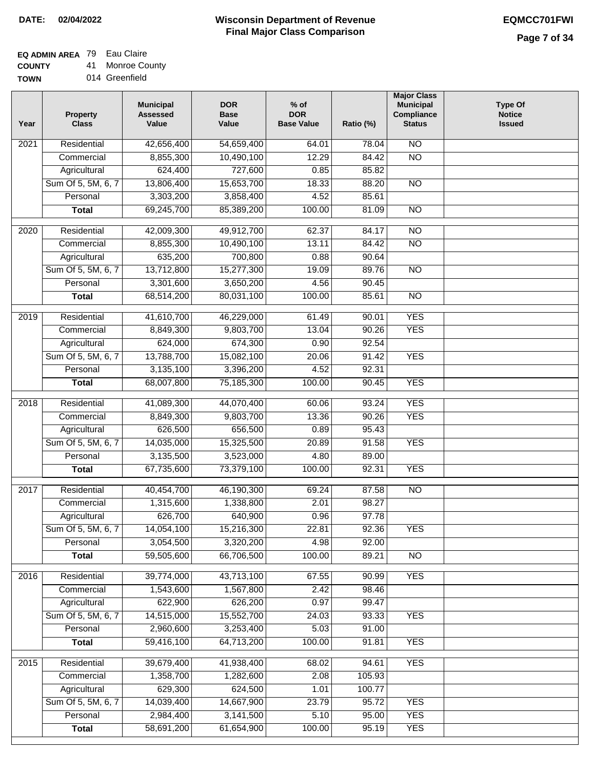### **EQ ADMIN AREA** 79 Eau Claire

**COUNTY** 41 Monroe County

| Year | <b>Property</b><br><b>Class</b> | <b>Municipal</b><br><b>Assessed</b><br>Value | <b>DOR</b><br><b>Base</b><br>Value | $%$ of<br><b>DOR</b><br><b>Base Value</b> | Ratio (%) | <b>Major Class</b><br><b>Municipal</b><br>Compliance<br><b>Status</b> | <b>Type Of</b><br><b>Notice</b><br><b>Issued</b> |
|------|---------------------------------|----------------------------------------------|------------------------------------|-------------------------------------------|-----------|-----------------------------------------------------------------------|--------------------------------------------------|
| 2021 | Residential                     | 42,656,400                                   | 54,659,400                         | 64.01                                     | 78.04     | N <sub>O</sub>                                                        |                                                  |
|      | Commercial                      | 8,855,300                                    | 10,490,100                         | 12.29                                     | 84.42     | $\overline{NO}$                                                       |                                                  |
|      | Agricultural                    | 624,400                                      | 727,600                            | 0.85                                      | 85.82     |                                                                       |                                                  |
|      | Sum Of 5, 5M, 6, 7              | 13,806,400                                   | 15,653,700                         | 18.33                                     | 88.20     | $\overline{NO}$                                                       |                                                  |
|      | Personal                        | 3,303,200                                    | 3,858,400                          | 4.52                                      | 85.61     |                                                                       |                                                  |
|      | <b>Total</b>                    | 69,245,700                                   | 85,389,200                         | 100.00                                    | 81.09     | $\overline{NO}$                                                       |                                                  |
| 2020 | Residential                     | 42,009,300                                   | 49,912,700                         | 62.37                                     | 84.17     | $\overline{N}$                                                        |                                                  |
|      | Commercial                      | 8,855,300                                    | 10,490,100                         | 13.11                                     | 84.42     | $\overline{NO}$                                                       |                                                  |
|      | Agricultural                    | 635,200                                      | 700,800                            | 0.88                                      | 90.64     |                                                                       |                                                  |
|      | Sum Of 5, 5M, 6, 7              | 13,712,800                                   | 15,277,300                         | 19.09                                     | 89.76     | $\overline{NO}$                                                       |                                                  |
|      | Personal                        | 3,301,600                                    | 3,650,200                          | 4.56                                      | 90.45     |                                                                       |                                                  |
|      | <b>Total</b>                    | 68,514,200                                   | 80,031,100                         | 100.00                                    | 85.61     | $\overline{NO}$                                                       |                                                  |
| 2019 | Residential                     | 41,610,700                                   | 46,229,000                         | 61.49                                     | 90.01     | <b>YES</b>                                                            |                                                  |
|      | Commercial                      | 8,849,300                                    | 9,803,700                          | 13.04                                     | 90.26     | <b>YES</b>                                                            |                                                  |
|      | Agricultural                    | 624,000                                      | 674,300                            | 0.90                                      | 92.54     |                                                                       |                                                  |
|      | Sum Of 5, 5M, 6, 7              | 13,788,700                                   | 15,082,100                         | 20.06                                     | 91.42     | <b>YES</b>                                                            |                                                  |
|      | Personal                        | 3,135,100                                    | 3,396,200                          | 4.52                                      | 92.31     |                                                                       |                                                  |
|      | <b>Total</b>                    | 68,007,800                                   | 75,185,300                         | 100.00                                    | 90.45     | <b>YES</b>                                                            |                                                  |
| 2018 | Residential                     | 41,089,300                                   | 44,070,400                         | 60.06                                     | 93.24     | <b>YES</b>                                                            |                                                  |
|      | Commercial                      | 8,849,300                                    | 9,803,700                          | 13.36                                     | 90.26     | <b>YES</b>                                                            |                                                  |
|      | Agricultural                    | 626,500                                      | 656,500                            | 0.89                                      | 95.43     |                                                                       |                                                  |
|      | Sum Of 5, 5M, 6, 7              | 14,035,000                                   | 15,325,500                         | 20.89                                     | 91.58     | <b>YES</b>                                                            |                                                  |
|      | Personal                        | 3,135,500                                    | 3,523,000                          | 4.80                                      | 89.00     |                                                                       |                                                  |
|      | <b>Total</b>                    | 67,735,600                                   | 73,379,100                         | 100.00                                    | 92.31     | <b>YES</b>                                                            |                                                  |
|      |                                 |                                              |                                    |                                           |           |                                                                       |                                                  |
| 2017 | Residential                     | 40,454,700                                   | 46,190,300                         | 69.24                                     | 87.58     | N <sub>O</sub>                                                        |                                                  |
|      | Commercial                      | 1,315,600                                    | 1,338,800                          | 2.01                                      | 98.27     |                                                                       |                                                  |
|      | Agricultural                    | 626,700                                      | 640,900                            | 0.96                                      | 97.78     |                                                                       |                                                  |
|      | Sum Of 5, 5M, 6, 7              | 14,054,100                                   | 15,216,300                         | 22.81                                     | 92.36     | <b>YES</b>                                                            |                                                  |
|      | Personal                        | 3,054,500                                    | 3,320,200                          | 4.98                                      | 92.00     |                                                                       |                                                  |
|      | <b>Total</b>                    | 59,505,600                                   | 66,706,500                         | 100.00                                    | 89.21     | $\overline{3}$                                                        |                                                  |
| 2016 | Residential                     | 39,774,000                                   | 43,713,100                         | 67.55                                     | 90.99     | <b>YES</b>                                                            |                                                  |
|      | Commercial                      | 1,543,600                                    | 1,567,800                          | 2.42                                      | 98.46     |                                                                       |                                                  |
|      | Agricultural                    | 622,900                                      | 626,200                            | 0.97                                      | 99.47     |                                                                       |                                                  |
|      | Sum Of 5, 5M, 6, 7              | 14,515,000                                   | 15,552,700                         | 24.03                                     | 93.33     | <b>YES</b>                                                            |                                                  |
|      | Personal                        | 2,960,600                                    | 3,253,400                          | 5.03                                      | 91.00     |                                                                       |                                                  |
|      | <b>Total</b>                    | 59,416,100                                   | 64,713,200                         | 100.00                                    | 91.81     | <b>YES</b>                                                            |                                                  |
| 2015 | Residential                     | 39,679,400                                   | 41,938,400                         | 68.02                                     | 94.61     | <b>YES</b>                                                            |                                                  |
|      | Commercial                      | 1,358,700                                    | 1,282,600                          | 2.08                                      | 105.93    |                                                                       |                                                  |
|      | Agricultural                    | 629,300                                      | 624,500                            | 1.01                                      | 100.77    |                                                                       |                                                  |
|      | Sum Of 5, 5M, 6, 7              | 14,039,400                                   | 14,667,900                         | 23.79                                     | 95.72     | <b>YES</b>                                                            |                                                  |
|      | Personal                        | 2,984,400                                    | 3,141,500                          | 5.10                                      | 95.00     | <b>YES</b>                                                            |                                                  |
|      | <b>Total</b>                    | 58,691,200                                   | 61,654,900                         | 100.00                                    | 95.19     | <b>YES</b>                                                            |                                                  |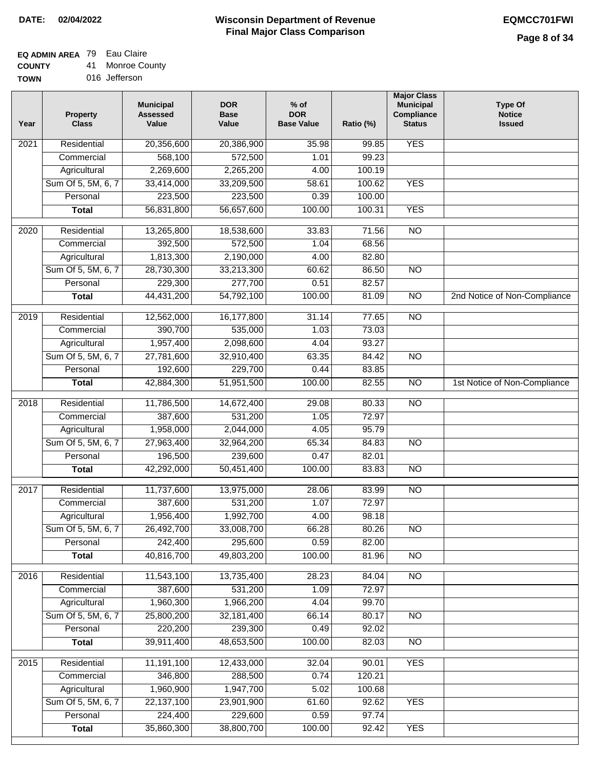## **EQ ADMIN AREA** 79 Eau Claire

**COUNTY** 41 Monroe County

**TOWN** 016 Jefferson

| Year | <b>Property</b><br><b>Class</b> | <b>Municipal</b><br><b>Assessed</b><br>Value | <b>DOR</b><br><b>Base</b><br>Value | $%$ of<br><b>DOR</b><br><b>Base Value</b> | Ratio (%) | <b>Major Class</b><br><b>Municipal</b><br>Compliance<br><b>Status</b> | <b>Type Of</b><br><b>Notice</b><br><b>Issued</b> |
|------|---------------------------------|----------------------------------------------|------------------------------------|-------------------------------------------|-----------|-----------------------------------------------------------------------|--------------------------------------------------|
| 2021 | Residential                     | 20,356,600                                   | 20,386,900                         | 35.98                                     | 99.85     | <b>YES</b>                                                            |                                                  |
|      | Commercial                      | 568,100                                      | 572,500                            | 1.01                                      | 99.23     |                                                                       |                                                  |
|      | Agricultural                    | 2,269,600                                    | 2,265,200                          | 4.00                                      | 100.19    |                                                                       |                                                  |
|      | Sum Of 5, 5M, 6, 7              | 33,414,000                                   | 33,209,500                         | 58.61                                     | 100.62    | <b>YES</b>                                                            |                                                  |
|      | Personal                        | 223,500                                      | 223,500                            | 0.39                                      | 100.00    |                                                                       |                                                  |
|      | <b>Total</b>                    | 56,831,800                                   | 56,657,600                         | 100.00                                    | 100.31    | <b>YES</b>                                                            |                                                  |
| 2020 | Residential                     | 13,265,800                                   | 18,538,600                         | 33.83                                     | 71.56     | $\overline{NO}$                                                       |                                                  |
|      | Commercial                      | 392,500                                      | 572,500                            | 1.04                                      | 68.56     |                                                                       |                                                  |
|      | Agricultural                    | 1,813,300                                    | 2,190,000                          | 4.00                                      | 82.80     |                                                                       |                                                  |
|      | Sum Of 5, 5M, 6, 7              | 28,730,300                                   | 33,213,300                         | 60.62                                     | 86.50     | $\overline{NO}$                                                       |                                                  |
|      | Personal                        | 229,300                                      | 277,700                            | 0.51                                      | 82.57     |                                                                       |                                                  |
|      | <b>Total</b>                    | 44,431,200                                   | 54,792,100                         | 100.00                                    | 81.09     | $\overline{NO}$                                                       | 2nd Notice of Non-Compliance                     |
| 2019 | Residential                     | 12,562,000                                   | 16,177,800                         | 31.14                                     | 77.65     | $\overline{3}$                                                        |                                                  |
|      | Commercial                      | 390,700                                      | 535,000                            | 1.03                                      | 73.03     |                                                                       |                                                  |
|      | Agricultural                    | 1,957,400                                    | 2,098,600                          | 4.04                                      | 93.27     |                                                                       |                                                  |
|      | Sum Of 5, 5M, 6, 7              | 27,781,600                                   | 32,910,400                         | 63.35                                     | 84.42     | $\overline{NO}$                                                       |                                                  |
|      | Personal                        | 192,600                                      | 229,700                            | 0.44                                      | 83.85     |                                                                       |                                                  |
|      | <b>Total</b>                    | 42,884,300                                   | 51,951,500                         | 100.00                                    | 82.55     | $\overline{NO}$                                                       | 1st Notice of Non-Compliance                     |
| 2018 | Residential                     | 11,786,500                                   | 14,672,400                         | 29.08                                     | 80.33     | $\overline{10}$                                                       |                                                  |
|      | Commercial                      | 387,600                                      | 531,200                            | 1.05                                      | 72.97     |                                                                       |                                                  |
|      | Agricultural                    | 1,958,000                                    | 2,044,000                          | 4.05                                      | 95.79     |                                                                       |                                                  |
|      | Sum Of 5, 5M, 6, 7              | 27,963,400                                   | 32,964,200                         | 65.34                                     | 84.83     | <b>NO</b>                                                             |                                                  |
|      | Personal                        | 196,500                                      | 239,600                            | 0.47                                      | 82.01     |                                                                       |                                                  |
|      | <b>Total</b>                    | 42,292,000                                   | 50,451,400                         | 100.00                                    | 83.83     | <b>NO</b>                                                             |                                                  |
|      |                                 |                                              |                                    |                                           |           |                                                                       |                                                  |
| 2017 | Residential                     | 11,737,600                                   | 13,975,000                         | 28.06                                     | 83.99     | <b>NO</b>                                                             |                                                  |
|      | Commercial                      | 387,600                                      | 531,200                            | 1.07                                      | 72.97     |                                                                       |                                                  |
|      | Agricultural                    | 1,956,400                                    | 1,992,700                          | 4.00                                      | 98.18     |                                                                       |                                                  |
|      | Sum Of 5, 5M, 6, 7              | 26,492,700                                   | 33,008,700                         | 66.28                                     | 80.26     | <b>NO</b>                                                             |                                                  |
|      | Personal                        | 242,400                                      | 295,600                            | 0.59                                      | 82.00     |                                                                       |                                                  |
|      | <b>Total</b>                    | 40,816,700                                   | 49,803,200                         | 100.00                                    | 81.96     | <b>NO</b>                                                             |                                                  |
| 2016 | Residential                     | 11,543,100                                   | 13,735,400                         | 28.23                                     | 84.04     | N <sub>O</sub>                                                        |                                                  |
|      | Commercial                      | 387,600                                      | 531,200                            | 1.09                                      | 72.97     |                                                                       |                                                  |
|      | Agricultural                    | 1,960,300                                    | 1,966,200                          | 4.04                                      | 99.70     |                                                                       |                                                  |
|      | Sum Of 5, 5M, 6, 7              | 25,800,200                                   | 32,181,400                         | 66.14                                     | 80.17     | N <sub>O</sub>                                                        |                                                  |
|      | Personal                        | 220,200                                      | 239,300                            | 0.49                                      | 92.02     |                                                                       |                                                  |
|      | <b>Total</b>                    | 39,911,400                                   | 48,653,500                         | 100.00                                    | 82.03     | N <sub>O</sub>                                                        |                                                  |
| 2015 | Residential                     | 11,191,100                                   | 12,433,000                         | 32.04                                     | 90.01     | <b>YES</b>                                                            |                                                  |
|      | Commercial                      | 346,800                                      | 288,500                            | 0.74                                      | 120.21    |                                                                       |                                                  |
|      | Agricultural                    | 1,960,900                                    | 1,947,700                          | 5.02                                      | 100.68    |                                                                       |                                                  |
|      | Sum Of 5, 5M, 6, 7              | 22,137,100                                   | 23,901,900                         | 61.60                                     | 92.62     | <b>YES</b>                                                            |                                                  |
|      | Personal                        | 224,400                                      | 229,600                            | 0.59                                      | 97.74     |                                                                       |                                                  |
|      | <b>Total</b>                    | 35,860,300                                   | 38,800,700                         | 100.00                                    | 92.42     | <b>YES</b>                                                            |                                                  |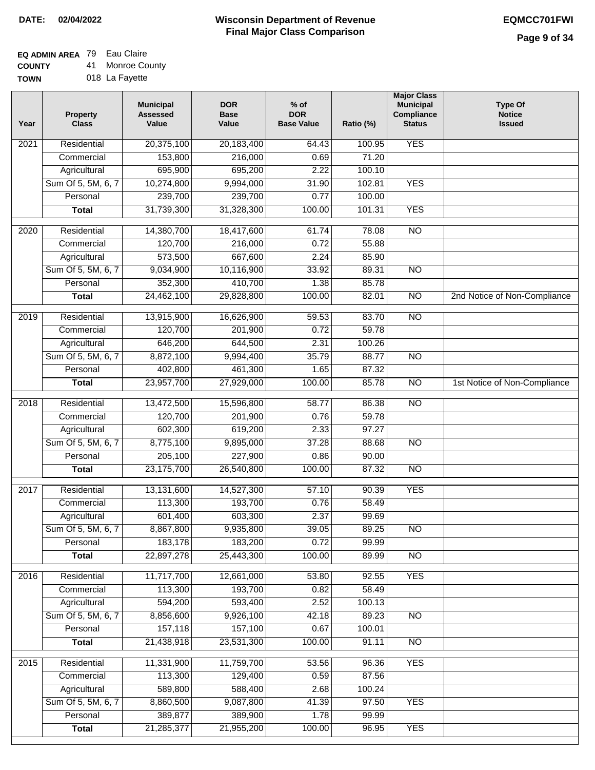## **EQ ADMIN AREA** 79 Eau Claire

**COUNTY TOWN** 41 Monroe County 018 La Fayette

| Year | <b>Property</b><br><b>Class</b> | <b>Municipal</b><br><b>Assessed</b><br>Value | <b>DOR</b><br><b>Base</b><br>Value | $%$ of<br><b>DOR</b><br><b>Base Value</b> | Ratio (%) | <b>Major Class</b><br><b>Municipal</b><br>Compliance<br><b>Status</b> | <b>Type Of</b><br><b>Notice</b><br><b>Issued</b> |
|------|---------------------------------|----------------------------------------------|------------------------------------|-------------------------------------------|-----------|-----------------------------------------------------------------------|--------------------------------------------------|
| 2021 | Residential                     | 20,375,100                                   | 20,183,400                         | 64.43                                     | 100.95    | <b>YES</b>                                                            |                                                  |
|      | Commercial                      | 153,800                                      | 216,000                            | 0.69                                      | 71.20     |                                                                       |                                                  |
|      | Agricultural                    | 695,900                                      | 695,200                            | 2.22                                      | 100.10    |                                                                       |                                                  |
|      | Sum Of 5, 5M, 6, 7              | 10,274,800                                   | 9,994,000                          | 31.90                                     | 102.81    | <b>YES</b>                                                            |                                                  |
|      | Personal                        | 239,700                                      | 239,700                            | 0.77                                      | 100.00    |                                                                       |                                                  |
|      | <b>Total</b>                    | 31,739,300                                   | 31,328,300                         | 100.00                                    | 101.31    | <b>YES</b>                                                            |                                                  |
| 2020 | Residential                     | 14,380,700                                   | 18,417,600                         | 61.74                                     | 78.08     | $\overline{NO}$                                                       |                                                  |
|      | Commercial                      | 120,700                                      | 216,000                            | 0.72                                      | 55.88     |                                                                       |                                                  |
|      | Agricultural                    | 573,500                                      | 667,600                            | 2.24                                      | 85.90     |                                                                       |                                                  |
|      | Sum Of 5, 5M, 6, 7              | 9,034,900                                    | 10,116,900                         | 33.92                                     | 89.31     | <b>NO</b>                                                             |                                                  |
|      | Personal                        | 352,300                                      | 410,700                            | 1.38                                      | 85.78     |                                                                       |                                                  |
|      | <b>Total</b>                    | 24,462,100                                   | 29,828,800                         | 100.00                                    | 82.01     | $\overline{NO}$                                                       | 2nd Notice of Non-Compliance                     |
| 2019 | Residential                     | 13,915,900                                   | 16,626,900                         | 59.53                                     | 83.70     | NO                                                                    |                                                  |
|      | Commercial                      | 120,700                                      | 201,900                            | 0.72                                      | 59.78     |                                                                       |                                                  |
|      | Agricultural                    | 646,200                                      | 644,500                            | 2.31                                      | 100.26    |                                                                       |                                                  |
|      | Sum Of 5, 5M, 6, 7              | 8,872,100                                    | 9,994,400                          | 35.79                                     | 88.77     | $\overline{NO}$                                                       |                                                  |
|      | Personal                        | 402,800                                      | 461,300                            | 1.65                                      | 87.32     |                                                                       |                                                  |
|      | <b>Total</b>                    | 23,957,700                                   | 27,929,000                         | 100.00                                    | 85.78     | $\overline{NO}$                                                       | 1st Notice of Non-Compliance                     |
| 2018 | Residential                     | 13,472,500                                   | 15,596,800                         | 58.77                                     | 86.38     | NO                                                                    |                                                  |
|      | Commercial                      | 120,700                                      | 201,900                            | 0.76                                      | 59.78     |                                                                       |                                                  |
|      | Agricultural                    | 602,300                                      | 619,200                            | 2.33                                      | 97.27     |                                                                       |                                                  |
|      | Sum Of 5, 5M, 6, 7              | 8,775,100                                    | 9,895,000                          | 37.28                                     | 88.68     | $\overline{10}$                                                       |                                                  |
|      | Personal                        | 205,100                                      | 227,900                            | 0.86                                      | 90.00     |                                                                       |                                                  |
|      | <b>Total</b>                    | 23,175,700                                   | 26,540,800                         | 100.00                                    | 87.32     | <b>NO</b>                                                             |                                                  |
| 2017 | Residential                     | 13,131,600                                   | 14,527,300                         | 57.10                                     | 90.39     | <b>YES</b>                                                            |                                                  |
|      | Commercial                      | 113,300                                      | 193,700                            | 0.76                                      | 58.49     |                                                                       |                                                  |
|      | Agricultural                    | 601,400                                      | 603,300                            | 2.37                                      | 99.69     |                                                                       |                                                  |
|      | Sum Of 5, 5M, 6, 7              | 8,867,800                                    | 9,935,800                          | 39.05                                     | 89.25     | <b>NO</b>                                                             |                                                  |
|      | Personal                        | 183,178                                      | 183,200                            | 0.72                                      | 99.99     |                                                                       |                                                  |
|      | <b>Total</b>                    | 22,897,278                                   | 25,443,300                         | 100.00                                    | 89.99     | <b>NO</b>                                                             |                                                  |
| 2016 | Residential                     | 11,717,700                                   | 12,661,000                         | 53.80                                     | 92.55     | <b>YES</b>                                                            |                                                  |
|      | Commercial                      | 113,300                                      | 193,700                            | 0.82                                      | 58.49     |                                                                       |                                                  |
|      | Agricultural                    | 594,200                                      | 593,400                            | 2.52                                      | 100.13    |                                                                       |                                                  |
|      | Sum Of 5, 5M, 6, 7              | 8,856,600                                    | 9,926,100                          | 42.18                                     | 89.23     | $\overline{NO}$                                                       |                                                  |
|      | Personal                        | 157,118                                      | 157,100                            | 0.67                                      | 100.01    |                                                                       |                                                  |
|      | <b>Total</b>                    | 21,438,918                                   | 23,531,300                         | 100.00                                    | 91.11     | N <sub>O</sub>                                                        |                                                  |
| 2015 | Residential                     | 11,331,900                                   | 11,759,700                         | 53.56                                     | 96.36     | <b>YES</b>                                                            |                                                  |
|      | Commercial                      | 113,300                                      | 129,400                            | 0.59                                      | 87.56     |                                                                       |                                                  |
|      | Agricultural                    | 589,800                                      | 588,400                            | 2.68                                      | 100.24    |                                                                       |                                                  |
|      | Sum Of 5, 5M, 6, 7              | 8,860,500                                    | 9,087,800                          | 41.39                                     | 97.50     | <b>YES</b>                                                            |                                                  |
|      | Personal                        | 389,877                                      | 389,900                            | 1.78                                      | 99.99     |                                                                       |                                                  |
|      | <b>Total</b>                    | 21,285,377                                   | 21,955,200                         | 100.00                                    | 96.95     | <b>YES</b>                                                            |                                                  |
|      |                                 |                                              |                                    |                                           |           |                                                                       |                                                  |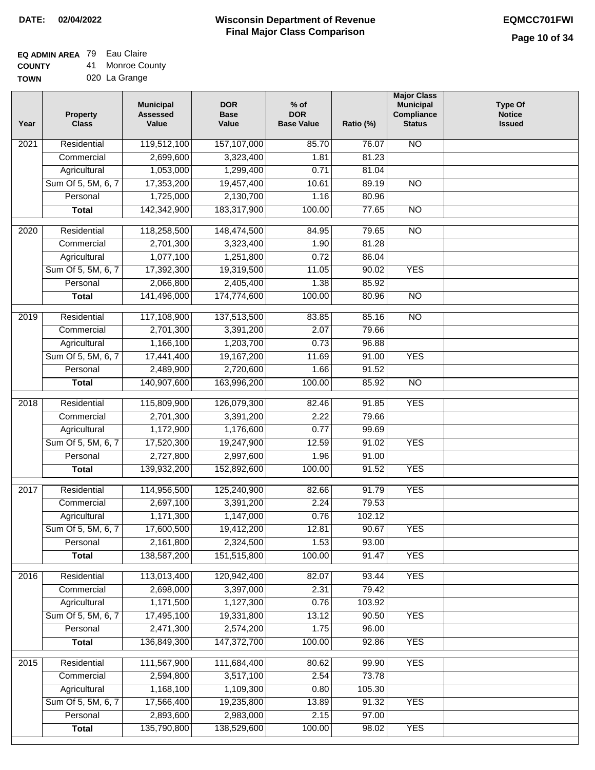# **EQ ADMIN AREA** 79 Eau Claire

**COUNTY TOWN** 41 Monroe County 020 La Grange

| Year              | <b>Property</b><br><b>Class</b> | <b>Municipal</b><br><b>Assessed</b><br>Value | <b>DOR</b><br><b>Base</b><br>Value | $%$ of<br><b>DOR</b><br><b>Base Value</b> | Ratio (%) | <b>Major Class</b><br><b>Municipal</b><br>Compliance<br><b>Status</b> | <b>Type Of</b><br><b>Notice</b><br><b>Issued</b> |
|-------------------|---------------------------------|----------------------------------------------|------------------------------------|-------------------------------------------|-----------|-----------------------------------------------------------------------|--------------------------------------------------|
| 2021              | Residential                     | 119,512,100                                  | 157,107,000                        | 85.70                                     | 76.07     | $\overline{NO}$                                                       |                                                  |
|                   | Commercial                      | 2,699,600                                    | 3,323,400                          | 1.81                                      | 81.23     |                                                                       |                                                  |
|                   | Agricultural                    | 1,053,000                                    | 1,299,400                          | 0.71                                      | 81.04     |                                                                       |                                                  |
|                   | Sum Of 5, 5M, 6, 7              | 17,353,200                                   | 19,457,400                         | 10.61                                     | 89.19     | $\overline{NO}$                                                       |                                                  |
|                   | Personal                        | 1,725,000                                    | 2,130,700                          | 1.16                                      | 80.96     |                                                                       |                                                  |
|                   | <b>Total</b>                    | 142,342,900                                  | 183,317,900                        | 100.00                                    | 77.65     | $\overline{NO}$                                                       |                                                  |
| $\overline{2020}$ | Residential                     | 118,258,500                                  | 148,474,500                        | 84.95                                     | 79.65     | $\overline{NO}$                                                       |                                                  |
|                   | Commercial                      | 2,701,300                                    | 3,323,400                          | 1.90                                      | 81.28     |                                                                       |                                                  |
|                   | Agricultural                    | 1,077,100                                    | 1,251,800                          | 0.72                                      | 86.04     |                                                                       |                                                  |
|                   | Sum Of 5, 5M, 6, 7              | 17,392,300                                   | 19,319,500                         | 11.05                                     | 90.02     | <b>YES</b>                                                            |                                                  |
|                   | Personal                        | 2,066,800                                    | 2,405,400                          | 1.38                                      | 85.92     |                                                                       |                                                  |
|                   | <b>Total</b>                    | 141,496,000                                  | 174,774,600                        | 100.00                                    | 80.96     | $\overline{NO}$                                                       |                                                  |
|                   |                                 |                                              |                                    |                                           |           |                                                                       |                                                  |
| 2019              | Residential                     | 117,108,900                                  | 137,513,500                        | 83.85                                     | 85.16     | $\overline{NO}$                                                       |                                                  |
|                   | Commercial                      | 2,701,300                                    | 3,391,200                          | 2.07                                      | 79.66     |                                                                       |                                                  |
|                   | Agricultural                    | 1,166,100                                    | 1,203,700                          | 0.73                                      | 96.88     |                                                                       |                                                  |
|                   | Sum Of 5, 5M, 6, 7              | 17,441,400                                   | 19,167,200                         | 11.69                                     | 91.00     | <b>YES</b>                                                            |                                                  |
|                   | Personal                        | 2,489,900                                    | 2,720,600                          | 1.66                                      | 91.52     |                                                                       |                                                  |
|                   | <b>Total</b>                    | 140,907,600                                  | 163,996,200                        | 100.00                                    | 85.92     | $\overline{NO}$                                                       |                                                  |
| 2018              | Residential                     | 115,809,900                                  | 126,079,300                        | 82.46                                     | 91.85     | <b>YES</b>                                                            |                                                  |
|                   | Commercial                      | 2,701,300                                    | 3,391,200                          | 2.22                                      | 79.66     |                                                                       |                                                  |
|                   | Agricultural                    | 1,172,900                                    | 1,176,600                          | 0.77                                      | 99.69     |                                                                       |                                                  |
|                   | Sum Of 5, 5M, 6, 7              | 17,520,300                                   | 19,247,900                         | 12.59                                     | 91.02     | <b>YES</b>                                                            |                                                  |
|                   | Personal                        | 2,727,800                                    | 2,997,600                          | 1.96                                      | 91.00     |                                                                       |                                                  |
|                   | <b>Total</b>                    | 139,932,200                                  | 152,892,600                        | 100.00                                    | 91.52     | <b>YES</b>                                                            |                                                  |
| 2017              | Residential                     | 114,956,500                                  | 125,240,900                        | 82.66                                     | 91.79     | <b>YES</b>                                                            |                                                  |
|                   | Commercial                      | 2,697,100                                    | 3,391,200                          | 2.24                                      | 79.53     |                                                                       |                                                  |
|                   | Agricultural                    | 1,171,300                                    | 1,147,000                          | 0.76                                      | 102.12    |                                                                       |                                                  |
|                   | Sum Of 5, 5M, 6, 7              | 17,600,500                                   | 19,412,200                         | 12.81                                     | 90.67     | YES                                                                   |                                                  |
|                   | Personal                        | 2,161,800                                    | 2,324,500                          | 1.53                                      | 93.00     |                                                                       |                                                  |
|                   | <b>Total</b>                    | 138,587,200                                  | 151,515,800                        | 100.00                                    | 91.47     | <b>YES</b>                                                            |                                                  |
| 2016              | Residential                     | 113,013,400                                  | 120,942,400                        | 82.07                                     | 93.44     | <b>YES</b>                                                            |                                                  |
|                   | Commercial                      | 2,698,000                                    | 3,397,000                          | 2.31                                      | 79.42     |                                                                       |                                                  |
|                   | Agricultural                    | 1,171,500                                    | 1,127,300                          | 0.76                                      | 103.92    |                                                                       |                                                  |
|                   | Sum Of 5, 5M, 6, 7              | 17,495,100                                   | 19,331,800                         | 13.12                                     | 90.50     | <b>YES</b>                                                            |                                                  |
|                   | Personal                        | 2,471,300                                    | 2,574,200                          | 1.75                                      | 96.00     |                                                                       |                                                  |
|                   | <b>Total</b>                    | 136,849,300                                  | 147,372,700                        | 100.00                                    | 92.86     | <b>YES</b>                                                            |                                                  |
|                   |                                 |                                              |                                    |                                           |           |                                                                       |                                                  |
| 2015              | Residential                     | 111,567,900                                  | 111,684,400                        | 80.62                                     | 99.90     | <b>YES</b>                                                            |                                                  |
|                   | Commercial                      | 2,594,800                                    | 3,517,100                          | 2.54                                      | 73.78     |                                                                       |                                                  |
|                   | Agricultural                    | 1,168,100                                    | 1,109,300                          | 0.80                                      | 105.30    |                                                                       |                                                  |
|                   | Sum Of 5, 5M, 6, 7              | 17,566,400                                   | 19,235,800                         | 13.89                                     | 91.32     | <b>YES</b>                                                            |                                                  |
|                   | Personal                        | 2,893,600                                    | 2,983,000                          | 2.15                                      | 97.00     |                                                                       |                                                  |
|                   | <b>Total</b>                    | 135,790,800                                  | 138,529,600                        | 100.00                                    | 98.02     | <b>YES</b>                                                            |                                                  |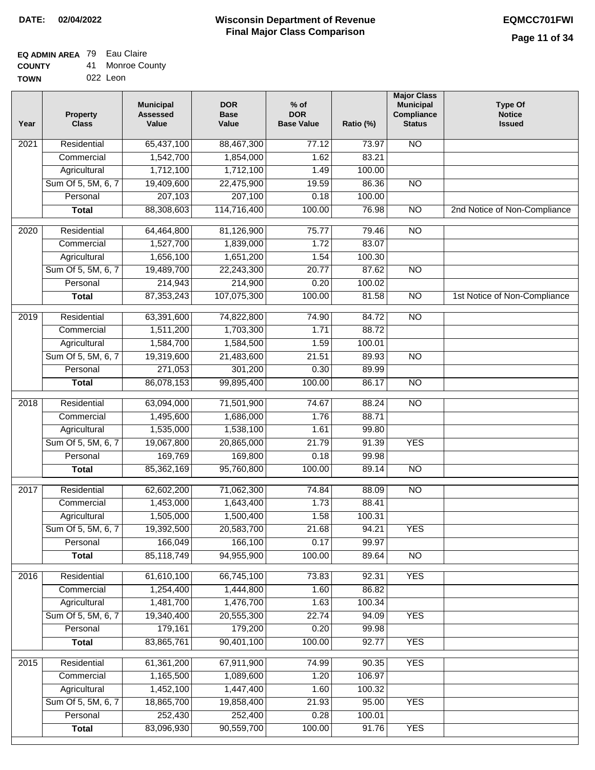### **Wisconsin Department of Revenue Final Major Class Comparison DATE: 02/04/2022 EQMCC701FWI**

┑

### **EQ ADMIN AREA** 79 Eau Claire **COUNTY**

| <b>COUNTY</b> | 41. | Monroe County |
|---------------|-----|---------------|
| TOWN          |     | 022 Leon      |

| Year              | <b>Property</b><br><b>Class</b> | <b>Municipal</b><br><b>Assessed</b><br>Value | <b>DOR</b><br><b>Base</b><br>Value | $%$ of<br><b>DOR</b><br><b>Base Value</b> | Ratio (%) | <b>Major Class</b><br><b>Municipal</b><br>Compliance<br><b>Status</b> | <b>Type Of</b><br><b>Notice</b><br><b>Issued</b> |
|-------------------|---------------------------------|----------------------------------------------|------------------------------------|-------------------------------------------|-----------|-----------------------------------------------------------------------|--------------------------------------------------|
| 2021              | Residential                     | 65,437,100                                   | 88,467,300                         | 77.12                                     | 73.97     | <b>NO</b>                                                             |                                                  |
|                   | Commercial                      | 1,542,700                                    | 1,854,000                          | 1.62                                      | 83.21     |                                                                       |                                                  |
|                   | Agricultural                    | 1,712,100                                    | 1,712,100                          | 1.49                                      | 100.00    |                                                                       |                                                  |
|                   | Sum Of 5, 5M, 6, 7              | 19,409,600                                   | 22,475,900                         | 19.59                                     | 86.36     | $\overline{NO}$                                                       |                                                  |
|                   | Personal                        | 207,103                                      | 207,100                            | 0.18                                      | 100.00    |                                                                       |                                                  |
|                   | <b>Total</b>                    | 88,308,603                                   | 114,716,400                        | 100.00                                    | 76.98     | $\overline{NO}$                                                       | 2nd Notice of Non-Compliance                     |
| $\overline{2020}$ | Residential                     | 64,464,800                                   | 81,126,900                         | 75.77                                     | 79.46     | $\overline{NO}$                                                       |                                                  |
|                   | Commercial                      | 1,527,700                                    | 1,839,000                          | 1.72                                      | 83.07     |                                                                       |                                                  |
|                   | Agricultural                    | 1,656,100                                    | 1,651,200                          | 1.54                                      | 100.30    |                                                                       |                                                  |
|                   | Sum Of 5, 5M, 6, 7              | 19,489,700                                   | 22,243,300                         | 20.77                                     | 87.62     | <b>NO</b>                                                             |                                                  |
|                   | Personal                        | 214,943                                      | 214,900                            | 0.20                                      | 100.02    |                                                                       |                                                  |
|                   | <b>Total</b>                    | 87, 353, 243                                 | 107,075,300                        | 100.00                                    | 81.58     | <b>NO</b>                                                             | 1st Notice of Non-Compliance                     |
|                   |                                 |                                              |                                    |                                           |           |                                                                       |                                                  |
| $\frac{1}{2019}$  | Residential                     | 63,391,600                                   | 74,822,800                         | 74.90                                     | 84.72     | $\overline{NO}$                                                       |                                                  |
|                   | Commercial                      | 1,511,200                                    | 1,703,300                          | 1.71                                      | 88.72     |                                                                       |                                                  |
|                   | Agricultural                    | 1,584,700                                    | 1,584,500                          | 1.59                                      | 100.01    |                                                                       |                                                  |
|                   | Sum Of 5, 5M, 6, 7              | 19,319,600                                   | 21,483,600                         | 21.51                                     | 89.93     | $\overline{NO}$                                                       |                                                  |
|                   | Personal                        | 271,053                                      | 301,200                            | 0.30                                      | 89.99     |                                                                       |                                                  |
|                   | <b>Total</b>                    | 86,078,153                                   | 99,895,400                         | 100.00                                    | 86.17     | $\overline{NO}$                                                       |                                                  |
| 2018              | Residential                     | 63,094,000                                   | 71,501,900                         | 74.67                                     | 88.24     | $\overline{NO}$                                                       |                                                  |
|                   | Commercial                      | 1,495,600                                    | 1,686,000                          | 1.76                                      | 88.71     |                                                                       |                                                  |
|                   | Agricultural                    | 1,535,000                                    | 1,538,100                          | 1.61                                      | 99.80     |                                                                       |                                                  |
|                   | Sum Of 5, 5M, 6, 7              | 19,067,800                                   | 20,865,000                         | 21.79                                     | 91.39     | <b>YES</b>                                                            |                                                  |
|                   | Personal                        | 169,769                                      | 169,800                            | 0.18                                      | 99.98     |                                                                       |                                                  |
|                   | <b>Total</b>                    | 85,362,169                                   | 95,760,800                         | 100.00                                    | 89.14     | $\overline{NO}$                                                       |                                                  |
| 2017              | Residential                     | 62,602,200                                   | 71,062,300                         | 74.84                                     | 88.09     | <b>NO</b>                                                             |                                                  |
|                   | Commercial                      | 1,453,000                                    | 1,643,400                          | 1.73                                      | 88.41     |                                                                       |                                                  |
|                   | Agricultural                    | 1,505,000                                    | 1,500,400                          | 1.58                                      | 100.31    |                                                                       |                                                  |
|                   | Sum Of 5, 5M, 6, 7              | 19,392,500                                   | 20,583,700                         | 21.68                                     | 94.21     | <b>YES</b>                                                            |                                                  |
|                   | Personal                        | 166,049                                      | 166,100                            | 0.17                                      | 99.97     |                                                                       |                                                  |
|                   | <b>Total</b>                    | 85,118,749                                   | 94,955,900                         | 100.00                                    | 89.64     | N <sub>O</sub>                                                        |                                                  |
| 2016              | Residential                     | 61,610,100                                   | 66,745,100                         | 73.83                                     | 92.31     | <b>YES</b>                                                            |                                                  |
|                   | Commercial                      | 1,254,400                                    | 1,444,800                          | 1.60                                      | 86.82     |                                                                       |                                                  |
|                   | Agricultural                    | 1,481,700                                    | 1,476,700                          | 1.63                                      | 100.34    |                                                                       |                                                  |
|                   | Sum Of 5, 5M, 6, 7              | 19,340,400                                   | 20,555,300                         | 22.74                                     | 94.09     | <b>YES</b>                                                            |                                                  |
|                   | Personal                        | 179,161                                      | 179,200                            | 0.20                                      | 99.98     |                                                                       |                                                  |
|                   | <b>Total</b>                    | 83,865,761                                   | 90,401,100                         | 100.00                                    | 92.77     | <b>YES</b>                                                            |                                                  |
|                   |                                 |                                              |                                    |                                           |           |                                                                       |                                                  |
| 2015              | Residential                     | 61,361,200                                   | 67,911,900                         | 74.99                                     | 90.35     | <b>YES</b>                                                            |                                                  |
|                   | Commercial                      | 1,165,500                                    | 1,089,600                          | 1.20                                      | 106.97    |                                                                       |                                                  |
|                   | Agricultural                    | 1,452,100                                    | 1,447,400                          | 1.60                                      | 100.32    |                                                                       |                                                  |
|                   | Sum Of 5, 5M, 6, 7              | 18,865,700                                   | 19,858,400                         | 21.93                                     | 95.00     | <b>YES</b>                                                            |                                                  |
|                   | Personal                        | 252,430                                      | 252,400                            | 0.28                                      | 100.01    |                                                                       |                                                  |
|                   | <b>Total</b>                    | 83,096,930                                   | 90,559,700                         | 100.00                                    | 91.76     | <b>YES</b>                                                            |                                                  |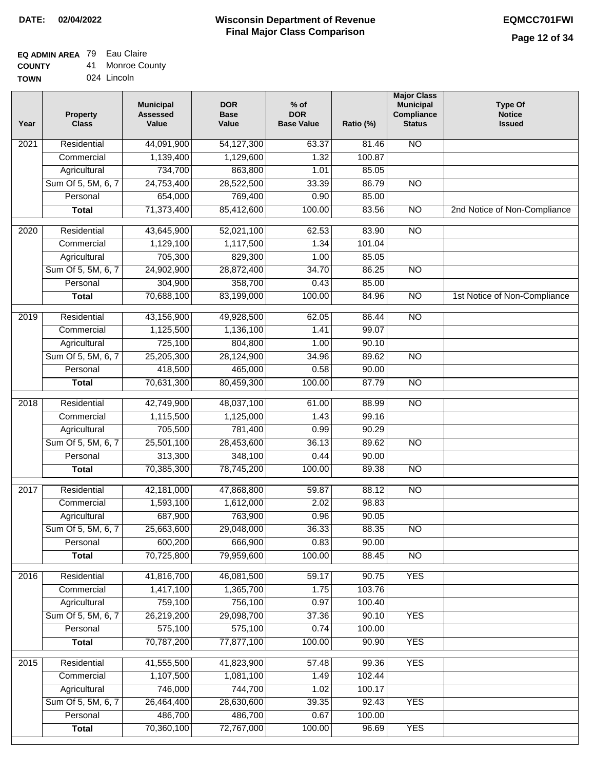## **EQ ADMIN AREA** 79 Eau Claire

| <b>COUNTY</b> |  | 41 Monroe County |  |
|---------------|--|------------------|--|
|---------------|--|------------------|--|

**TOWN** 024 Lincoln

| Year | <b>Property</b><br><b>Class</b> | <b>Municipal</b><br><b>Assessed</b><br>Value | <b>DOR</b><br><b>Base</b><br>Value | % of<br><b>DOR</b><br><b>Base Value</b> | Ratio (%) | <b>Major Class</b><br><b>Municipal</b><br>Compliance<br><b>Status</b> | <b>Type Of</b><br><b>Notice</b><br><b>Issued</b> |
|------|---------------------------------|----------------------------------------------|------------------------------------|-----------------------------------------|-----------|-----------------------------------------------------------------------|--------------------------------------------------|
| 2021 | Residential                     | 44,091,900                                   | 54,127,300                         | 63.37                                   | 81.46     | N <sub>O</sub>                                                        |                                                  |
|      | Commercial                      | 1,139,400                                    | 1,129,600                          | 1.32                                    | 100.87    |                                                                       |                                                  |
|      | Agricultural                    | 734,700                                      | 863,800                            | 1.01                                    | 85.05     |                                                                       |                                                  |
|      | Sum Of 5, 5M, 6, 7              | 24,753,400                                   | 28,522,500                         | 33.39                                   | 86.79     | $\overline{NO}$                                                       |                                                  |
|      | Personal                        | 654,000                                      | 769,400                            | 0.90                                    | 85.00     |                                                                       |                                                  |
|      | <b>Total</b>                    | 71,373,400                                   | 85,412,600                         | 100.00                                  | 83.56     | $\overline{NO}$                                                       | 2nd Notice of Non-Compliance                     |
| 2020 | Residential                     | 43,645,900                                   | 52,021,100                         | 62.53                                   | 83.90     | $\overline{NO}$                                                       |                                                  |
|      | Commercial                      | 1,129,100                                    | 1,117,500                          | 1.34                                    | 101.04    |                                                                       |                                                  |
|      | Agricultural                    | 705,300                                      | 829,300                            | 1.00                                    | 85.05     |                                                                       |                                                  |
|      | Sum Of 5, 5M, 6, 7              | 24,902,900                                   | 28,872,400                         | 34.70                                   | 86.25     | $\overline{NO}$                                                       |                                                  |
|      | Personal                        | 304,900                                      | 358,700                            | 0.43                                    | 85.00     |                                                                       |                                                  |
|      | <b>Total</b>                    | 70,688,100                                   | 83,199,000                         | 100.00                                  | 84.96     | $\overline{NO}$                                                       | 1st Notice of Non-Compliance                     |
| 2019 | Residential                     | 43,156,900                                   | 49,928,500                         | 62.05                                   | 86.44     | $\overline{10}$                                                       |                                                  |
|      | Commercial                      | 1,125,500                                    | 1,136,100                          | 1.41                                    | 99.07     |                                                                       |                                                  |
|      | Agricultural                    | 725,100                                      | 804,800                            | 1.00                                    | 90.10     |                                                                       |                                                  |
|      | Sum Of 5, 5M, 6, 7              | 25,205,300                                   | 28,124,900                         | 34.96                                   | 89.62     | $\overline{NO}$                                                       |                                                  |
|      | Personal                        | 418,500                                      | 465,000                            | 0.58                                    | 90.00     |                                                                       |                                                  |
|      | <b>Total</b>                    | 70,631,300                                   | 80,459,300                         | 100.00                                  | 87.79     | $\overline{NO}$                                                       |                                                  |
| 2018 | Residential                     | 42,749,900                                   | 48,037,100                         | 61.00                                   | 88.99     | $\overline{10}$                                                       |                                                  |
|      | Commercial                      | 1,115,500                                    | 1,125,000                          | 1.43                                    | 99.16     |                                                                       |                                                  |
|      | Agricultural                    | 705,500                                      | 781,400                            | 0.99                                    | 90.29     |                                                                       |                                                  |
|      | Sum Of 5, 5M, 6, 7              | 25,501,100                                   | 28,453,600                         | 36.13                                   | 89.62     | $\overline{10}$                                                       |                                                  |
|      | Personal                        | 313,300                                      | 348,100                            | 0.44                                    | 90.00     |                                                                       |                                                  |
|      | <b>Total</b>                    | 70,385,300                                   | 78,745,200                         | 100.00                                  | 89.38     | <b>NO</b>                                                             |                                                  |
| 2017 | Residential                     | 42,181,000                                   | 47,868,800                         | 59.87                                   | 88.12     | $\overline{NO}$                                                       |                                                  |
|      | Commercial                      | 1,593,100                                    | 1,612,000                          | 2.02                                    | 98.83     |                                                                       |                                                  |
|      | Agricultural                    | 687,900                                      | 763,900                            | 0.96                                    | 90.05     |                                                                       |                                                  |
|      | Sum Of 5, 5M, 6, 7              | 25,663,600                                   | 29,048,000                         | 36.33                                   | 88.35     | <b>NO</b>                                                             |                                                  |
|      | Personal                        | 600,200                                      | 666,900                            | 0.83                                    | 90.00     |                                                                       |                                                  |
|      | <b>Total</b>                    | 70,725,800                                   | 79,959,600                         | 100.00                                  | 88.45     | <b>NO</b>                                                             |                                                  |
| 2016 | Residential                     | 41,816,700                                   | 46,081,500                         | 59.17                                   | 90.75     | <b>YES</b>                                                            |                                                  |
|      | Commercial                      | 1,417,100                                    | 1,365,700                          | 1.75                                    | 103.76    |                                                                       |                                                  |
|      | Agricultural                    | 759,100                                      | 756,100                            | 0.97                                    | 100.40    |                                                                       |                                                  |
|      | Sum Of 5, 5M, 6, 7              | 26,219,200                                   | 29,098,700                         | 37.36                                   | 90.10     | <b>YES</b>                                                            |                                                  |
|      | Personal                        | 575,100                                      | 575,100                            | 0.74                                    | 100.00    |                                                                       |                                                  |
|      | <b>Total</b>                    | 70,787,200                                   | 77,877,100                         | 100.00                                  | 90.90     | <b>YES</b>                                                            |                                                  |
| 2015 | Residential                     | 41,555,500                                   | 41,823,900                         | 57.48                                   | 99.36     | <b>YES</b>                                                            |                                                  |
|      | Commercial                      | 1,107,500                                    | 1,081,100                          | 1.49                                    | 102.44    |                                                                       |                                                  |
|      | Agricultural                    | 746,000                                      | 744,700                            | 1.02                                    | 100.17    |                                                                       |                                                  |
|      | Sum Of 5, 5M, 6, 7              | 26,464,400                                   | 28,630,600                         | 39.35                                   | 92.43     | <b>YES</b>                                                            |                                                  |
|      | Personal                        | 486,700                                      | 486,700                            | 0.67                                    | 100.00    |                                                                       |                                                  |
|      | <b>Total</b>                    | 70,360,100                                   | 72,767,000                         | 100.00                                  | 96.69     | <b>YES</b>                                                            |                                                  |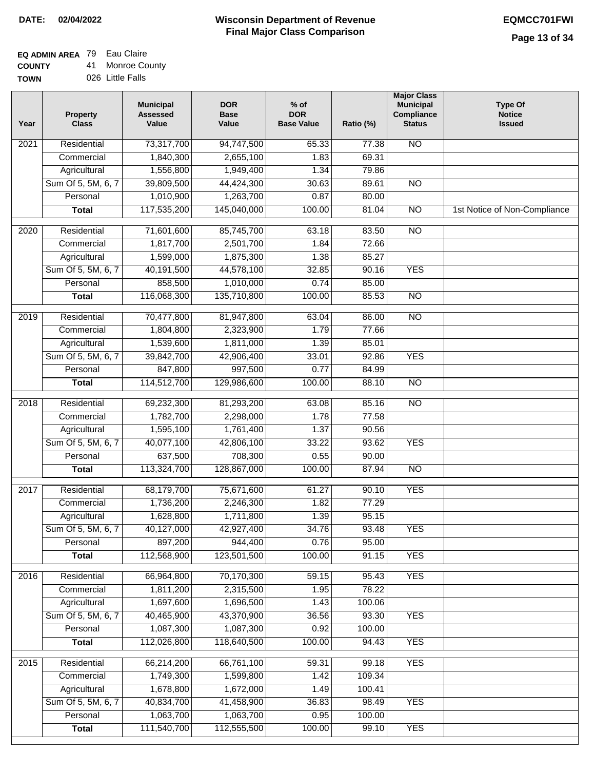# **EQ ADMIN AREA** 79 Eau Claire

**COUNTY TOWN** 41 Monroe County 026 Little Falls

| Year | Property<br><b>Class</b> | <b>Municipal</b><br><b>Assessed</b><br>Value | <b>DOR</b><br><b>Base</b><br>Value | $%$ of<br><b>DOR</b><br><b>Base Value</b> | Ratio (%) | <b>Major Class</b><br><b>Municipal</b><br>Compliance<br><b>Status</b> | <b>Type Of</b><br><b>Notice</b><br><b>Issued</b> |
|------|--------------------------|----------------------------------------------|------------------------------------|-------------------------------------------|-----------|-----------------------------------------------------------------------|--------------------------------------------------|
| 2021 | Residential              | 73,317,700                                   | 94,747,500                         | 65.33                                     | 77.38     | <b>NO</b>                                                             |                                                  |
|      | Commercial               | 1,840,300                                    | 2,655,100                          | 1.83                                      | 69.31     |                                                                       |                                                  |
|      | Agricultural             | 1,556,800                                    | 1,949,400                          | 1.34                                      | 79.86     |                                                                       |                                                  |
|      | Sum Of 5, 5M, 6, 7       | 39,809,500                                   | 44,424,300                         | 30.63                                     | 89.61     | $\overline{NO}$                                                       |                                                  |
|      | Personal                 | 1,010,900                                    | 1,263,700                          | 0.87                                      | 80.00     |                                                                       |                                                  |
|      | <b>Total</b>             | 117,535,200                                  | 145,040,000                        | 100.00                                    | 81.04     | $\overline{NO}$                                                       | 1st Notice of Non-Compliance                     |
| 2020 | Residential              | 71,601,600                                   | 85,745,700                         | 63.18                                     | 83.50     | $\overline{10}$                                                       |                                                  |
|      | Commercial               | 1,817,700                                    | 2,501,700                          | 1.84                                      | 72.66     |                                                                       |                                                  |
|      | Agricultural             | 1,599,000                                    | 1,875,300                          | 1.38                                      | 85.27     |                                                                       |                                                  |
|      | Sum Of 5, 5M, 6, 7       | 40,191,500                                   | 44,578,100                         | 32.85                                     | 90.16     | <b>YES</b>                                                            |                                                  |
|      | Personal                 | 858,500                                      | 1,010,000                          | 0.74                                      | 85.00     |                                                                       |                                                  |
|      | <b>Total</b>             | 116,068,300                                  | 135,710,800                        | 100.00                                    | 85.53     | <b>NO</b>                                                             |                                                  |
|      |                          |                                              |                                    |                                           |           |                                                                       |                                                  |
| 2019 | Residential              | 70,477,800                                   | 81,947,800                         | 63.04                                     | 86.00     | $\overline{NO}$                                                       |                                                  |
|      | Commercial               | 1,804,800                                    | 2,323,900                          | 1.79                                      | 77.66     |                                                                       |                                                  |
|      | Agricultural             | 1,539,600                                    | 1,811,000                          | 1.39                                      | 85.01     |                                                                       |                                                  |
|      | Sum Of 5, 5M, 6, 7       | 39,842,700                                   | 42,906,400                         | 33.01                                     | 92.86     | <b>YES</b>                                                            |                                                  |
|      | Personal                 | 847,800                                      | 997,500                            | 0.77                                      | 84.99     |                                                                       |                                                  |
|      | <b>Total</b>             | 114,512,700                                  | 129,986,600                        | 100.00                                    | 88.10     | $\overline{NO}$                                                       |                                                  |
| 2018 | Residential              | 69,232,300                                   | 81,293,200                         | 63.08                                     | 85.16     | $\overline{NO}$                                                       |                                                  |
|      | Commercial               | 1,782,700                                    | 2,298,000                          | 1.78                                      | 77.58     |                                                                       |                                                  |
|      | Agricultural             | 1,595,100                                    | 1,761,400                          | 1.37                                      | 90.56     |                                                                       |                                                  |
|      | Sum Of 5, 5M, 6, 7       | 40,077,100                                   | 42,806,100                         | 33.22                                     | 93.62     | <b>YES</b>                                                            |                                                  |
|      | Personal                 | 637,500                                      | 708,300                            | 0.55                                      | 90.00     |                                                                       |                                                  |
|      | <b>Total</b>             | 113,324,700                                  | 128,867,000                        | 100.00                                    | 87.94     | $\overline{10}$                                                       |                                                  |
| 2017 | Residential              | 68,179,700                                   | 75,671,600                         | 61.27                                     | 90.10     | <b>YES</b>                                                            |                                                  |
|      | Commercial               | 1,736,200                                    | 2,246,300                          | 1.82                                      | 77.29     |                                                                       |                                                  |
|      | Agricultural             | 1,628,800                                    | 1,711,800                          | 1.39                                      | 95.15     |                                                                       |                                                  |
|      | Sum Of 5, 5M, 6, 7       | 40,127,000                                   | 42,927,400                         | 34.76                                     | 93.48     | <b>YES</b>                                                            |                                                  |
|      | Personal                 | 897,200                                      | 944,400                            | 0.76                                      | 95.00     |                                                                       |                                                  |
|      | <b>Total</b>             | 112,568,900                                  | 123,501,500                        | 100.00                                    | 91.15     | <b>YES</b>                                                            |                                                  |
| 2016 | Residential              | 66,964,800                                   | 70,170,300                         | 59.15                                     | 95.43     | <b>YES</b>                                                            |                                                  |
|      | Commercial               | 1,811,200                                    | 2,315,500                          | 1.95                                      | 78.22     |                                                                       |                                                  |
|      | Agricultural             | 1,697,600                                    | 1,696,500                          | 1.43                                      | 100.06    |                                                                       |                                                  |
|      | Sum Of 5, 5M, 6, 7       | 40,465,900                                   | 43,370,900                         | 36.56                                     | 93.30     | <b>YES</b>                                                            |                                                  |
|      | Personal                 | 1,087,300                                    | 1,087,300                          | 0.92                                      | 100.00    |                                                                       |                                                  |
|      | <b>Total</b>             | 112,026,800                                  | 118,640,500                        | 100.00                                    | 94.43     | <b>YES</b>                                                            |                                                  |
| 2015 | Residential              | 66,214,200                                   | 66,761,100                         | 59.31                                     | 99.18     | <b>YES</b>                                                            |                                                  |
|      | Commercial               | 1,749,300                                    | 1,599,800                          | 1.42                                      | 109.34    |                                                                       |                                                  |
|      | Agricultural             | 1,678,800                                    | 1,672,000                          | 1.49                                      | 100.41    |                                                                       |                                                  |
|      | Sum Of 5, 5M, 6, 7       | 40,834,700                                   | 41,458,900                         | 36.83                                     | 98.49     | <b>YES</b>                                                            |                                                  |
|      | Personal                 | 1,063,700                                    | 1,063,700                          | 0.95                                      | 100.00    |                                                                       |                                                  |
|      | <b>Total</b>             | 111,540,700                                  | 112,555,500                        | 100.00                                    | 99.10     | <b>YES</b>                                                            |                                                  |
|      |                          |                                              |                                    |                                           |           |                                                                       |                                                  |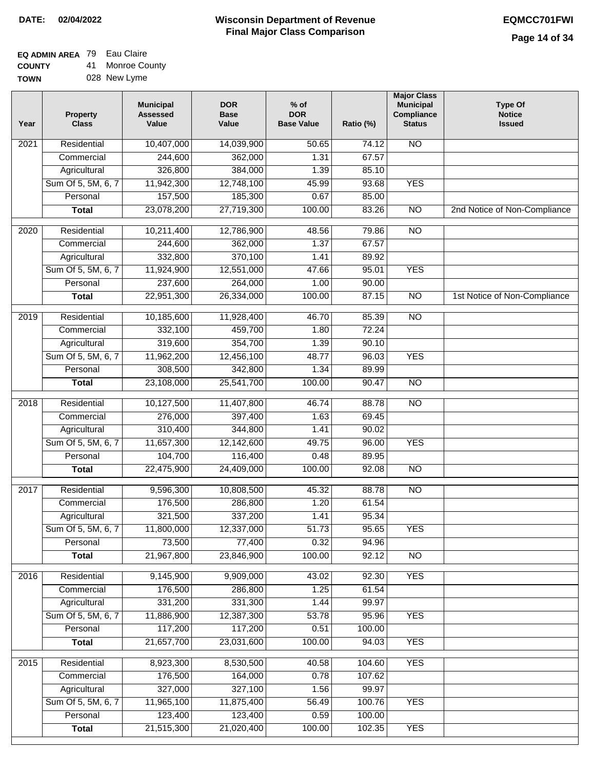### **EQ ADMIN AREA** 79 Eau Claire

**COUNTY TOWN** 41 Monroe County

028 New Lyme

| Year | <b>Property</b><br><b>Class</b> | <b>Municipal</b><br><b>Assessed</b><br>Value | <b>DOR</b><br><b>Base</b><br>Value | $%$ of<br><b>DOR</b><br><b>Base Value</b> | Ratio (%) | <b>Major Class</b><br><b>Municipal</b><br>Compliance<br><b>Status</b> | <b>Type Of</b><br><b>Notice</b><br><b>Issued</b> |
|------|---------------------------------|----------------------------------------------|------------------------------------|-------------------------------------------|-----------|-----------------------------------------------------------------------|--------------------------------------------------|
| 2021 | Residential                     | 10,407,000                                   | 14,039,900                         | 50.65                                     | 74.12     | N <sub>O</sub>                                                        |                                                  |
|      | Commercial                      | 244,600                                      | 362,000                            | 1.31                                      | 67.57     |                                                                       |                                                  |
|      | Agricultural                    | 326,800                                      | 384,000                            | 1.39                                      | 85.10     |                                                                       |                                                  |
|      | Sum Of 5, 5M, 6, 7              | 11,942,300                                   | 12,748,100                         | 45.99                                     | 93.68     | <b>YES</b>                                                            |                                                  |
|      | Personal                        | 157,500                                      | 185,300                            | 0.67                                      | 85.00     |                                                                       |                                                  |
|      | <b>Total</b>                    | 23,078,200                                   | 27,719,300                         | 100.00                                    | 83.26     | $\overline{NO}$                                                       | 2nd Notice of Non-Compliance                     |
| 2020 | Residential                     | 10,211,400                                   | 12,786,900                         | 48.56                                     | 79.86     | $\overline{NO}$                                                       |                                                  |
|      | Commercial                      | 244,600                                      | 362,000                            | 1.37                                      | 67.57     |                                                                       |                                                  |
|      | Agricultural                    | 332,800                                      | 370,100                            | 1.41                                      | 89.92     |                                                                       |                                                  |
|      | Sum Of 5, 5M, 6, 7              | 11,924,900                                   | 12,551,000                         | 47.66                                     | 95.01     | <b>YES</b>                                                            |                                                  |
|      | Personal                        | 237,600                                      | 264,000                            | 1.00                                      | 90.00     |                                                                       |                                                  |
|      | <b>Total</b>                    | 22,951,300                                   | 26,334,000                         | 100.00                                    | 87.15     | $\overline{NO}$                                                       | 1st Notice of Non-Compliance                     |
| 2019 | Residential                     | 10,185,600                                   | 11,928,400                         | 46.70                                     | 85.39     | $\overline{NO}$                                                       |                                                  |
|      | Commercial                      | 332,100                                      | 459,700                            | 1.80                                      | 72.24     |                                                                       |                                                  |
|      | Agricultural                    | 319,600                                      | 354,700                            | 1.39                                      | 90.10     |                                                                       |                                                  |
|      | Sum Of 5, 5M, 6, 7              | 11,962,200                                   | 12,456,100                         | 48.77                                     | 96.03     | <b>YES</b>                                                            |                                                  |
|      | Personal                        | 308,500                                      | 342,800                            | 1.34                                      | 89.99     |                                                                       |                                                  |
|      | <b>Total</b>                    | 23,108,000                                   | 25,541,700                         | 100.00                                    | 90.47     | $\overline{NO}$                                                       |                                                  |
| 2018 | Residential                     | 10,127,500                                   | 11,407,800                         | 46.74                                     | 88.78     | <b>NO</b>                                                             |                                                  |
|      | Commercial                      | 276,000                                      | 397,400                            | 1.63                                      | 69.45     |                                                                       |                                                  |
|      | Agricultural                    | 310,400                                      | 344,800                            | 1.41                                      | 90.02     |                                                                       |                                                  |
|      | Sum Of 5, 5M, 6, 7              | 11,657,300                                   | 12,142,600                         | 49.75                                     | 96.00     | <b>YES</b>                                                            |                                                  |
|      | Personal                        | 104,700                                      | 116,400                            | 0.48                                      | 89.95     |                                                                       |                                                  |
|      | <b>Total</b>                    | 22,475,900                                   | 24,409,000                         | 100.00                                    | 92.08     | <b>NO</b>                                                             |                                                  |
| 2017 | Residential                     | 9,596,300                                    | 10,808,500                         | 45.32                                     | 88.78     | <b>NO</b>                                                             |                                                  |
|      | Commercial                      | 176,500                                      | 286,800                            | 1.20                                      | 61.54     |                                                                       |                                                  |
|      | Agricultural                    | 321,500                                      | 337,200                            | 1.41                                      | 95.34     |                                                                       |                                                  |
|      | Sum Of 5, 5M, 6, 7              | 11,800,000                                   | 12,337,000                         | 51.73                                     | 95.65     | <b>YES</b>                                                            |                                                  |
|      | Personal                        | 73,500                                       | 77,400                             | 0.32                                      | 94.96     |                                                                       |                                                  |
|      | <b>Total</b>                    | 21,967,800                                   | 23,846,900                         | 100.00                                    | 92.12     | <b>NO</b>                                                             |                                                  |
| 2016 | Residential                     | 9,145,900                                    | 9,909,000                          | 43.02                                     | 92.30     | <b>YES</b>                                                            |                                                  |
|      | Commercial                      | 176,500                                      | 286,800                            | 1.25                                      | 61.54     |                                                                       |                                                  |
|      | Agricultural                    | 331,200                                      | 331,300                            | 1.44                                      | 99.97     |                                                                       |                                                  |
|      | Sum Of 5, 5M, 6, 7              | 11,886,900                                   | 12,387,300                         | 53.78                                     | 95.96     | <b>YES</b>                                                            |                                                  |
|      | Personal                        | 117,200                                      | 117,200                            | 0.51                                      | 100.00    |                                                                       |                                                  |
|      | <b>Total</b>                    | 21,657,700                                   | 23,031,600                         | 100.00                                    | 94.03     | <b>YES</b>                                                            |                                                  |
| 2015 | Residential                     | 8,923,300                                    | 8,530,500                          | 40.58                                     | 104.60    | <b>YES</b>                                                            |                                                  |
|      | Commercial                      | 176,500                                      | 164,000                            | 0.78                                      | 107.62    |                                                                       |                                                  |
|      | Agricultural                    | 327,000                                      | 327,100                            | 1.56                                      | 99.97     |                                                                       |                                                  |
|      | Sum Of 5, 5M, 6, 7              | 11,965,100                                   | 11,875,400                         | 56.49                                     | 100.76    | <b>YES</b>                                                            |                                                  |
|      | Personal                        | 123,400                                      | 123,400                            | 0.59                                      | 100.00    |                                                                       |                                                  |
|      | <b>Total</b>                    | 21,515,300                                   | 21,020,400                         | 100.00                                    | 102.35    | <b>YES</b>                                                            |                                                  |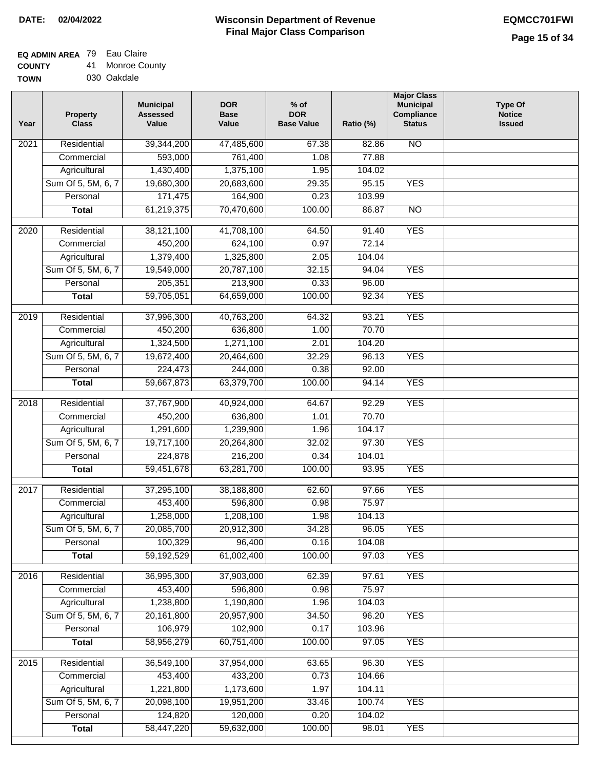## **EQ ADMIN AREA** 79 Eau Claire

**COUNTY** 41 Monroe County

**TOWN** 030 Oakdale

| Year | <b>Property</b><br><b>Class</b>    | <b>Municipal</b><br><b>Assessed</b><br>Value | <b>DOR</b><br><b>Base</b><br>Value | $%$ of<br><b>DOR</b><br><b>Base Value</b> | Ratio (%)        | <b>Major Class</b><br><b>Municipal</b><br>Compliance<br><b>Status</b> | <b>Type Of</b><br><b>Notice</b><br><b>Issued</b> |
|------|------------------------------------|----------------------------------------------|------------------------------------|-------------------------------------------|------------------|-----------------------------------------------------------------------|--------------------------------------------------|
| 2021 | Residential                        | 39,344,200                                   | 47,485,600                         | 67.38                                     | 82.86            | <b>NO</b>                                                             |                                                  |
|      | Commercial                         | 593,000                                      | 761,400                            | 1.08                                      | 77.88            |                                                                       |                                                  |
|      | Agricultural                       | 1,430,400                                    | 1,375,100                          | 1.95                                      | 104.02           |                                                                       |                                                  |
|      | Sum Of 5, 5M, 6, 7                 | 19,680,300                                   | 20,683,600                         | 29.35                                     | 95.15            | <b>YES</b>                                                            |                                                  |
|      | Personal                           | 171,475                                      | 164,900                            | 0.23                                      | 103.99           |                                                                       |                                                  |
|      | <b>Total</b>                       | 61,219,375                                   | 70,470,600                         | 100.00                                    | 86.87            | $\overline{NO}$                                                       |                                                  |
| 2020 | Residential                        | 38,121,100                                   | 41,708,100                         | 64.50                                     | 91.40            | <b>YES</b>                                                            |                                                  |
|      | Commercial                         | 450,200                                      | 624,100                            | 0.97                                      | 72.14            |                                                                       |                                                  |
|      | Agricultural                       | 1,379,400                                    | 1,325,800                          | 2.05                                      | 104.04           |                                                                       |                                                  |
|      | Sum Of 5, 5M, 6, 7                 | 19,549,000                                   | 20,787,100                         | 32.15                                     | 94.04            | <b>YES</b>                                                            |                                                  |
|      | Personal                           | 205,351                                      | 213,900                            | 0.33                                      | 96.00            |                                                                       |                                                  |
|      | <b>Total</b>                       | 59,705,051                                   | 64,659,000                         | 100.00                                    | 92.34            | <b>YES</b>                                                            |                                                  |
| 2019 | Residential                        | 37,996,300                                   | 40,763,200                         | 64.32                                     | 93.21            | <b>YES</b>                                                            |                                                  |
|      | Commercial                         | 450,200                                      | 636,800                            | 1.00                                      | 70.70            |                                                                       |                                                  |
|      | Agricultural                       | 1,324,500                                    | 1,271,100                          | 2.01                                      | 104.20           |                                                                       |                                                  |
|      | Sum Of 5, 5M, 6, 7                 | 19,672,400                                   | 20,464,600                         | 32.29                                     | 96.13            | <b>YES</b>                                                            |                                                  |
|      | Personal                           | 224,473                                      | 244,000                            | 0.38                                      | 92.00            |                                                                       |                                                  |
|      | <b>Total</b>                       | 59,667,873                                   | 63,379,700                         | 100.00                                    | 94.14            | <b>YES</b>                                                            |                                                  |
|      |                                    |                                              |                                    |                                           |                  |                                                                       |                                                  |
| 2018 | Residential                        | 37,767,900                                   | 40,924,000                         | 64.67                                     | 92.29            | <b>YES</b>                                                            |                                                  |
|      | Commercial                         | 450,200                                      | 636,800                            | 1.01                                      | 70.70            |                                                                       |                                                  |
|      | Agricultural                       | 1,291,600                                    | 1,239,900                          | 1.96                                      | 104.17           |                                                                       |                                                  |
|      | Sum Of 5, 5M, 6, 7                 | 19,717,100                                   | 20,264,800                         | 32.02                                     | 97.30            | <b>YES</b>                                                            |                                                  |
|      | Personal                           | 224,878                                      | 216,200                            | 0.34                                      | 104.01           |                                                                       |                                                  |
|      | <b>Total</b>                       | 59,451,678                                   | 63,281,700                         | 100.00                                    | 93.95            | <b>YES</b>                                                            |                                                  |
| 2017 | Residential                        | 37,295,100                                   | 38,188,800                         | 62.60                                     | 97.66            | <b>YES</b>                                                            |                                                  |
|      | Commercial                         | 453,400                                      | 596,800                            | 0.98                                      | 75.97            |                                                                       |                                                  |
|      | Agricultural                       | 1,258,000                                    | 1,208,100                          | 1.98                                      | 104.13           |                                                                       |                                                  |
|      | Sum Of 5, 5M, 6, 7                 | 20,085,700                                   | 20,912,300                         | 34.28                                     | 96.05            | <b>YES</b>                                                            |                                                  |
|      | Personal                           | 100,329                                      | 96,400                             | 0.16                                      | 104.08           |                                                                       |                                                  |
|      | <b>Total</b>                       | 59,192,529                                   | 61,002,400                         | 100.00                                    | 97.03            | <b>YES</b>                                                            |                                                  |
| 2016 | Residential                        | 36,995,300                                   | 37,903,000                         | 62.39                                     | 97.61            | <b>YES</b>                                                            |                                                  |
|      | Commercial                         | 453,400                                      | 596,800                            | 0.98                                      | 75.97            |                                                                       |                                                  |
|      | Agricultural                       | 1,238,800                                    | 1,190,800                          | 1.96                                      | 104.03           |                                                                       |                                                  |
|      | Sum Of 5, 5M, 6, 7                 | 20,161,800                                   | 20,957,900                         | 34.50                                     | 96.20            | <b>YES</b>                                                            |                                                  |
|      | Personal                           | 106,979                                      | 102,900                            | 0.17                                      | 103.96           |                                                                       |                                                  |
|      | <b>Total</b>                       | 58,956,279                                   | 60,751,400                         | 100.00                                    | 97.05            | <b>YES</b>                                                            |                                                  |
|      |                                    |                                              |                                    |                                           |                  |                                                                       |                                                  |
| 2015 | Residential                        | 36,549,100                                   | 37,954,000                         | 63.65                                     | 96.30            | <b>YES</b>                                                            |                                                  |
|      | Commercial                         | 453,400                                      | 433,200                            | 0.73<br>1.97                              | 104.66<br>104.11 |                                                                       |                                                  |
|      | Agricultural<br>Sum Of 5, 5M, 6, 7 | 1,221,800<br>20,098,100                      | 1,173,600<br>19,951,200            | 33.46                                     | 100.74           | <b>YES</b>                                                            |                                                  |
|      | Personal                           | 124,820                                      | 120,000                            | 0.20                                      | 104.02           |                                                                       |                                                  |
|      | <b>Total</b>                       | 58,447,220                                   | 59,632,000                         | 100.00                                    | 98.01            | <b>YES</b>                                                            |                                                  |
|      |                                    |                                              |                                    |                                           |                  |                                                                       |                                                  |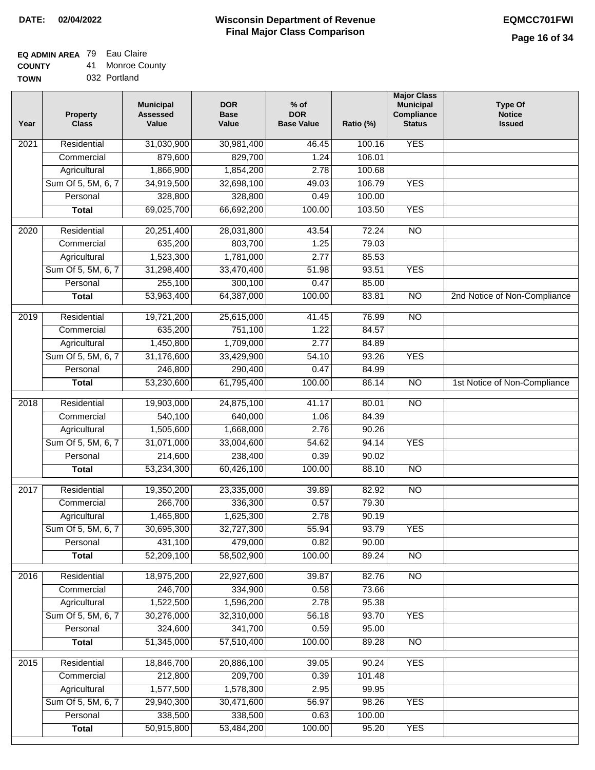## **EQ ADMIN AREA** 79 Eau Claire

| <b>COUNTY</b> |  | 41 Monroe County |
|---------------|--|------------------|
|---------------|--|------------------|

**TOWN** 032 Portland

| Year              | <b>Property</b><br><b>Class</b> | <b>Municipal</b><br><b>Assessed</b><br>Value | <b>DOR</b><br><b>Base</b><br>Value | % of<br><b>DOR</b><br><b>Base Value</b> | Ratio (%)      | <b>Major Class</b><br><b>Municipal</b><br>Compliance<br><b>Status</b> | <b>Type Of</b><br><b>Notice</b><br><b>Issued</b> |
|-------------------|---------------------------------|----------------------------------------------|------------------------------------|-----------------------------------------|----------------|-----------------------------------------------------------------------|--------------------------------------------------|
| $\overline{202}1$ | Residential                     | 31,030,900                                   | 30,981,400                         | 46.45                                   | 100.16         | <b>YES</b>                                                            |                                                  |
|                   | Commercial                      | 879,600                                      | 829,700                            | 1.24                                    | 106.01         |                                                                       |                                                  |
|                   | Agricultural                    | 1,866,900                                    | 1,854,200                          | 2.78                                    | 100.68         |                                                                       |                                                  |
|                   | Sum Of 5, 5M, 6, 7              | 34,919,500                                   | 32,698,100                         | 49.03                                   | 106.79         | <b>YES</b>                                                            |                                                  |
|                   | Personal                        | 328,800                                      | 328,800                            | 0.49                                    | 100.00         |                                                                       |                                                  |
|                   | <b>Total</b>                    | 69,025,700                                   | 66,692,200                         | 100.00                                  | 103.50         | <b>YES</b>                                                            |                                                  |
| $\overline{2020}$ | Residential                     | 20,251,400                                   | 28,031,800                         | 43.54                                   | 72.24          | $\overline{NO}$                                                       |                                                  |
|                   | Commercial                      | 635,200                                      | 803,700                            | 1.25                                    | 79.03          |                                                                       |                                                  |
|                   | Agricultural                    | 1,523,300                                    | 1,781,000                          | 2.77                                    | 85.53          |                                                                       |                                                  |
|                   | Sum Of 5, 5M, 6, 7              | 31,298,400                                   | 33,470,400                         | 51.98                                   | 93.51          | <b>YES</b>                                                            |                                                  |
|                   | Personal                        | 255,100                                      | 300,100                            | 0.47                                    | 85.00          |                                                                       |                                                  |
|                   | <b>Total</b>                    | 53,963,400                                   | 64,387,000                         | 100.00                                  | 83.81          | $\overline{NO}$                                                       | 2nd Notice of Non-Compliance                     |
| 2019              | Residential                     | 19,721,200                                   | 25,615,000                         | 41.45                                   | 76.99          | $\overline{N}$                                                        |                                                  |
|                   | Commercial                      | 635,200                                      | 751,100                            | 1.22                                    | 84.57          |                                                                       |                                                  |
|                   | Agricultural                    | 1,450,800                                    | 1,709,000                          | 2.77                                    | 84.89          |                                                                       |                                                  |
|                   | Sum Of 5, 5M, 6, 7              | 31,176,600                                   | 33,429,900                         | 54.10                                   | 93.26          | <b>YES</b>                                                            |                                                  |
|                   | Personal                        | 246,800                                      | 290,400                            | 0.47                                    | 84.99          |                                                                       |                                                  |
|                   | <b>Total</b>                    | 53,230,600                                   | 61,795,400                         | 100.00                                  | 86.14          | $\overline{NO}$                                                       | 1st Notice of Non-Compliance                     |
|                   | Residential                     | 19,903,000                                   | 24,875,100                         |                                         |                | $\overline{NO}$                                                       |                                                  |
| 2018              | Commercial                      | 540,100                                      | 640,000                            | 41.17<br>1.06                           | 80.01<br>84.39 |                                                                       |                                                  |
|                   | Agricultural                    | 1,505,600                                    | 1,668,000                          | 2.76                                    | 90.26          |                                                                       |                                                  |
|                   | Sum Of 5, 5M, 6, 7              | 31,071,000                                   | 33,004,600                         | 54.62                                   | 94.14          | <b>YES</b>                                                            |                                                  |
|                   | Personal                        | 214,600                                      | 238,400                            | 0.39                                    | 90.02          |                                                                       |                                                  |
|                   | <b>Total</b>                    | 53,234,300                                   | 60,426,100                         | 100.00                                  | 88.10          | <b>NO</b>                                                             |                                                  |
|                   |                                 |                                              |                                    |                                         |                |                                                                       |                                                  |
| 2017              | Residential                     | 19,350,200                                   | 23,335,000                         | 39.89                                   | 82.92          | $\overline{NO}$                                                       |                                                  |
|                   | Commercial                      | 266,700                                      | 336,300                            | 0.57                                    | 79.30          |                                                                       |                                                  |
|                   | Agricultural                    | 1,465,800                                    | 1,625,300                          | 2.78                                    | 90.19          |                                                                       |                                                  |
|                   | Sum Of 5, 5M, 6, 7              | 30,695,300                                   | 32,727,300                         | 55.94                                   | 93.79          | <b>YES</b>                                                            |                                                  |
|                   | Personal                        | 431,100                                      | 479,000                            | 0.82                                    | 90.00          |                                                                       |                                                  |
|                   | <b>Total</b>                    | 52,209,100                                   | 58,502,900                         | 100.00                                  | 89.24          | <b>NO</b>                                                             |                                                  |
| 2016              | Residential                     | 18,975,200                                   | 22,927,600                         | 39.87                                   | 82.76          | N <sub>O</sub>                                                        |                                                  |
|                   | Commercial                      | 246,700                                      | 334,900                            | 0.58                                    | 73.66          |                                                                       |                                                  |
|                   | Agricultural                    | 1,522,500                                    | 1,596,200                          | 2.78                                    | 95.38          |                                                                       |                                                  |
|                   | Sum Of 5, 5M, 6, 7              | 30,276,000                                   | 32,310,000                         | 56.18                                   | 93.70          | <b>YES</b>                                                            |                                                  |
|                   | Personal                        | 324,600                                      | 341,700                            | 0.59                                    | 95.00          |                                                                       |                                                  |
|                   | <b>Total</b>                    | 51,345,000                                   | 57,510,400                         | 100.00                                  | 89.28          | N <sub>O</sub>                                                        |                                                  |
| 2015              | Residential                     | 18,846,700                                   | 20,886,100                         | 39.05                                   | 90.24          | <b>YES</b>                                                            |                                                  |
|                   | Commercial                      | 212,800                                      | 209,700                            | 0.39                                    | 101.48         |                                                                       |                                                  |
|                   | Agricultural                    | 1,577,500                                    | 1,578,300                          | 2.95                                    | 99.95          |                                                                       |                                                  |
|                   | Sum Of 5, 5M, 6, 7              | 29,940,300                                   | 30,471,600                         | 56.97                                   | 98.26          | <b>YES</b>                                                            |                                                  |
|                   | Personal                        | 338,500                                      | 338,500                            | 0.63                                    | 100.00         |                                                                       |                                                  |
|                   | <b>Total</b>                    | 50,915,800                                   | 53,484,200                         | 100.00                                  | 95.20          | <b>YES</b>                                                            |                                                  |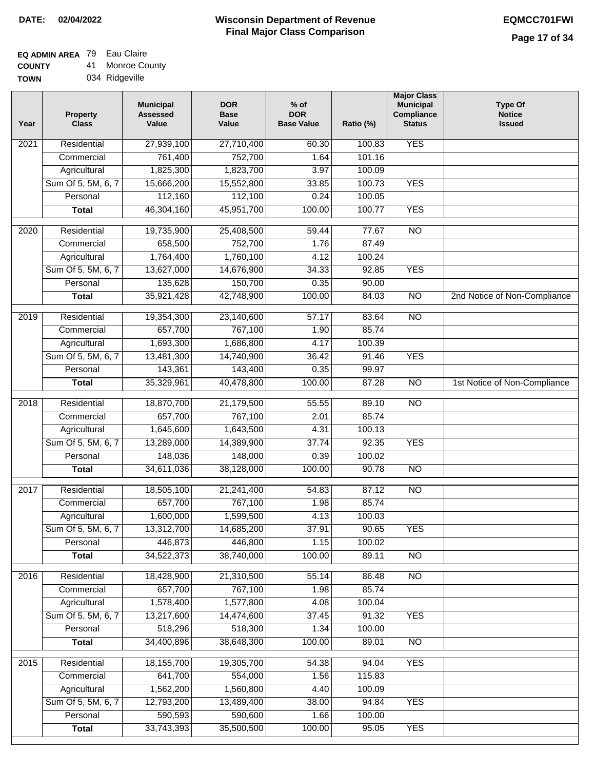## **EQ ADMIN AREA** 79 Eau Claire

**COUNTY TOWN** 41 Monroe County

| . T | 4 I | <b>IVIUI IIUU CU</b> |
|-----|-----|----------------------|
|     |     | 034 Ridgeville       |

| <b>YES</b><br>Residential<br>$\overline{202}1$<br>27,939,100<br>27,710,400<br>60.30<br>100.83<br>761,400<br>752,700<br>1.64<br>101.16<br>Commercial<br>Agricultural<br>1,825,300<br>1,823,700<br>3.97<br>100.09<br>Sum Of 5, 5M, 6, 7<br>15,666,200<br>15,552,800<br>33.85<br>100.73<br><b>YES</b><br>112,160<br>112,100<br>100.05<br>Personal<br>0.24<br>46,304,160<br>45,951,700<br>100.00<br>100.77<br><b>YES</b><br><b>Total</b><br>$\overline{NO}$<br>$\overline{2020}$<br>Residential<br>19,735,900<br>25,408,500<br>59.44<br>77.67<br>658,500<br>752,700<br>1.76<br>87.49<br>Commercial<br>1,764,400<br>1,760,100<br>4.12<br>100.24<br>Agricultural<br>Sum Of 5, 5M, 6, 7<br>13,627,000<br><b>YES</b><br>14,676,900<br>34.33<br>92.85<br>150,700<br>90.00<br>Personal<br>135,628<br>0.35<br>$\overline{NO}$<br>35,921,428<br>42,748,900<br>100.00<br>2nd Notice of Non-Compliance<br><b>Total</b><br>84.03<br>2019<br>Residential<br>19,354,300<br>23,140,600<br>57.17<br>83.64<br>$\overline{NO}$<br>657,700<br>767,100<br>85.74<br>Commercial<br>1.90<br>1,693,300<br>1,686,800<br>100.39<br>Agricultural<br>4.17<br><b>YES</b><br>Sum Of 5, 5M, 6, 7<br>13,481,300<br>14,740,900<br>36.42<br>91.46<br>Personal<br>143,361<br>143,400<br>0.35<br>99.97<br>40,478,800<br>100.00<br>$\overline{NO}$<br><b>Total</b><br>35,329,961<br>87.28<br>1st Notice of Non-Compliance<br>Residential<br>18,870,700<br>21,179,500<br>55.55<br>$\overline{NO}$<br>2018<br>89.10<br>657,700<br>767,100<br>85.74<br>Commercial<br>2.01<br>1,643,500<br>100.13<br>Agricultural<br>1,645,600<br>4.31<br>Sum Of 5, 5M, 6, 7<br>13,289,000<br>14,389,900<br>92.35<br><b>YES</b><br>37.74<br>Personal<br>148,036<br>148,000<br>0.39<br>100.02<br>34,611,036<br>38,128,000<br>100.00<br>90.78<br><b>NO</b><br><b>Total</b><br>$\overline{2017}$<br>Residential<br>18,505,100<br>21,241,400<br>87.12<br>$\overline{NO}$<br>54.83<br>Commercial<br>657,700<br>767,100<br>1.98<br>85.74<br>1,600,000<br>1,599,500<br>4.13<br>100.03<br>Agricultural<br>37.91<br>Sum Of 5, 5M, 6, 7<br>13,312,700<br>14,685,200<br>90.65<br><b>YES</b><br>Personal<br>446,873<br>446,800<br>1.15<br>100.02<br>34,522,373<br>38,740,000<br>100.00<br>89.11<br><b>Total</b><br><b>NO</b><br>Residential<br>18,428,900<br>21,310,500<br>$\overline{NO}$<br>2016<br>55.14<br>86.48<br>657,700<br>767,100<br>85.74<br>Commercial<br>1.98<br>1,578,400<br>1,577,800<br>4.08<br>100.04<br>Agricultural<br>Sum Of 5, 5M, 6, 7<br>14,474,600<br><b>YES</b><br>13,217,600<br>37.45<br>91.32<br>518,296<br>518,300<br>100.00<br>Personal<br>1.34<br>34,400,896<br>38,648,300<br>100.00<br>$\overline{NO}$<br><b>Total</b><br>89.01<br><b>YES</b><br>Residential<br>18,155,700<br>19,305,700<br>54.38<br>94.04<br>2015<br>641,700<br>554,000<br>1.56<br>115.83<br>Commercial<br>1,562,200<br>1,560,800<br>4.40<br>100.09<br>Agricultural<br>Sum Of 5, 5M, 6, 7<br>12,793,200<br>13,489,400<br>94.84<br><b>YES</b><br>38.00<br>590,593<br>590,600<br>Personal<br>1.66<br>100.00<br>35,500,500<br>33,743,393<br>100.00<br>95.05<br><b>YES</b><br><b>Total</b> | Year | <b>Property</b><br><b>Class</b> | <b>Municipal</b><br><b>Assessed</b><br>Value | <b>DOR</b><br><b>Base</b><br>Value | $%$ of<br><b>DOR</b><br><b>Base Value</b> | Ratio (%) | <b>Major Class</b><br><b>Municipal</b><br>Compliance<br><b>Status</b> | <b>Type Of</b><br><b>Notice</b><br><b>Issued</b> |
|---------------------------------------------------------------------------------------------------------------------------------------------------------------------------------------------------------------------------------------------------------------------------------------------------------------------------------------------------------------------------------------------------------------------------------------------------------------------------------------------------------------------------------------------------------------------------------------------------------------------------------------------------------------------------------------------------------------------------------------------------------------------------------------------------------------------------------------------------------------------------------------------------------------------------------------------------------------------------------------------------------------------------------------------------------------------------------------------------------------------------------------------------------------------------------------------------------------------------------------------------------------------------------------------------------------------------------------------------------------------------------------------------------------------------------------------------------------------------------------------------------------------------------------------------------------------------------------------------------------------------------------------------------------------------------------------------------------------------------------------------------------------------------------------------------------------------------------------------------------------------------------------------------------------------------------------------------------------------------------------------------------------------------------------------------------------------------------------------------------------------------------------------------------------------------------------------------------------------------------------------------------------------------------------------------------------------------------------------------------------------------------------------------------------------------------------------------------------------------------------------------------------------------------------------------------------------------------------------------------------------------------------------------------------------------------------------------------------------------------------------------------------------------------------------------------------------------------------------------------------------------------------------------------------------------------------------------------------------------------------------------------------------------------------------------------------------------------------------------------|------|---------------------------------|----------------------------------------------|------------------------------------|-------------------------------------------|-----------|-----------------------------------------------------------------------|--------------------------------------------------|
|                                                                                                                                                                                                                                                                                                                                                                                                                                                                                                                                                                                                                                                                                                                                                                                                                                                                                                                                                                                                                                                                                                                                                                                                                                                                                                                                                                                                                                                                                                                                                                                                                                                                                                                                                                                                                                                                                                                                                                                                                                                                                                                                                                                                                                                                                                                                                                                                                                                                                                                                                                                                                                                                                                                                                                                                                                                                                                                                                                                                                                                                                                               |      |                                 |                                              |                                    |                                           |           |                                                                       |                                                  |
|                                                                                                                                                                                                                                                                                                                                                                                                                                                                                                                                                                                                                                                                                                                                                                                                                                                                                                                                                                                                                                                                                                                                                                                                                                                                                                                                                                                                                                                                                                                                                                                                                                                                                                                                                                                                                                                                                                                                                                                                                                                                                                                                                                                                                                                                                                                                                                                                                                                                                                                                                                                                                                                                                                                                                                                                                                                                                                                                                                                                                                                                                                               |      |                                 |                                              |                                    |                                           |           |                                                                       |                                                  |
|                                                                                                                                                                                                                                                                                                                                                                                                                                                                                                                                                                                                                                                                                                                                                                                                                                                                                                                                                                                                                                                                                                                                                                                                                                                                                                                                                                                                                                                                                                                                                                                                                                                                                                                                                                                                                                                                                                                                                                                                                                                                                                                                                                                                                                                                                                                                                                                                                                                                                                                                                                                                                                                                                                                                                                                                                                                                                                                                                                                                                                                                                                               |      |                                 |                                              |                                    |                                           |           |                                                                       |                                                  |
|                                                                                                                                                                                                                                                                                                                                                                                                                                                                                                                                                                                                                                                                                                                                                                                                                                                                                                                                                                                                                                                                                                                                                                                                                                                                                                                                                                                                                                                                                                                                                                                                                                                                                                                                                                                                                                                                                                                                                                                                                                                                                                                                                                                                                                                                                                                                                                                                                                                                                                                                                                                                                                                                                                                                                                                                                                                                                                                                                                                                                                                                                                               |      |                                 |                                              |                                    |                                           |           |                                                                       |                                                  |
|                                                                                                                                                                                                                                                                                                                                                                                                                                                                                                                                                                                                                                                                                                                                                                                                                                                                                                                                                                                                                                                                                                                                                                                                                                                                                                                                                                                                                                                                                                                                                                                                                                                                                                                                                                                                                                                                                                                                                                                                                                                                                                                                                                                                                                                                                                                                                                                                                                                                                                                                                                                                                                                                                                                                                                                                                                                                                                                                                                                                                                                                                                               |      |                                 |                                              |                                    |                                           |           |                                                                       |                                                  |
|                                                                                                                                                                                                                                                                                                                                                                                                                                                                                                                                                                                                                                                                                                                                                                                                                                                                                                                                                                                                                                                                                                                                                                                                                                                                                                                                                                                                                                                                                                                                                                                                                                                                                                                                                                                                                                                                                                                                                                                                                                                                                                                                                                                                                                                                                                                                                                                                                                                                                                                                                                                                                                                                                                                                                                                                                                                                                                                                                                                                                                                                                                               |      |                                 |                                              |                                    |                                           |           |                                                                       |                                                  |
|                                                                                                                                                                                                                                                                                                                                                                                                                                                                                                                                                                                                                                                                                                                                                                                                                                                                                                                                                                                                                                                                                                                                                                                                                                                                                                                                                                                                                                                                                                                                                                                                                                                                                                                                                                                                                                                                                                                                                                                                                                                                                                                                                                                                                                                                                                                                                                                                                                                                                                                                                                                                                                                                                                                                                                                                                                                                                                                                                                                                                                                                                                               |      |                                 |                                              |                                    |                                           |           |                                                                       |                                                  |
|                                                                                                                                                                                                                                                                                                                                                                                                                                                                                                                                                                                                                                                                                                                                                                                                                                                                                                                                                                                                                                                                                                                                                                                                                                                                                                                                                                                                                                                                                                                                                                                                                                                                                                                                                                                                                                                                                                                                                                                                                                                                                                                                                                                                                                                                                                                                                                                                                                                                                                                                                                                                                                                                                                                                                                                                                                                                                                                                                                                                                                                                                                               |      |                                 |                                              |                                    |                                           |           |                                                                       |                                                  |
|                                                                                                                                                                                                                                                                                                                                                                                                                                                                                                                                                                                                                                                                                                                                                                                                                                                                                                                                                                                                                                                                                                                                                                                                                                                                                                                                                                                                                                                                                                                                                                                                                                                                                                                                                                                                                                                                                                                                                                                                                                                                                                                                                                                                                                                                                                                                                                                                                                                                                                                                                                                                                                                                                                                                                                                                                                                                                                                                                                                                                                                                                                               |      |                                 |                                              |                                    |                                           |           |                                                                       |                                                  |
|                                                                                                                                                                                                                                                                                                                                                                                                                                                                                                                                                                                                                                                                                                                                                                                                                                                                                                                                                                                                                                                                                                                                                                                                                                                                                                                                                                                                                                                                                                                                                                                                                                                                                                                                                                                                                                                                                                                                                                                                                                                                                                                                                                                                                                                                                                                                                                                                                                                                                                                                                                                                                                                                                                                                                                                                                                                                                                                                                                                                                                                                                                               |      |                                 |                                              |                                    |                                           |           |                                                                       |                                                  |
|                                                                                                                                                                                                                                                                                                                                                                                                                                                                                                                                                                                                                                                                                                                                                                                                                                                                                                                                                                                                                                                                                                                                                                                                                                                                                                                                                                                                                                                                                                                                                                                                                                                                                                                                                                                                                                                                                                                                                                                                                                                                                                                                                                                                                                                                                                                                                                                                                                                                                                                                                                                                                                                                                                                                                                                                                                                                                                                                                                                                                                                                                                               |      |                                 |                                              |                                    |                                           |           |                                                                       |                                                  |
|                                                                                                                                                                                                                                                                                                                                                                                                                                                                                                                                                                                                                                                                                                                                                                                                                                                                                                                                                                                                                                                                                                                                                                                                                                                                                                                                                                                                                                                                                                                                                                                                                                                                                                                                                                                                                                                                                                                                                                                                                                                                                                                                                                                                                                                                                                                                                                                                                                                                                                                                                                                                                                                                                                                                                                                                                                                                                                                                                                                                                                                                                                               |      |                                 |                                              |                                    |                                           |           |                                                                       |                                                  |
|                                                                                                                                                                                                                                                                                                                                                                                                                                                                                                                                                                                                                                                                                                                                                                                                                                                                                                                                                                                                                                                                                                                                                                                                                                                                                                                                                                                                                                                                                                                                                                                                                                                                                                                                                                                                                                                                                                                                                                                                                                                                                                                                                                                                                                                                                                                                                                                                                                                                                                                                                                                                                                                                                                                                                                                                                                                                                                                                                                                                                                                                                                               |      |                                 |                                              |                                    |                                           |           |                                                                       |                                                  |
|                                                                                                                                                                                                                                                                                                                                                                                                                                                                                                                                                                                                                                                                                                                                                                                                                                                                                                                                                                                                                                                                                                                                                                                                                                                                                                                                                                                                                                                                                                                                                                                                                                                                                                                                                                                                                                                                                                                                                                                                                                                                                                                                                                                                                                                                                                                                                                                                                                                                                                                                                                                                                                                                                                                                                                                                                                                                                                                                                                                                                                                                                                               |      |                                 |                                              |                                    |                                           |           |                                                                       |                                                  |
|                                                                                                                                                                                                                                                                                                                                                                                                                                                                                                                                                                                                                                                                                                                                                                                                                                                                                                                                                                                                                                                                                                                                                                                                                                                                                                                                                                                                                                                                                                                                                                                                                                                                                                                                                                                                                                                                                                                                                                                                                                                                                                                                                                                                                                                                                                                                                                                                                                                                                                                                                                                                                                                                                                                                                                                                                                                                                                                                                                                                                                                                                                               |      |                                 |                                              |                                    |                                           |           |                                                                       |                                                  |
|                                                                                                                                                                                                                                                                                                                                                                                                                                                                                                                                                                                                                                                                                                                                                                                                                                                                                                                                                                                                                                                                                                                                                                                                                                                                                                                                                                                                                                                                                                                                                                                                                                                                                                                                                                                                                                                                                                                                                                                                                                                                                                                                                                                                                                                                                                                                                                                                                                                                                                                                                                                                                                                                                                                                                                                                                                                                                                                                                                                                                                                                                                               |      |                                 |                                              |                                    |                                           |           |                                                                       |                                                  |
|                                                                                                                                                                                                                                                                                                                                                                                                                                                                                                                                                                                                                                                                                                                                                                                                                                                                                                                                                                                                                                                                                                                                                                                                                                                                                                                                                                                                                                                                                                                                                                                                                                                                                                                                                                                                                                                                                                                                                                                                                                                                                                                                                                                                                                                                                                                                                                                                                                                                                                                                                                                                                                                                                                                                                                                                                                                                                                                                                                                                                                                                                                               |      |                                 |                                              |                                    |                                           |           |                                                                       |                                                  |
|                                                                                                                                                                                                                                                                                                                                                                                                                                                                                                                                                                                                                                                                                                                                                                                                                                                                                                                                                                                                                                                                                                                                                                                                                                                                                                                                                                                                                                                                                                                                                                                                                                                                                                                                                                                                                                                                                                                                                                                                                                                                                                                                                                                                                                                                                                                                                                                                                                                                                                                                                                                                                                                                                                                                                                                                                                                                                                                                                                                                                                                                                                               |      |                                 |                                              |                                    |                                           |           |                                                                       |                                                  |
|                                                                                                                                                                                                                                                                                                                                                                                                                                                                                                                                                                                                                                                                                                                                                                                                                                                                                                                                                                                                                                                                                                                                                                                                                                                                                                                                                                                                                                                                                                                                                                                                                                                                                                                                                                                                                                                                                                                                                                                                                                                                                                                                                                                                                                                                                                                                                                                                                                                                                                                                                                                                                                                                                                                                                                                                                                                                                                                                                                                                                                                                                                               |      |                                 |                                              |                                    |                                           |           |                                                                       |                                                  |
|                                                                                                                                                                                                                                                                                                                                                                                                                                                                                                                                                                                                                                                                                                                                                                                                                                                                                                                                                                                                                                                                                                                                                                                                                                                                                                                                                                                                                                                                                                                                                                                                                                                                                                                                                                                                                                                                                                                                                                                                                                                                                                                                                                                                                                                                                                                                                                                                                                                                                                                                                                                                                                                                                                                                                                                                                                                                                                                                                                                                                                                                                                               |      |                                 |                                              |                                    |                                           |           |                                                                       |                                                  |
|                                                                                                                                                                                                                                                                                                                                                                                                                                                                                                                                                                                                                                                                                                                                                                                                                                                                                                                                                                                                                                                                                                                                                                                                                                                                                                                                                                                                                                                                                                                                                                                                                                                                                                                                                                                                                                                                                                                                                                                                                                                                                                                                                                                                                                                                                                                                                                                                                                                                                                                                                                                                                                                                                                                                                                                                                                                                                                                                                                                                                                                                                                               |      |                                 |                                              |                                    |                                           |           |                                                                       |                                                  |
|                                                                                                                                                                                                                                                                                                                                                                                                                                                                                                                                                                                                                                                                                                                                                                                                                                                                                                                                                                                                                                                                                                                                                                                                                                                                                                                                                                                                                                                                                                                                                                                                                                                                                                                                                                                                                                                                                                                                                                                                                                                                                                                                                                                                                                                                                                                                                                                                                                                                                                                                                                                                                                                                                                                                                                                                                                                                                                                                                                                                                                                                                                               |      |                                 |                                              |                                    |                                           |           |                                                                       |                                                  |
|                                                                                                                                                                                                                                                                                                                                                                                                                                                                                                                                                                                                                                                                                                                                                                                                                                                                                                                                                                                                                                                                                                                                                                                                                                                                                                                                                                                                                                                                                                                                                                                                                                                                                                                                                                                                                                                                                                                                                                                                                                                                                                                                                                                                                                                                                                                                                                                                                                                                                                                                                                                                                                                                                                                                                                                                                                                                                                                                                                                                                                                                                                               |      |                                 |                                              |                                    |                                           |           |                                                                       |                                                  |
|                                                                                                                                                                                                                                                                                                                                                                                                                                                                                                                                                                                                                                                                                                                                                                                                                                                                                                                                                                                                                                                                                                                                                                                                                                                                                                                                                                                                                                                                                                                                                                                                                                                                                                                                                                                                                                                                                                                                                                                                                                                                                                                                                                                                                                                                                                                                                                                                                                                                                                                                                                                                                                                                                                                                                                                                                                                                                                                                                                                                                                                                                                               |      |                                 |                                              |                                    |                                           |           |                                                                       |                                                  |
|                                                                                                                                                                                                                                                                                                                                                                                                                                                                                                                                                                                                                                                                                                                                                                                                                                                                                                                                                                                                                                                                                                                                                                                                                                                                                                                                                                                                                                                                                                                                                                                                                                                                                                                                                                                                                                                                                                                                                                                                                                                                                                                                                                                                                                                                                                                                                                                                                                                                                                                                                                                                                                                                                                                                                                                                                                                                                                                                                                                                                                                                                                               |      |                                 |                                              |                                    |                                           |           |                                                                       |                                                  |
|                                                                                                                                                                                                                                                                                                                                                                                                                                                                                                                                                                                                                                                                                                                                                                                                                                                                                                                                                                                                                                                                                                                                                                                                                                                                                                                                                                                                                                                                                                                                                                                                                                                                                                                                                                                                                                                                                                                                                                                                                                                                                                                                                                                                                                                                                                                                                                                                                                                                                                                                                                                                                                                                                                                                                                                                                                                                                                                                                                                                                                                                                                               |      |                                 |                                              |                                    |                                           |           |                                                                       |                                                  |
|                                                                                                                                                                                                                                                                                                                                                                                                                                                                                                                                                                                                                                                                                                                                                                                                                                                                                                                                                                                                                                                                                                                                                                                                                                                                                                                                                                                                                                                                                                                                                                                                                                                                                                                                                                                                                                                                                                                                                                                                                                                                                                                                                                                                                                                                                                                                                                                                                                                                                                                                                                                                                                                                                                                                                                                                                                                                                                                                                                                                                                                                                                               |      |                                 |                                              |                                    |                                           |           |                                                                       |                                                  |
|                                                                                                                                                                                                                                                                                                                                                                                                                                                                                                                                                                                                                                                                                                                                                                                                                                                                                                                                                                                                                                                                                                                                                                                                                                                                                                                                                                                                                                                                                                                                                                                                                                                                                                                                                                                                                                                                                                                                                                                                                                                                                                                                                                                                                                                                                                                                                                                                                                                                                                                                                                                                                                                                                                                                                                                                                                                                                                                                                                                                                                                                                                               |      |                                 |                                              |                                    |                                           |           |                                                                       |                                                  |
|                                                                                                                                                                                                                                                                                                                                                                                                                                                                                                                                                                                                                                                                                                                                                                                                                                                                                                                                                                                                                                                                                                                                                                                                                                                                                                                                                                                                                                                                                                                                                                                                                                                                                                                                                                                                                                                                                                                                                                                                                                                                                                                                                                                                                                                                                                                                                                                                                                                                                                                                                                                                                                                                                                                                                                                                                                                                                                                                                                                                                                                                                                               |      |                                 |                                              |                                    |                                           |           |                                                                       |                                                  |
|                                                                                                                                                                                                                                                                                                                                                                                                                                                                                                                                                                                                                                                                                                                                                                                                                                                                                                                                                                                                                                                                                                                                                                                                                                                                                                                                                                                                                                                                                                                                                                                                                                                                                                                                                                                                                                                                                                                                                                                                                                                                                                                                                                                                                                                                                                                                                                                                                                                                                                                                                                                                                                                                                                                                                                                                                                                                                                                                                                                                                                                                                                               |      |                                 |                                              |                                    |                                           |           |                                                                       |                                                  |
|                                                                                                                                                                                                                                                                                                                                                                                                                                                                                                                                                                                                                                                                                                                                                                                                                                                                                                                                                                                                                                                                                                                                                                                                                                                                                                                                                                                                                                                                                                                                                                                                                                                                                                                                                                                                                                                                                                                                                                                                                                                                                                                                                                                                                                                                                                                                                                                                                                                                                                                                                                                                                                                                                                                                                                                                                                                                                                                                                                                                                                                                                                               |      |                                 |                                              |                                    |                                           |           |                                                                       |                                                  |
|                                                                                                                                                                                                                                                                                                                                                                                                                                                                                                                                                                                                                                                                                                                                                                                                                                                                                                                                                                                                                                                                                                                                                                                                                                                                                                                                                                                                                                                                                                                                                                                                                                                                                                                                                                                                                                                                                                                                                                                                                                                                                                                                                                                                                                                                                                                                                                                                                                                                                                                                                                                                                                                                                                                                                                                                                                                                                                                                                                                                                                                                                                               |      |                                 |                                              |                                    |                                           |           |                                                                       |                                                  |
|                                                                                                                                                                                                                                                                                                                                                                                                                                                                                                                                                                                                                                                                                                                                                                                                                                                                                                                                                                                                                                                                                                                                                                                                                                                                                                                                                                                                                                                                                                                                                                                                                                                                                                                                                                                                                                                                                                                                                                                                                                                                                                                                                                                                                                                                                                                                                                                                                                                                                                                                                                                                                                                                                                                                                                                                                                                                                                                                                                                                                                                                                                               |      |                                 |                                              |                                    |                                           |           |                                                                       |                                                  |
|                                                                                                                                                                                                                                                                                                                                                                                                                                                                                                                                                                                                                                                                                                                                                                                                                                                                                                                                                                                                                                                                                                                                                                                                                                                                                                                                                                                                                                                                                                                                                                                                                                                                                                                                                                                                                                                                                                                                                                                                                                                                                                                                                                                                                                                                                                                                                                                                                                                                                                                                                                                                                                                                                                                                                                                                                                                                                                                                                                                                                                                                                                               |      |                                 |                                              |                                    |                                           |           |                                                                       |                                                  |
|                                                                                                                                                                                                                                                                                                                                                                                                                                                                                                                                                                                                                                                                                                                                                                                                                                                                                                                                                                                                                                                                                                                                                                                                                                                                                                                                                                                                                                                                                                                                                                                                                                                                                                                                                                                                                                                                                                                                                                                                                                                                                                                                                                                                                                                                                                                                                                                                                                                                                                                                                                                                                                                                                                                                                                                                                                                                                                                                                                                                                                                                                                               |      |                                 |                                              |                                    |                                           |           |                                                                       |                                                  |
|                                                                                                                                                                                                                                                                                                                                                                                                                                                                                                                                                                                                                                                                                                                                                                                                                                                                                                                                                                                                                                                                                                                                                                                                                                                                                                                                                                                                                                                                                                                                                                                                                                                                                                                                                                                                                                                                                                                                                                                                                                                                                                                                                                                                                                                                                                                                                                                                                                                                                                                                                                                                                                                                                                                                                                                                                                                                                                                                                                                                                                                                                                               |      |                                 |                                              |                                    |                                           |           |                                                                       |                                                  |
|                                                                                                                                                                                                                                                                                                                                                                                                                                                                                                                                                                                                                                                                                                                                                                                                                                                                                                                                                                                                                                                                                                                                                                                                                                                                                                                                                                                                                                                                                                                                                                                                                                                                                                                                                                                                                                                                                                                                                                                                                                                                                                                                                                                                                                                                                                                                                                                                                                                                                                                                                                                                                                                                                                                                                                                                                                                                                                                                                                                                                                                                                                               |      |                                 |                                              |                                    |                                           |           |                                                                       |                                                  |
|                                                                                                                                                                                                                                                                                                                                                                                                                                                                                                                                                                                                                                                                                                                                                                                                                                                                                                                                                                                                                                                                                                                                                                                                                                                                                                                                                                                                                                                                                                                                                                                                                                                                                                                                                                                                                                                                                                                                                                                                                                                                                                                                                                                                                                                                                                                                                                                                                                                                                                                                                                                                                                                                                                                                                                                                                                                                                                                                                                                                                                                                                                               |      |                                 |                                              |                                    |                                           |           |                                                                       |                                                  |
|                                                                                                                                                                                                                                                                                                                                                                                                                                                                                                                                                                                                                                                                                                                                                                                                                                                                                                                                                                                                                                                                                                                                                                                                                                                                                                                                                                                                                                                                                                                                                                                                                                                                                                                                                                                                                                                                                                                                                                                                                                                                                                                                                                                                                                                                                                                                                                                                                                                                                                                                                                                                                                                                                                                                                                                                                                                                                                                                                                                                                                                                                                               |      |                                 |                                              |                                    |                                           |           |                                                                       |                                                  |
|                                                                                                                                                                                                                                                                                                                                                                                                                                                                                                                                                                                                                                                                                                                                                                                                                                                                                                                                                                                                                                                                                                                                                                                                                                                                                                                                                                                                                                                                                                                                                                                                                                                                                                                                                                                                                                                                                                                                                                                                                                                                                                                                                                                                                                                                                                                                                                                                                                                                                                                                                                                                                                                                                                                                                                                                                                                                                                                                                                                                                                                                                                               |      |                                 |                                              |                                    |                                           |           |                                                                       |                                                  |
|                                                                                                                                                                                                                                                                                                                                                                                                                                                                                                                                                                                                                                                                                                                                                                                                                                                                                                                                                                                                                                                                                                                                                                                                                                                                                                                                                                                                                                                                                                                                                                                                                                                                                                                                                                                                                                                                                                                                                                                                                                                                                                                                                                                                                                                                                                                                                                                                                                                                                                                                                                                                                                                                                                                                                                                                                                                                                                                                                                                                                                                                                                               |      |                                 |                                              |                                    |                                           |           |                                                                       |                                                  |
|                                                                                                                                                                                                                                                                                                                                                                                                                                                                                                                                                                                                                                                                                                                                                                                                                                                                                                                                                                                                                                                                                                                                                                                                                                                                                                                                                                                                                                                                                                                                                                                                                                                                                                                                                                                                                                                                                                                                                                                                                                                                                                                                                                                                                                                                                                                                                                                                                                                                                                                                                                                                                                                                                                                                                                                                                                                                                                                                                                                                                                                                                                               |      |                                 |                                              |                                    |                                           |           |                                                                       |                                                  |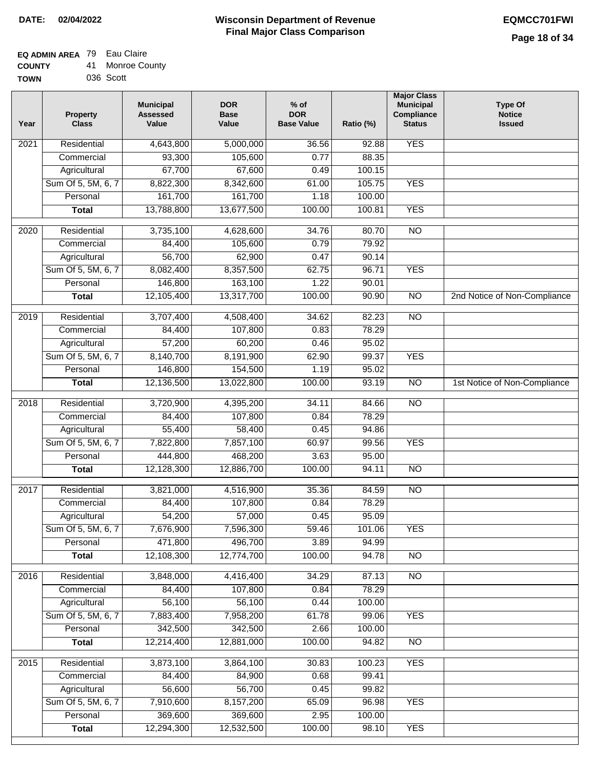#### **EQ ADMIN AREA** 79 Eau Claire **COUNTY** 41 Monroe County

| --------    |           |  |
|-------------|-----------|--|
| <b>TOWN</b> | 036 Scott |  |

| Year | <b>Property</b><br><b>Class</b> | <b>Municipal</b><br><b>Assessed</b><br>Value | <b>DOR</b><br><b>Base</b><br>Value | % of<br><b>DOR</b><br><b>Base Value</b> | Ratio (%)      | <b>Major Class</b><br><b>Municipal</b><br>Compliance<br><b>Status</b> | <b>Type Of</b><br><b>Notice</b><br><b>Issued</b> |
|------|---------------------------------|----------------------------------------------|------------------------------------|-----------------------------------------|----------------|-----------------------------------------------------------------------|--------------------------------------------------|
| 2021 | Residential                     | 4,643,800                                    | 5,000,000                          | 36.56                                   | 92.88          | <b>YES</b>                                                            |                                                  |
|      | Commercial                      | 93,300                                       | 105,600                            | 0.77                                    | 88.35          |                                                                       |                                                  |
|      | Agricultural                    | 67,700                                       | 67,600                             | 0.49                                    | 100.15         |                                                                       |                                                  |
|      | Sum Of 5, 5M, 6, 7              | 8,822,300                                    | 8,342,600                          | 61.00                                   | 105.75         | <b>YES</b>                                                            |                                                  |
|      | Personal                        | 161,700                                      | 161,700                            | 1.18                                    | 100.00         |                                                                       |                                                  |
|      | <b>Total</b>                    | 13,788,800                                   | 13,677,500                         | 100.00                                  | 100.81         | <b>YES</b>                                                            |                                                  |
| 2020 | Residential                     | 3,735,100                                    | 4,628,600                          | 34.76                                   | 80.70          | $\overline{10}$                                                       |                                                  |
|      | Commercial                      | 84,400                                       | 105,600                            | 0.79                                    | 79.92          |                                                                       |                                                  |
|      | Agricultural                    | 56,700                                       | 62,900                             | 0.47                                    | 90.14          |                                                                       |                                                  |
|      | Sum Of 5, 5M, 6, 7              | 8,082,400                                    | 8,357,500                          | 62.75                                   | 96.71          | <b>YES</b>                                                            |                                                  |
|      | Personal                        | 146,800                                      | 163,100                            | 1.22                                    | 90.01          |                                                                       |                                                  |
|      | <b>Total</b>                    | 12,105,400                                   | 13,317,700                         | 100.00                                  | 90.90          | $\overline{NO}$                                                       | 2nd Notice of Non-Compliance                     |
| 2019 | Residential                     | 3,707,400                                    | 4,508,400                          | 34.62                                   | 82.23          | $\overline{NO}$                                                       |                                                  |
|      | Commercial                      | 84,400                                       | 107,800                            | 0.83                                    | 78.29          |                                                                       |                                                  |
|      | Agricultural                    | 57,200                                       | 60,200                             | 0.46                                    | 95.02          |                                                                       |                                                  |
|      | Sum Of 5, 5M, 6, 7              | 8,140,700                                    | 8,191,900                          | 62.90                                   | 99.37          | <b>YES</b>                                                            |                                                  |
|      | Personal                        | 146,800                                      | 154,500                            | 1.19                                    | 95.02          |                                                                       |                                                  |
|      | <b>Total</b>                    | 12,136,500                                   | 13,022,800                         | 100.00                                  | 93.19          | $\overline{NO}$                                                       | 1st Notice of Non-Compliance                     |
|      |                                 |                                              |                                    |                                         |                | $\overline{NO}$                                                       |                                                  |
| 2018 | Residential<br>Commercial       | 3,720,900<br>84,400                          | 4,395,200<br>107,800               | 34.11<br>0.84                           | 84.66<br>78.29 |                                                                       |                                                  |
|      | Agricultural                    | 55,400                                       | 58,400                             | 0.45                                    | 94.86          |                                                                       |                                                  |
|      | Sum Of 5, 5M, 6, 7              | 7,822,800                                    | 7,857,100                          | 60.97                                   | 99.56          | <b>YES</b>                                                            |                                                  |
|      | Personal                        | 444,800                                      | 468,200                            | 3.63                                    | 95.00          |                                                                       |                                                  |
|      | <b>Total</b>                    | 12,128,300                                   | 12,886,700                         | 100.00                                  | 94.11          | $\overline{10}$                                                       |                                                  |
|      |                                 |                                              |                                    |                                         |                |                                                                       |                                                  |
| 2017 | Residential                     | 3,821,000                                    | 4,516,900                          | 35.36                                   | 84.59          | <b>NO</b>                                                             |                                                  |
|      | Commercial                      | 84,400                                       | 107,800                            | 0.84                                    | 78.29          |                                                                       |                                                  |
|      | Agricultural                    | 54,200                                       | 57,000                             | 0.45                                    | 95.09          |                                                                       |                                                  |
|      | Sum Of 5, 5M, 6, 7              | 7,676,900                                    | 7,596,300                          | 59.46                                   | 101.06         | <b>YES</b>                                                            |                                                  |
|      | Personal                        | 471,800                                      | 496,700                            | 3.89                                    | 94.99          |                                                                       |                                                  |
|      | <b>Total</b>                    | 12,108,300                                   | 12,774,700                         | 100.00                                  | 94.78          | <b>NO</b>                                                             |                                                  |
| 2016 | Residential                     | 3,848,000                                    | 4,416,400                          | 34.29                                   | 87.13          | N <sub>O</sub>                                                        |                                                  |
|      | Commercial                      | 84,400                                       | 107,800                            | 0.84                                    | 78.29          |                                                                       |                                                  |
|      | Agricultural                    | 56,100                                       | 56,100                             | 0.44                                    | 100.00         |                                                                       |                                                  |
|      | Sum Of 5, 5M, 6, 7              | 7,883,400                                    | 7,958,200                          | 61.78                                   | 99.06          | <b>YES</b>                                                            |                                                  |
|      | Personal                        | 342,500                                      | 342,500                            | 2.66                                    | 100.00         |                                                                       |                                                  |
|      | <b>Total</b>                    | 12,214,400                                   | 12,881,000                         | 100.00                                  | 94.82          | N <sub>O</sub>                                                        |                                                  |
| 2015 | Residential                     | 3,873,100                                    | 3,864,100                          | 30.83                                   | 100.23         | <b>YES</b>                                                            |                                                  |
|      | Commercial                      | 84,400                                       | 84,900                             | 0.68                                    | 99.41          |                                                                       |                                                  |
|      | Agricultural                    | 56,600                                       | 56,700                             | 0.45                                    | 99.82          |                                                                       |                                                  |
|      | Sum Of 5, 5M, 6, 7              | 7,910,600                                    | 8,157,200                          | 65.09                                   | 96.98          | <b>YES</b>                                                            |                                                  |
|      | Personal                        | 369,600                                      | 369,600                            | 2.95                                    | 100.00         |                                                                       |                                                  |
|      | <b>Total</b>                    | 12,294,300                                   | 12,532,500                         | 100.00                                  | 98.10          | <b>YES</b>                                                            |                                                  |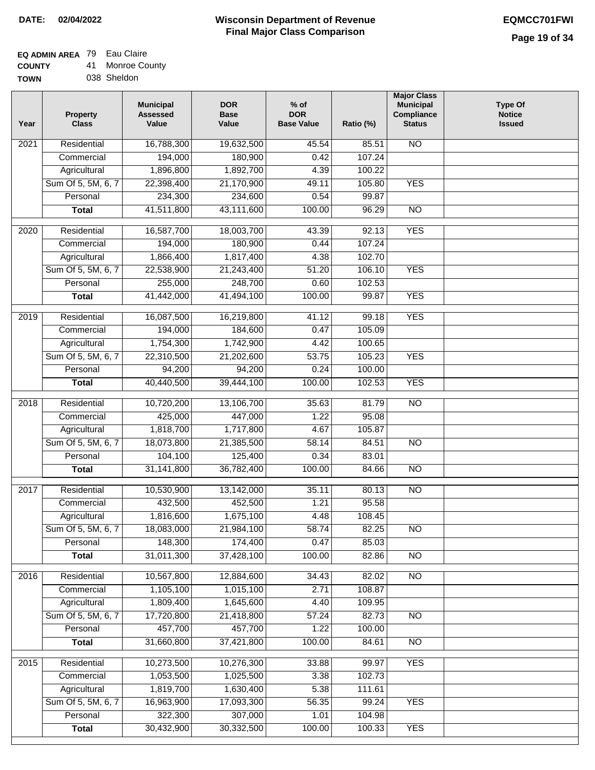# **EQ ADMIN AREA** 79 Eau Claire

| <b>COUNTY</b> | 41. | Monroe County |
|---------------|-----|---------------|
| <b>TOWN</b>   |     | 038 Sheldon   |

| Year              | <b>Property</b><br><b>Class</b> | <b>Municipal</b><br><b>Assessed</b><br>Value | <b>DOR</b><br><b>Base</b><br>Value | % of<br><b>DOR</b><br><b>Base Value</b> | Ratio (%) | <b>Major Class</b><br><b>Municipal</b><br>Compliance<br><b>Status</b> | <b>Type Of</b><br><b>Notice</b><br><b>Issued</b> |
|-------------------|---------------------------------|----------------------------------------------|------------------------------------|-----------------------------------------|-----------|-----------------------------------------------------------------------|--------------------------------------------------|
| $\overline{202}1$ | Residential                     | 16,788,300                                   | 19,632,500                         | 45.54                                   | 85.51     | N <sub>O</sub>                                                        |                                                  |
|                   | Commercial                      | 194,000                                      | 180,900                            | 0.42                                    | 107.24    |                                                                       |                                                  |
|                   | Agricultural                    | 1,896,800                                    | 1,892,700                          | 4.39                                    | 100.22    |                                                                       |                                                  |
|                   | Sum Of 5, 5M, 6, 7              | 22,398,400                                   | 21,170,900                         | 49.11                                   | 105.80    | <b>YES</b>                                                            |                                                  |
|                   | Personal                        | 234,300                                      | 234,600                            | 0.54                                    | 99.87     |                                                                       |                                                  |
|                   | <b>Total</b>                    | 41,511,800                                   | 43,111,600                         | 100.00                                  | 96.29     | $\overline{NO}$                                                       |                                                  |
| $\overline{2020}$ | Residential                     | 16,587,700                                   | 18,003,700                         | 43.39                                   | 92.13     | <b>YES</b>                                                            |                                                  |
|                   | Commercial                      | 194,000                                      | 180,900                            | 0.44                                    | 107.24    |                                                                       |                                                  |
|                   | Agricultural                    | 1,866,400                                    | 1,817,400                          | 4.38                                    | 102.70    |                                                                       |                                                  |
|                   | Sum Of 5, 5M, 6, 7              | 22,538,900                                   | 21,243,400                         | 51.20                                   | 106.10    | <b>YES</b>                                                            |                                                  |
|                   | Personal                        | 255,000                                      | 248,700                            | 0.60                                    | 102.53    |                                                                       |                                                  |
|                   | <b>Total</b>                    | 41,442,000                                   | 41,494,100                         | 100.00                                  | 99.87     | <b>YES</b>                                                            |                                                  |
| $\frac{2019}{ }$  | Residential                     | 16,087,500                                   | 16,219,800                         | 41.12                                   | 99.18     | <b>YES</b>                                                            |                                                  |
|                   | Commercial                      | 194,000                                      | 184,600                            | 0.47                                    | 105.09    |                                                                       |                                                  |
|                   | Agricultural                    | 1,754,300                                    | 1,742,900                          | 4.42                                    | 100.65    |                                                                       |                                                  |
|                   | Sum Of 5, 5M, 6, 7              | 22,310,500                                   | 21,202,600                         | 53.75                                   | 105.23    | <b>YES</b>                                                            |                                                  |
|                   | Personal                        | 94,200                                       | 94,200                             | 0.24                                    | 100.00    |                                                                       |                                                  |
|                   | <b>Total</b>                    | 40,440,500                                   | 39,444,100                         | 100.00                                  | 102.53    | <b>YES</b>                                                            |                                                  |
| 2018              | Residential                     | 10,720,200                                   | 13,106,700                         | 35.63                                   | 81.79     | $\overline{10}$                                                       |                                                  |
|                   | Commercial                      | 425,000                                      | 447,000                            | 1.22                                    | 95.08     |                                                                       |                                                  |
|                   | Agricultural                    | 1,818,700                                    | 1,717,800                          | 4.67                                    | 105.87    |                                                                       |                                                  |
|                   | Sum Of 5, 5M, 6, 7              | 18,073,800                                   | 21,385,500                         | 58.14                                   | 84.51     | $\overline{3}$                                                        |                                                  |
|                   | Personal                        | 104,100                                      | 125,400                            | 0.34                                    | 83.01     |                                                                       |                                                  |
|                   | <b>Total</b>                    | 31,141,800                                   | 36,782,400                         | 100.00                                  | 84.66     | <b>NO</b>                                                             |                                                  |
| $\overline{2017}$ | Residential                     | 10,530,900                                   | 13,142,000                         | 35.11                                   | 80.13     | <b>NO</b>                                                             |                                                  |
|                   | Commercial                      | 432,500                                      | 452,500                            | 1.21                                    | 95.58     |                                                                       |                                                  |
|                   | Agricultural                    | 1,816,600                                    | 1,675,100                          | 4.48                                    | 108.45    |                                                                       |                                                  |
|                   | Sum Of 5, 5M, 6, 7              | 18,083,000                                   | 21,984,100                         | 58.74                                   | 82.25     | <b>NO</b>                                                             |                                                  |
|                   | Personal                        | 148,300                                      | 174,400                            | 0.47                                    | 85.03     |                                                                       |                                                  |
|                   | <b>Total</b>                    | 31,011,300                                   | 37,428,100                         | 100.00                                  | 82.86     | <b>NO</b>                                                             |                                                  |
| 2016              | Residential                     | 10,567,800                                   | 12,884,600                         | 34.43                                   | 82.02     | N <sub>O</sub>                                                        |                                                  |
|                   | Commercial                      | 1,105,100                                    | 1,015,100                          | 2.71                                    | 108.87    |                                                                       |                                                  |
|                   | Agricultural                    | 1,809,400                                    | 1,645,600                          | 4.40                                    | 109.95    |                                                                       |                                                  |
|                   | Sum Of 5, 5M, 6, 7              | 17,720,800                                   | 21,418,800                         | 57.24                                   | 82.73     | $\overline{NO}$                                                       |                                                  |
|                   | Personal                        | 457,700                                      | 457,700                            | 1.22                                    | 100.00    |                                                                       |                                                  |
|                   | <b>Total</b>                    | 31,660,800                                   | 37,421,800                         | 100.00                                  | 84.61     | $\overline{NO}$                                                       |                                                  |
| 2015              | Residential                     | 10,273,500                                   | 10,276,300                         | 33.88                                   | 99.97     | <b>YES</b>                                                            |                                                  |
|                   | Commercial                      | 1,053,500                                    | 1,025,500                          | 3.38                                    | 102.73    |                                                                       |                                                  |
|                   | Agricultural                    | 1,819,700                                    | 1,630,400                          | 5.38                                    | 111.61    |                                                                       |                                                  |
|                   | Sum Of 5, 5M, 6, 7              | 16,963,900                                   | 17,093,300                         | 56.35                                   | 99.24     | <b>YES</b>                                                            |                                                  |
|                   | Personal                        | 322,300                                      | 307,000                            | 1.01                                    | 104.98    |                                                                       |                                                  |
|                   | <b>Total</b>                    | 30,432,900                                   | 30,332,500                         | 100.00                                  | 100.33    | <b>YES</b>                                                            |                                                  |
|                   |                                 |                                              |                                    |                                         |           |                                                                       |                                                  |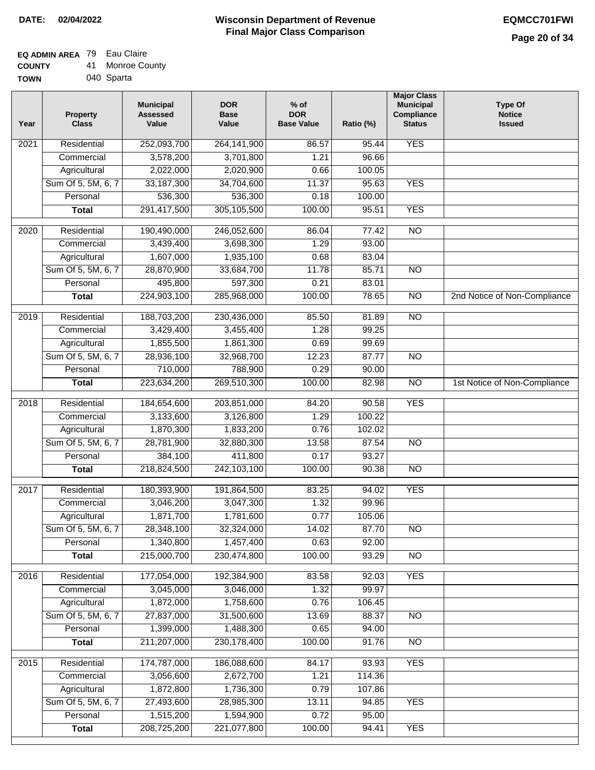### **EQ ADMIN AREA** 79 Eau Claire **COUNTY**

| <b>COUNTY</b> | 41 | <b>Monroe County</b> |
|---------------|----|----------------------|
| <b>TOWN</b>   |    | 040 Sparta           |

| Year              | <b>Property</b><br><b>Class</b> | <b>Municipal</b><br><b>Assessed</b><br>Value | <b>DOR</b><br><b>Base</b><br>Value | % of<br><b>DOR</b><br><b>Base Value</b> | Ratio (%) | <b>Major Class</b><br><b>Municipal</b><br>Compliance<br><b>Status</b> | <b>Type Of</b><br><b>Notice</b><br><b>Issued</b> |
|-------------------|---------------------------------|----------------------------------------------|------------------------------------|-----------------------------------------|-----------|-----------------------------------------------------------------------|--------------------------------------------------|
| 2021              | Residential                     | 252,093,700                                  | 264,141,900                        | 86.57                                   | 95.44     | <b>YES</b>                                                            |                                                  |
|                   | Commercial                      | 3,578,200                                    | 3,701,800                          | 1.21                                    | 96.66     |                                                                       |                                                  |
|                   | Agricultural                    | 2,022,000                                    | 2,020,900                          | 0.66                                    | 100.05    |                                                                       |                                                  |
|                   | Sum Of 5, 5M, 6, 7              | 33, 187, 300                                 | 34,704,600                         | 11.37                                   | 95.63     | <b>YES</b>                                                            |                                                  |
|                   | Personal                        | 536,300                                      | 536,300                            | 0.18                                    | 100.00    |                                                                       |                                                  |
|                   | <b>Total</b>                    | 291,417,500                                  | 305,105,500                        | 100.00                                  | 95.51     | <b>YES</b>                                                            |                                                  |
| 2020              | Residential                     | 190,490,000                                  | 246,052,600                        | 86.04                                   | 77.42     | $\overline{NO}$                                                       |                                                  |
|                   | Commercial                      | 3,439,400                                    | 3,698,300                          | 1.29                                    | 93.00     |                                                                       |                                                  |
|                   | Agricultural                    | 1,607,000                                    | 1,935,100                          | 0.68                                    | 83.04     |                                                                       |                                                  |
|                   | Sum Of 5, 5M, 6, 7              | 28,870,900                                   | 33,684,700                         | 11.78                                   | 85.71     | $\overline{NO}$                                                       |                                                  |
|                   | Personal                        | 495,800                                      | 597,300                            | 0.21                                    | 83.01     |                                                                       |                                                  |
|                   | <b>Total</b>                    | 224,903,100                                  | 285,968,000                        | 100.00                                  | 78.65     | $\overline{NO}$                                                       | 2nd Notice of Non-Compliance                     |
| 2019              | Residential                     | 188,703,200                                  | 230,436,000                        | 85.50                                   | 81.89     | $\overline{NO}$                                                       |                                                  |
|                   | Commercial                      | 3,429,400                                    | 3,455,400                          | 1.28                                    | 99.25     |                                                                       |                                                  |
|                   | Agricultural                    | 1,855,500                                    | 1,861,300                          | 0.69                                    | 99.69     |                                                                       |                                                  |
|                   | Sum Of 5, 5M, 6, 7              | 28,936,100                                   | 32,968,700                         | 12.23                                   | 87.77     | $\overline{NO}$                                                       |                                                  |
|                   | Personal                        | 710,000                                      | 788,900                            | 0.29                                    | 90.00     |                                                                       |                                                  |
|                   | <b>Total</b>                    | 223,634,200                                  | 269,510,300                        | 100.00                                  | 82.98     | $\overline{NO}$                                                       | 1st Notice of Non-Compliance                     |
|                   |                                 |                                              |                                    |                                         |           |                                                                       |                                                  |
| $\overline{2018}$ | Residential                     | 184,654,600                                  | 203,851,000                        | 84.20                                   | 90.58     | <b>YES</b>                                                            |                                                  |
|                   | Commercial                      | 3,133,600                                    | 3,126,800                          | 1.29                                    | 100.22    |                                                                       |                                                  |
|                   | Agricultural                    | 1,870,300                                    | 1,833,200                          | 0.76                                    | 102.02    |                                                                       |                                                  |
|                   | Sum Of 5, 5M, 6, 7              | 28,781,900                                   | 32,880,300                         | 13.58                                   | 87.54     | <b>NO</b>                                                             |                                                  |
|                   | Personal                        | 384,100                                      | 411,800                            | 0.17                                    | 93.27     |                                                                       |                                                  |
|                   | <b>Total</b>                    | 218,824,500                                  | 242,103,100                        | 100.00                                  | 90.38     | <b>NO</b>                                                             |                                                  |
| 2017              | Residential                     | 180,393,900                                  | 191,864,500                        | 83.25                                   | 94.02     | <b>YES</b>                                                            |                                                  |
|                   | Commercial                      | 3,046,200                                    | 3,047,300                          | 1.32                                    | 99.96     |                                                                       |                                                  |
|                   | Agricultural                    | 1,871,700                                    | 1,781,600                          | 0.77                                    | 105.06    |                                                                       |                                                  |
|                   | Sum Of 5, 5M, 6, 7              | 28,348,100                                   | 32,324,000                         | 14.02                                   | 87.70     | <b>NO</b>                                                             |                                                  |
|                   | Personal                        | 1,340,800                                    | 1,457,400                          | 0.63                                    | 92.00     |                                                                       |                                                  |
|                   | <b>Total</b>                    | 215,000,700                                  | 230,474,800                        | 100.00                                  | 93.29     | $\overline{3}$                                                        |                                                  |
| 2016              | Residential                     | 177,054,000                                  | 192,384,900                        | 83.58                                   | 92.03     | <b>YES</b>                                                            |                                                  |
|                   | Commercial                      | 3,045,000                                    | 3,046,000                          | 1.32                                    | 99.97     |                                                                       |                                                  |
|                   | Agricultural                    | 1,872,000                                    | 1,758,600                          | 0.76                                    | 106.45    |                                                                       |                                                  |
|                   | Sum Of 5, 5M, 6, 7              | 27,837,000                                   | 31,500,600                         | 13.69                                   | 88.37     | $\overline{NO}$                                                       |                                                  |
|                   | Personal                        | 1,399,000                                    | 1,488,300                          | 0.65                                    | 94.00     |                                                                       |                                                  |
|                   | <b>Total</b>                    | 211,207,000                                  | 230, 178, 400                      | 100.00                                  | 91.76     | $\overline{NO}$                                                       |                                                  |
| $\overline{2015}$ | Residential                     | 174,787,000                                  | 186,088,600                        | 84.17                                   | 93.93     | <b>YES</b>                                                            |                                                  |
|                   | Commercial                      | 3,056,600                                    | 2,672,700                          | 1.21                                    | 114.36    |                                                                       |                                                  |
|                   | Agricultural                    | 1,872,800                                    | 1,736,300                          | 0.79                                    | 107.86    |                                                                       |                                                  |
|                   | Sum Of 5, 5M, 6, 7              | 27,493,600                                   | 28,985,300                         | 13.11                                   | 94.85     | <b>YES</b>                                                            |                                                  |
|                   | Personal                        | 1,515,200                                    | 1,594,900                          | 0.72                                    | 95.00     |                                                                       |                                                  |
|                   | <b>Total</b>                    | 208,725,200                                  | 221,077,800                        | 100.00                                  | 94.41     | <b>YES</b>                                                            |                                                  |
|                   |                                 |                                              |                                    |                                         |           |                                                                       |                                                  |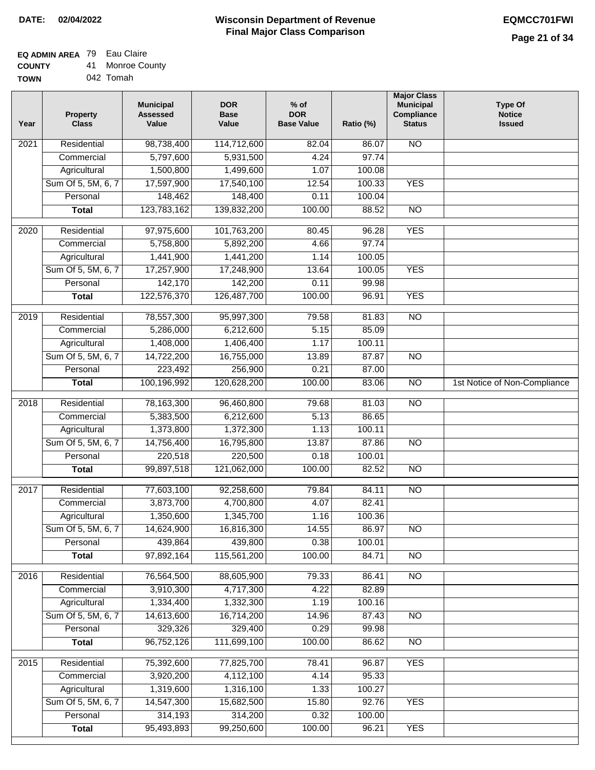## **EQ ADMIN AREA** 79 Eau Claire

| <b>COUNTY</b> |  | 41 Monroe County |
|---------------|--|------------------|
|---------------|--|------------------|

**TOWN** 042 Tomah

| Year              | <b>Property</b><br><b>Class</b>    | <b>Municipal</b><br><b>Assessed</b><br>Value | <b>DOR</b><br><b>Base</b><br>Value | % of<br><b>DOR</b><br><b>Base Value</b> | Ratio (%)       | <b>Major Class</b><br><b>Municipal</b><br>Compliance<br><b>Status</b> | <b>Type Of</b><br><b>Notice</b><br><b>Issued</b> |
|-------------------|------------------------------------|----------------------------------------------|------------------------------------|-----------------------------------------|-----------------|-----------------------------------------------------------------------|--------------------------------------------------|
| $\overline{202}1$ | Residential                        | 98,738,400                                   | 114,712,600                        | 82.04                                   | 86.07           | N <sub>O</sub>                                                        |                                                  |
|                   | Commercial                         | 5,797,600                                    | 5,931,500                          | 4.24                                    | 97.74           |                                                                       |                                                  |
|                   | Agricultural                       | 1,500,800                                    | 1,499,600                          | 1.07                                    | 100.08          |                                                                       |                                                  |
|                   | Sum Of 5, 5M, 6, 7                 | 17,597,900                                   | 17,540,100                         | 12.54                                   | 100.33          | <b>YES</b>                                                            |                                                  |
|                   | Personal                           | 148,462                                      | 148,400                            | 0.11                                    | 100.04          |                                                                       |                                                  |
|                   | <b>Total</b>                       | 123,783,162                                  | 139,832,200                        | 100.00                                  | 88.52           | $\overline{NO}$                                                       |                                                  |
| 2020              | Residential                        | 97,975,600                                   | 101,763,200                        | 80.45                                   | 96.28           | <b>YES</b>                                                            |                                                  |
|                   | Commercial                         | 5,758,800                                    | 5,892,200                          | 4.66                                    | 97.74           |                                                                       |                                                  |
|                   | Agricultural                       | 1,441,900                                    | 1,441,200                          | 1.14                                    | 100.05          |                                                                       |                                                  |
|                   | Sum Of 5, 5M, 6, 7                 | 17,257,900                                   | 17,248,900                         | 13.64                                   | 100.05          | <b>YES</b>                                                            |                                                  |
|                   | Personal                           | 142,170                                      | 142,200                            | 0.11                                    | 99.98           |                                                                       |                                                  |
|                   | <b>Total</b>                       | 122,576,370                                  | 126,487,700                        | 100.00                                  | 96.91           | <b>YES</b>                                                            |                                                  |
| 2019              | Residential                        | 78,557,300                                   | 95,997,300                         | 79.58                                   | 81.83           | $\overline{10}$                                                       |                                                  |
|                   | Commercial                         | 5,286,000                                    | 6,212,600                          | 5.15                                    | 85.09           |                                                                       |                                                  |
|                   | Agricultural                       | 1,408,000                                    | 1,406,400                          | 1.17                                    | 100.11          |                                                                       |                                                  |
|                   | Sum Of 5, 5M, 6, 7                 | 14,722,200                                   | 16,755,000                         | 13.89                                   | 87.87           | $\overline{NO}$                                                       |                                                  |
|                   | Personal                           | 223,492                                      | 256,900                            | 0.21                                    | 87.00           |                                                                       |                                                  |
|                   | <b>Total</b>                       | 100,196,992                                  | 120,628,200                        | 100.00                                  | 83.06           | $\overline{NO}$                                                       | 1st Notice of Non-Compliance                     |
| 2018              | Residential                        | 78,163,300                                   | 96,460,800                         | 79.68                                   | 81.03           | $\overline{10}$                                                       |                                                  |
|                   | Commercial                         | 5,383,500                                    | 6,212,600                          | 5.13                                    | 86.65           |                                                                       |                                                  |
|                   | Agricultural                       | 1,373,800                                    | 1,372,300                          | 1.13                                    | 100.11          |                                                                       |                                                  |
|                   | Sum Of 5, 5M, 6, 7                 | 14,756,400                                   | 16,795,800                         | 13.87                                   | 87.86           | $\overline{10}$                                                       |                                                  |
|                   | Personal                           | 220,518                                      | 220,500                            | 0.18                                    | 100.01          |                                                                       |                                                  |
|                   | <b>Total</b>                       | 99,897,518                                   | 121,062,000                        | 100.00                                  | 82.52           | <b>NO</b>                                                             |                                                  |
| 2017              | Residential                        |                                              | 92,258,600                         |                                         | 84.11           | $\overline{NO}$                                                       |                                                  |
|                   | Commercial                         | 77,603,100                                   |                                    | 79.84<br>4.07                           | 82.41           |                                                                       |                                                  |
|                   |                                    | 3,873,700<br>1,350,600                       | 4,700,800<br>1,345,700             | 1.16                                    | 100.36          |                                                                       |                                                  |
|                   | Agricultural<br>Sum Of 5, 5M, 6, 7 | 14,624,900                                   | 16,816,300                         | 14.55                                   | 86.97           | <b>NO</b>                                                             |                                                  |
|                   |                                    | 439,864                                      | 439,800                            | 0.38                                    |                 |                                                                       |                                                  |
|                   | Personal<br><b>Total</b>           | 97,892,164                                   | 115,561,200                        | 100.00                                  | 100.01<br>84.71 | $\overline{NO}$                                                       |                                                  |
|                   |                                    |                                              |                                    |                                         |                 |                                                                       |                                                  |
| 2016              | Residential                        | 76,564,500                                   | 88,605,900                         | 79.33                                   | 86.41           | $\overline{NO}$                                                       |                                                  |
|                   | Commercial                         | 3,910,300                                    | 4,717,300                          | 4.22                                    | 82.89           |                                                                       |                                                  |
|                   | Agricultural                       | 1,334,400                                    | 1,332,300                          | 1.19                                    | 100.16          |                                                                       |                                                  |
|                   | Sum Of 5, 5M, 6, 7                 | 14,613,600                                   | 16,714,200                         | 14.96                                   | 87.43           | $\overline{NO}$                                                       |                                                  |
|                   | Personal                           | 329,326                                      | 329,400                            | 0.29                                    | 99.98           |                                                                       |                                                  |
|                   | <b>Total</b>                       | 96,752,126                                   | 111,699,100                        | 100.00                                  | 86.62           | N <sub>O</sub>                                                        |                                                  |
| 2015              | Residential                        | 75,392,600                                   | 77,825,700                         | 78.41                                   | 96.87           | <b>YES</b>                                                            |                                                  |
|                   | Commercial                         | 3,920,200                                    | 4,112,100                          | 4.14                                    | 95.33           |                                                                       |                                                  |
|                   | Agricultural                       | 1,319,600                                    | 1,316,100                          | 1.33                                    | 100.27          |                                                                       |                                                  |
|                   | Sum Of 5, 5M, 6, 7                 | 14,547,300                                   | 15,682,500                         | 15.80                                   | 92.76           | <b>YES</b>                                                            |                                                  |
|                   | Personal                           | 314,193                                      | 314,200                            | 0.32                                    | 100.00          |                                                                       |                                                  |
|                   | <b>Total</b>                       | 95,493,893                                   | 99,250,600                         | 100.00                                  | 96.21           | <b>YES</b>                                                            |                                                  |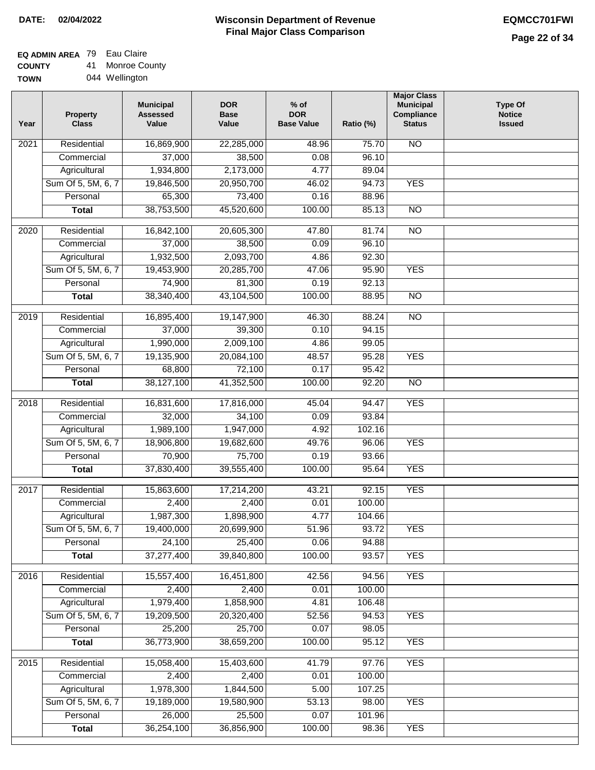### **Wisconsin Department of Revenue Final Major Class Comparison DATE: 02/04/2022 EQMCC701FWI**

٦

# **EQ ADMIN AREA** 79 Eau Claire

**COUNTY TOWN** 41 Monroe County

|  | 044 Wellington |
|--|----------------|
|--|----------------|

| 16,869,900<br><b>NO</b><br>Residential<br>22,285,000<br>48.96<br>75.70<br>2021<br>37,000<br>96.10<br>Commercial<br>38,500<br>0.08<br>1,934,800<br>2,173,000<br>4.77<br>89.04<br>Agricultural<br>Sum Of 5, 5M, 6, 7<br>19,846,500<br>20,950,700<br>46.02<br>94.73<br><b>YES</b><br>Personal<br>65,300<br>73,400<br>0.16<br>88.96<br>38,753,500<br>45,520,600<br>100.00<br>85.13<br>$\overline{NO}$<br><b>Total</b> |  |
|-------------------------------------------------------------------------------------------------------------------------------------------------------------------------------------------------------------------------------------------------------------------------------------------------------------------------------------------------------------------------------------------------------------------|--|
|                                                                                                                                                                                                                                                                                                                                                                                                                   |  |
|                                                                                                                                                                                                                                                                                                                                                                                                                   |  |
|                                                                                                                                                                                                                                                                                                                                                                                                                   |  |
|                                                                                                                                                                                                                                                                                                                                                                                                                   |  |
|                                                                                                                                                                                                                                                                                                                                                                                                                   |  |
|                                                                                                                                                                                                                                                                                                                                                                                                                   |  |
| Residential<br>16,842,100<br>47.80<br>81.74<br>$\overline{10}$<br>2020<br>20,605,300                                                                                                                                                                                                                                                                                                                              |  |
| Commercial<br>37,000<br>38,500<br>0.09<br>96.10                                                                                                                                                                                                                                                                                                                                                                   |  |
| 1,932,500<br>2,093,700<br>92.30<br>Agricultural<br>4.86                                                                                                                                                                                                                                                                                                                                                           |  |
| Sum Of 5, 5M, 6, 7<br>19,453,900<br>47.06<br>95.90<br><b>YES</b><br>20,285,700                                                                                                                                                                                                                                                                                                                                    |  |
| Personal<br>74,900<br>81,300<br>0.19<br>92.13                                                                                                                                                                                                                                                                                                                                                                     |  |
| <b>Total</b><br>38,340,400<br>43,104,500<br>100.00<br>88.95<br><b>NO</b>                                                                                                                                                                                                                                                                                                                                          |  |
|                                                                                                                                                                                                                                                                                                                                                                                                                   |  |
| $\overline{NO}$<br>$\frac{1}{2019}$<br>Residential<br>16,895,400<br>19,147,900<br>46.30<br>88.24                                                                                                                                                                                                                                                                                                                  |  |
| 39,300<br>0.10<br>Commercial<br>37,000<br>94.15                                                                                                                                                                                                                                                                                                                                                                   |  |
| 1,990,000<br>2,009,100<br>99.05<br>Agricultural<br>4.86                                                                                                                                                                                                                                                                                                                                                           |  |
| Sum Of 5, 5M, 6, 7<br>19,135,900<br>20,084,100<br>95.28<br><b>YES</b><br>48.57                                                                                                                                                                                                                                                                                                                                    |  |
| 0.17<br>Personal<br>68,800<br>72,100<br>95.42                                                                                                                                                                                                                                                                                                                                                                     |  |
| 38,127,100<br>41,352,500<br>100.00<br>92.20<br>$\overline{NO}$<br><b>Total</b>                                                                                                                                                                                                                                                                                                                                    |  |
| <b>YES</b><br>2018<br>Residential<br>16,831,600<br>17,816,000<br>45.04<br>94.47                                                                                                                                                                                                                                                                                                                                   |  |
| Commercial<br>32,000<br>34,100<br>0.09<br>93.84                                                                                                                                                                                                                                                                                                                                                                   |  |
| 1,989,100<br>1,947,000<br>4.92<br>102.16<br>Agricultural                                                                                                                                                                                                                                                                                                                                                          |  |
| Sum Of 5, 5M, 6, 7<br>49.76<br><b>YES</b><br>18,906,800<br>19,682,600<br>96.06                                                                                                                                                                                                                                                                                                                                    |  |
| 70,900<br>75,700<br>Personal<br>0.19<br>93.66                                                                                                                                                                                                                                                                                                                                                                     |  |
| <b>YES</b><br>37,830,400<br>39,555,400<br>100.00<br>95.64<br><b>Total</b>                                                                                                                                                                                                                                                                                                                                         |  |
| <b>YES</b><br>Residential<br>15,863,600<br>43.21<br>92.15<br>2017<br>17,214,200                                                                                                                                                                                                                                                                                                                                   |  |
| 2,400<br>2,400<br>0.01<br>100.00<br>Commercial                                                                                                                                                                                                                                                                                                                                                                    |  |
| 1,987,300<br>1,898,900<br>4.77<br>104.66<br>Agricultural                                                                                                                                                                                                                                                                                                                                                          |  |
| Sum Of 5, 5M, 6, 7<br>19,400,000<br>20,699,900<br>51.96<br>93.72<br><b>YES</b>                                                                                                                                                                                                                                                                                                                                    |  |
| 25,400<br>Personal<br>24,100<br>0.06<br>94.88                                                                                                                                                                                                                                                                                                                                                                     |  |
| 37,277,400<br>39,840,800<br>100.00<br>93.57<br><b>YES</b><br><b>Total</b>                                                                                                                                                                                                                                                                                                                                         |  |
|                                                                                                                                                                                                                                                                                                                                                                                                                   |  |
| <b>YES</b><br>2016<br>Residential<br>15,557,400<br>16,451,800<br>42.56<br>94.56                                                                                                                                                                                                                                                                                                                                   |  |
| Commercial<br>2,400<br>2,400<br>0.01<br>100.00                                                                                                                                                                                                                                                                                                                                                                    |  |
| 1,979,400<br>1,858,900<br>Agricultural<br>4.81<br>106.48                                                                                                                                                                                                                                                                                                                                                          |  |
| Sum Of 5, 5M, 6, 7<br>19,209,500<br>20,320,400<br>52.56<br>94.53<br><b>YES</b>                                                                                                                                                                                                                                                                                                                                    |  |
| 25,200<br>25,700<br>Personal<br>0.07<br>98.05                                                                                                                                                                                                                                                                                                                                                                     |  |
| 36,773,900<br>38,659,200<br>100.00<br>95.12<br><b>YES</b><br><b>Total</b>                                                                                                                                                                                                                                                                                                                                         |  |
| 15,058,400<br>15,403,600<br><b>YES</b><br>2015<br>Residential<br>41.79<br>97.76                                                                                                                                                                                                                                                                                                                                   |  |
| 2,400<br>2,400<br>0.01<br>100.00<br>Commercial                                                                                                                                                                                                                                                                                                                                                                    |  |
| 1,978,300<br>1,844,500<br>5.00<br>107.25<br>Agricultural                                                                                                                                                                                                                                                                                                                                                          |  |
| Sum Of 5, 5M, 6, 7<br>19,189,000<br>53.13<br>98.00<br>19,580,900<br><b>YES</b>                                                                                                                                                                                                                                                                                                                                    |  |
| Personal<br>26,000<br>25,500<br>0.07<br>101.96                                                                                                                                                                                                                                                                                                                                                                    |  |
| 36,254,100<br>100.00<br><b>YES</b><br>36,856,900<br>98.36<br><b>Total</b>                                                                                                                                                                                                                                                                                                                                         |  |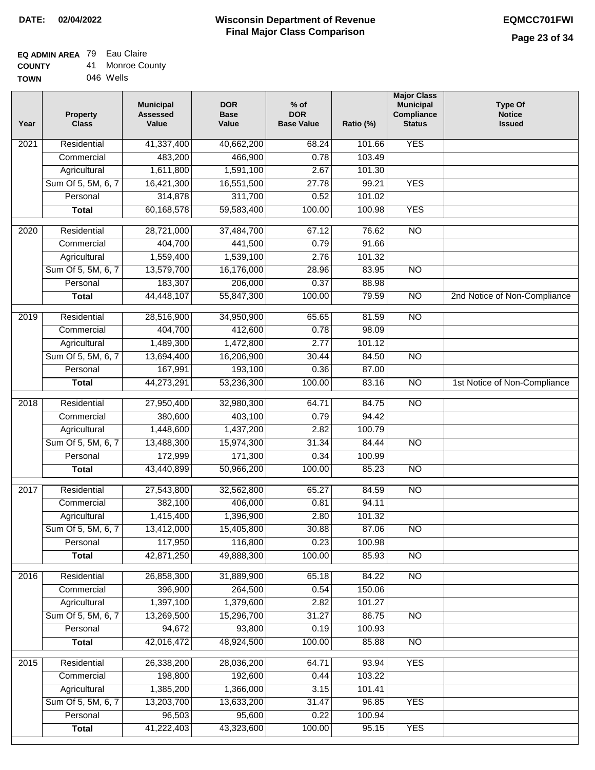#### **EQ ADMIN AREA** 79 Eau Claire **COUNTY** 41 Monroe County

| <b>UUUNIT</b> | ÷ . | ועוטו ווטכ טע |
|---------------|-----|---------------|
| <b>TOWN</b>   |     | 046 Wells     |

| <b>YES</b><br>Residential<br>41,337,400<br>2021<br>40,662,200<br>68.24<br>101.66<br>483,200<br>466,900<br>0.78<br>103.49<br>Commercial<br>1,611,800<br>1,591,100<br>101.30<br>Agricultural<br>2.67<br>Sum Of 5, 5M, 6, 7<br>16,421,300<br>16,551,500<br>27.78<br>99.21<br><b>YES</b><br>Personal<br>314,878<br>311,700<br>0.52<br>101.02<br>60,168,578<br>59,583,400<br>100.00<br>100.98<br><b>YES</b><br><b>Total</b><br>$\overline{NO}$<br>Residential<br>28,721,000<br>37,484,700<br>76.62<br>2020<br>67.12<br>Commercial<br>404,700<br>441,500<br>0.79<br>91.66<br>1,559,400<br>101.32<br>Agricultural<br>1,539,100<br>2.76<br>Sum Of 5, 5M, 6, 7<br>13,579,700<br>16,176,000<br>$\overline{NO}$<br>28.96<br>83.95<br>183,307<br>Personal<br>206,000<br>0.37<br>88.98<br>44,448,107<br>55,847,300<br>100.00<br>79.59<br>$\overline{NO}$<br>2nd Notice of Non-Compliance<br><b>Total</b><br>Residential<br>$\overline{NO}$<br>2019<br>28,516,900<br>34,950,900<br>65.65<br>81.59<br>404,700<br>0.78<br>98.09<br>412,600<br>Commercial<br>1,489,300<br>1,472,800<br>2.77<br>101.12<br>Agricultural<br>Sum Of 5, 5M, 6, 7<br>13,694,400<br>16,206,900<br>$\overline{NO}$<br>30.44<br>84.50<br>167,991<br>193,100<br>Personal<br>0.36<br>87.00<br>$\overline{NO}$<br>44,273,291<br>53,236,300<br>100.00<br>83.16<br>1st Notice of Non-Compliance<br><b>Total</b><br>$\overline{NO}$<br>2018<br>Residential<br>27,950,400<br>32,980,300<br>64.71<br>84.75<br>380,600<br>94.42<br>403,100<br>0.79<br>Commercial<br>1,448,600<br>1,437,200<br>2.82<br>100.79<br>Agricultural<br>Sum Of 5, 5M, 6, 7<br>13,488,300<br>15,974,300<br>31.34<br>84.44<br>$\overline{10}$<br>172,999<br>171,300<br>Personal<br>0.34<br>100.99<br><b>NO</b><br>43,440,899<br>50,966,200<br>100.00<br>85.23<br><b>Total</b><br>Residential<br>65.27<br>84.59<br>$\overline{NO}$<br>2017<br>27,543,800<br>32,562,800<br>382,100<br>Commercial<br>406,000<br>0.81<br>94.11<br>1,415,400<br>1,396,900<br>2.80<br>101.32<br>Agricultural<br>Sum Of 5, 5M, 6, 7<br>13,412,000<br>15,405,800<br>30.88<br>87.06<br>NO.<br>117,950<br>116,800<br>0.23<br>Personal<br>100.98<br>42,871,250<br>49,888,300<br>100.00<br><b>NO</b><br>85.93<br><b>Total</b><br>Residential<br>26,858,300<br>65.18<br>84.22<br>N <sub>O</sub><br>2016<br>31,889,900<br>Commercial<br>396,900<br>264,500<br>0.54<br>150.06<br>1,397,100<br>1,379,600<br>Agricultural<br>2.82<br>101.27<br>Sum Of 5, 5M, 6, 7<br>13,269,500<br>15,296,700<br>$\overline{NO}$<br>31.27<br>86.75<br>94,672<br>93,800<br>Personal<br>0.19<br>100.93<br>42,016,472<br>48,924,500<br>100.00<br>85.88<br>$\overline{NO}$<br><b>Total</b><br>26,338,200<br><b>YES</b><br>2015<br>Residential<br>28,036,200<br>64.71<br>93.94<br>198,800<br>192,600<br>0.44<br>103.22<br>Commercial<br>Agricultural<br>1,385,200<br>1,366,000<br>3.15<br>101.41<br>Sum Of 5, 5M, 6, 7<br>13,203,700<br>13,633,200<br><b>YES</b><br>31.47<br>96.85<br>96,503<br>95,600<br>0.22<br>Personal<br>100.94<br>41,222,403<br>43,323,600<br>100.00<br>95.15<br><b>YES</b><br><b>Total</b> | Year | <b>Property</b><br><b>Class</b> | <b>Municipal</b><br><b>Assessed</b><br>Value | <b>DOR</b><br><b>Base</b><br>Value | $%$ of<br><b>DOR</b><br><b>Base Value</b> | Ratio (%) | <b>Major Class</b><br><b>Municipal</b><br>Compliance<br><b>Status</b> | <b>Type Of</b><br><b>Notice</b><br><b>Issued</b> |
|--------------------------------------------------------------------------------------------------------------------------------------------------------------------------------------------------------------------------------------------------------------------------------------------------------------------------------------------------------------------------------------------------------------------------------------------------------------------------------------------------------------------------------------------------------------------------------------------------------------------------------------------------------------------------------------------------------------------------------------------------------------------------------------------------------------------------------------------------------------------------------------------------------------------------------------------------------------------------------------------------------------------------------------------------------------------------------------------------------------------------------------------------------------------------------------------------------------------------------------------------------------------------------------------------------------------------------------------------------------------------------------------------------------------------------------------------------------------------------------------------------------------------------------------------------------------------------------------------------------------------------------------------------------------------------------------------------------------------------------------------------------------------------------------------------------------------------------------------------------------------------------------------------------------------------------------------------------------------------------------------------------------------------------------------------------------------------------------------------------------------------------------------------------------------------------------------------------------------------------------------------------------------------------------------------------------------------------------------------------------------------------------------------------------------------------------------------------------------------------------------------------------------------------------------------------------------------------------------------------------------------------------------------------------------------------------------------------------------------------------------------------------------------------------------------------------------------------------------------------------------------------------------------------------------------------------------------------------------------------------------------------------------------------------------------------------------------|------|---------------------------------|----------------------------------------------|------------------------------------|-------------------------------------------|-----------|-----------------------------------------------------------------------|--------------------------------------------------|
|                                                                                                                                                                                                                                                                                                                                                                                                                                                                                                                                                                                                                                                                                                                                                                                                                                                                                                                                                                                                                                                                                                                                                                                                                                                                                                                                                                                                                                                                                                                                                                                                                                                                                                                                                                                                                                                                                                                                                                                                                                                                                                                                                                                                                                                                                                                                                                                                                                                                                                                                                                                                                                                                                                                                                                                                                                                                                                                                                                                                                                                                                |      |                                 |                                              |                                    |                                           |           |                                                                       |                                                  |
|                                                                                                                                                                                                                                                                                                                                                                                                                                                                                                                                                                                                                                                                                                                                                                                                                                                                                                                                                                                                                                                                                                                                                                                                                                                                                                                                                                                                                                                                                                                                                                                                                                                                                                                                                                                                                                                                                                                                                                                                                                                                                                                                                                                                                                                                                                                                                                                                                                                                                                                                                                                                                                                                                                                                                                                                                                                                                                                                                                                                                                                                                |      |                                 |                                              |                                    |                                           |           |                                                                       |                                                  |
|                                                                                                                                                                                                                                                                                                                                                                                                                                                                                                                                                                                                                                                                                                                                                                                                                                                                                                                                                                                                                                                                                                                                                                                                                                                                                                                                                                                                                                                                                                                                                                                                                                                                                                                                                                                                                                                                                                                                                                                                                                                                                                                                                                                                                                                                                                                                                                                                                                                                                                                                                                                                                                                                                                                                                                                                                                                                                                                                                                                                                                                                                |      |                                 |                                              |                                    |                                           |           |                                                                       |                                                  |
|                                                                                                                                                                                                                                                                                                                                                                                                                                                                                                                                                                                                                                                                                                                                                                                                                                                                                                                                                                                                                                                                                                                                                                                                                                                                                                                                                                                                                                                                                                                                                                                                                                                                                                                                                                                                                                                                                                                                                                                                                                                                                                                                                                                                                                                                                                                                                                                                                                                                                                                                                                                                                                                                                                                                                                                                                                                                                                                                                                                                                                                                                |      |                                 |                                              |                                    |                                           |           |                                                                       |                                                  |
|                                                                                                                                                                                                                                                                                                                                                                                                                                                                                                                                                                                                                                                                                                                                                                                                                                                                                                                                                                                                                                                                                                                                                                                                                                                                                                                                                                                                                                                                                                                                                                                                                                                                                                                                                                                                                                                                                                                                                                                                                                                                                                                                                                                                                                                                                                                                                                                                                                                                                                                                                                                                                                                                                                                                                                                                                                                                                                                                                                                                                                                                                |      |                                 |                                              |                                    |                                           |           |                                                                       |                                                  |
|                                                                                                                                                                                                                                                                                                                                                                                                                                                                                                                                                                                                                                                                                                                                                                                                                                                                                                                                                                                                                                                                                                                                                                                                                                                                                                                                                                                                                                                                                                                                                                                                                                                                                                                                                                                                                                                                                                                                                                                                                                                                                                                                                                                                                                                                                                                                                                                                                                                                                                                                                                                                                                                                                                                                                                                                                                                                                                                                                                                                                                                                                |      |                                 |                                              |                                    |                                           |           |                                                                       |                                                  |
|                                                                                                                                                                                                                                                                                                                                                                                                                                                                                                                                                                                                                                                                                                                                                                                                                                                                                                                                                                                                                                                                                                                                                                                                                                                                                                                                                                                                                                                                                                                                                                                                                                                                                                                                                                                                                                                                                                                                                                                                                                                                                                                                                                                                                                                                                                                                                                                                                                                                                                                                                                                                                                                                                                                                                                                                                                                                                                                                                                                                                                                                                |      |                                 |                                              |                                    |                                           |           |                                                                       |                                                  |
|                                                                                                                                                                                                                                                                                                                                                                                                                                                                                                                                                                                                                                                                                                                                                                                                                                                                                                                                                                                                                                                                                                                                                                                                                                                                                                                                                                                                                                                                                                                                                                                                                                                                                                                                                                                                                                                                                                                                                                                                                                                                                                                                                                                                                                                                                                                                                                                                                                                                                                                                                                                                                                                                                                                                                                                                                                                                                                                                                                                                                                                                                |      |                                 |                                              |                                    |                                           |           |                                                                       |                                                  |
|                                                                                                                                                                                                                                                                                                                                                                                                                                                                                                                                                                                                                                                                                                                                                                                                                                                                                                                                                                                                                                                                                                                                                                                                                                                                                                                                                                                                                                                                                                                                                                                                                                                                                                                                                                                                                                                                                                                                                                                                                                                                                                                                                                                                                                                                                                                                                                                                                                                                                                                                                                                                                                                                                                                                                                                                                                                                                                                                                                                                                                                                                |      |                                 |                                              |                                    |                                           |           |                                                                       |                                                  |
|                                                                                                                                                                                                                                                                                                                                                                                                                                                                                                                                                                                                                                                                                                                                                                                                                                                                                                                                                                                                                                                                                                                                                                                                                                                                                                                                                                                                                                                                                                                                                                                                                                                                                                                                                                                                                                                                                                                                                                                                                                                                                                                                                                                                                                                                                                                                                                                                                                                                                                                                                                                                                                                                                                                                                                                                                                                                                                                                                                                                                                                                                |      |                                 |                                              |                                    |                                           |           |                                                                       |                                                  |
|                                                                                                                                                                                                                                                                                                                                                                                                                                                                                                                                                                                                                                                                                                                                                                                                                                                                                                                                                                                                                                                                                                                                                                                                                                                                                                                                                                                                                                                                                                                                                                                                                                                                                                                                                                                                                                                                                                                                                                                                                                                                                                                                                                                                                                                                                                                                                                                                                                                                                                                                                                                                                                                                                                                                                                                                                                                                                                                                                                                                                                                                                |      |                                 |                                              |                                    |                                           |           |                                                                       |                                                  |
|                                                                                                                                                                                                                                                                                                                                                                                                                                                                                                                                                                                                                                                                                                                                                                                                                                                                                                                                                                                                                                                                                                                                                                                                                                                                                                                                                                                                                                                                                                                                                                                                                                                                                                                                                                                                                                                                                                                                                                                                                                                                                                                                                                                                                                                                                                                                                                                                                                                                                                                                                                                                                                                                                                                                                                                                                                                                                                                                                                                                                                                                                |      |                                 |                                              |                                    |                                           |           |                                                                       |                                                  |
|                                                                                                                                                                                                                                                                                                                                                                                                                                                                                                                                                                                                                                                                                                                                                                                                                                                                                                                                                                                                                                                                                                                                                                                                                                                                                                                                                                                                                                                                                                                                                                                                                                                                                                                                                                                                                                                                                                                                                                                                                                                                                                                                                                                                                                                                                                                                                                                                                                                                                                                                                                                                                                                                                                                                                                                                                                                                                                                                                                                                                                                                                |      |                                 |                                              |                                    |                                           |           |                                                                       |                                                  |
|                                                                                                                                                                                                                                                                                                                                                                                                                                                                                                                                                                                                                                                                                                                                                                                                                                                                                                                                                                                                                                                                                                                                                                                                                                                                                                                                                                                                                                                                                                                                                                                                                                                                                                                                                                                                                                                                                                                                                                                                                                                                                                                                                                                                                                                                                                                                                                                                                                                                                                                                                                                                                                                                                                                                                                                                                                                                                                                                                                                                                                                                                |      |                                 |                                              |                                    |                                           |           |                                                                       |                                                  |
|                                                                                                                                                                                                                                                                                                                                                                                                                                                                                                                                                                                                                                                                                                                                                                                                                                                                                                                                                                                                                                                                                                                                                                                                                                                                                                                                                                                                                                                                                                                                                                                                                                                                                                                                                                                                                                                                                                                                                                                                                                                                                                                                                                                                                                                                                                                                                                                                                                                                                                                                                                                                                                                                                                                                                                                                                                                                                                                                                                                                                                                                                |      |                                 |                                              |                                    |                                           |           |                                                                       |                                                  |
|                                                                                                                                                                                                                                                                                                                                                                                                                                                                                                                                                                                                                                                                                                                                                                                                                                                                                                                                                                                                                                                                                                                                                                                                                                                                                                                                                                                                                                                                                                                                                                                                                                                                                                                                                                                                                                                                                                                                                                                                                                                                                                                                                                                                                                                                                                                                                                                                                                                                                                                                                                                                                                                                                                                                                                                                                                                                                                                                                                                                                                                                                |      |                                 |                                              |                                    |                                           |           |                                                                       |                                                  |
|                                                                                                                                                                                                                                                                                                                                                                                                                                                                                                                                                                                                                                                                                                                                                                                                                                                                                                                                                                                                                                                                                                                                                                                                                                                                                                                                                                                                                                                                                                                                                                                                                                                                                                                                                                                                                                                                                                                                                                                                                                                                                                                                                                                                                                                                                                                                                                                                                                                                                                                                                                                                                                                                                                                                                                                                                                                                                                                                                                                                                                                                                |      |                                 |                                              |                                    |                                           |           |                                                                       |                                                  |
|                                                                                                                                                                                                                                                                                                                                                                                                                                                                                                                                                                                                                                                                                                                                                                                                                                                                                                                                                                                                                                                                                                                                                                                                                                                                                                                                                                                                                                                                                                                                                                                                                                                                                                                                                                                                                                                                                                                                                                                                                                                                                                                                                                                                                                                                                                                                                                                                                                                                                                                                                                                                                                                                                                                                                                                                                                                                                                                                                                                                                                                                                |      |                                 |                                              |                                    |                                           |           |                                                                       |                                                  |
|                                                                                                                                                                                                                                                                                                                                                                                                                                                                                                                                                                                                                                                                                                                                                                                                                                                                                                                                                                                                                                                                                                                                                                                                                                                                                                                                                                                                                                                                                                                                                                                                                                                                                                                                                                                                                                                                                                                                                                                                                                                                                                                                                                                                                                                                                                                                                                                                                                                                                                                                                                                                                                                                                                                                                                                                                                                                                                                                                                                                                                                                                |      |                                 |                                              |                                    |                                           |           |                                                                       |                                                  |
|                                                                                                                                                                                                                                                                                                                                                                                                                                                                                                                                                                                                                                                                                                                                                                                                                                                                                                                                                                                                                                                                                                                                                                                                                                                                                                                                                                                                                                                                                                                                                                                                                                                                                                                                                                                                                                                                                                                                                                                                                                                                                                                                                                                                                                                                                                                                                                                                                                                                                                                                                                                                                                                                                                                                                                                                                                                                                                                                                                                                                                                                                |      |                                 |                                              |                                    |                                           |           |                                                                       |                                                  |
|                                                                                                                                                                                                                                                                                                                                                                                                                                                                                                                                                                                                                                                                                                                                                                                                                                                                                                                                                                                                                                                                                                                                                                                                                                                                                                                                                                                                                                                                                                                                                                                                                                                                                                                                                                                                                                                                                                                                                                                                                                                                                                                                                                                                                                                                                                                                                                                                                                                                                                                                                                                                                                                                                                                                                                                                                                                                                                                                                                                                                                                                                |      |                                 |                                              |                                    |                                           |           |                                                                       |                                                  |
|                                                                                                                                                                                                                                                                                                                                                                                                                                                                                                                                                                                                                                                                                                                                                                                                                                                                                                                                                                                                                                                                                                                                                                                                                                                                                                                                                                                                                                                                                                                                                                                                                                                                                                                                                                                                                                                                                                                                                                                                                                                                                                                                                                                                                                                                                                                                                                                                                                                                                                                                                                                                                                                                                                                                                                                                                                                                                                                                                                                                                                                                                |      |                                 |                                              |                                    |                                           |           |                                                                       |                                                  |
|                                                                                                                                                                                                                                                                                                                                                                                                                                                                                                                                                                                                                                                                                                                                                                                                                                                                                                                                                                                                                                                                                                                                                                                                                                                                                                                                                                                                                                                                                                                                                                                                                                                                                                                                                                                                                                                                                                                                                                                                                                                                                                                                                                                                                                                                                                                                                                                                                                                                                                                                                                                                                                                                                                                                                                                                                                                                                                                                                                                                                                                                                |      |                                 |                                              |                                    |                                           |           |                                                                       |                                                  |
|                                                                                                                                                                                                                                                                                                                                                                                                                                                                                                                                                                                                                                                                                                                                                                                                                                                                                                                                                                                                                                                                                                                                                                                                                                                                                                                                                                                                                                                                                                                                                                                                                                                                                                                                                                                                                                                                                                                                                                                                                                                                                                                                                                                                                                                                                                                                                                                                                                                                                                                                                                                                                                                                                                                                                                                                                                                                                                                                                                                                                                                                                |      |                                 |                                              |                                    |                                           |           |                                                                       |                                                  |
|                                                                                                                                                                                                                                                                                                                                                                                                                                                                                                                                                                                                                                                                                                                                                                                                                                                                                                                                                                                                                                                                                                                                                                                                                                                                                                                                                                                                                                                                                                                                                                                                                                                                                                                                                                                                                                                                                                                                                                                                                                                                                                                                                                                                                                                                                                                                                                                                                                                                                                                                                                                                                                                                                                                                                                                                                                                                                                                                                                                                                                                                                |      |                                 |                                              |                                    |                                           |           |                                                                       |                                                  |
|                                                                                                                                                                                                                                                                                                                                                                                                                                                                                                                                                                                                                                                                                                                                                                                                                                                                                                                                                                                                                                                                                                                                                                                                                                                                                                                                                                                                                                                                                                                                                                                                                                                                                                                                                                                                                                                                                                                                                                                                                                                                                                                                                                                                                                                                                                                                                                                                                                                                                                                                                                                                                                                                                                                                                                                                                                                                                                                                                                                                                                                                                |      |                                 |                                              |                                    |                                           |           |                                                                       |                                                  |
|                                                                                                                                                                                                                                                                                                                                                                                                                                                                                                                                                                                                                                                                                                                                                                                                                                                                                                                                                                                                                                                                                                                                                                                                                                                                                                                                                                                                                                                                                                                                                                                                                                                                                                                                                                                                                                                                                                                                                                                                                                                                                                                                                                                                                                                                                                                                                                                                                                                                                                                                                                                                                                                                                                                                                                                                                                                                                                                                                                                                                                                                                |      |                                 |                                              |                                    |                                           |           |                                                                       |                                                  |
|                                                                                                                                                                                                                                                                                                                                                                                                                                                                                                                                                                                                                                                                                                                                                                                                                                                                                                                                                                                                                                                                                                                                                                                                                                                                                                                                                                                                                                                                                                                                                                                                                                                                                                                                                                                                                                                                                                                                                                                                                                                                                                                                                                                                                                                                                                                                                                                                                                                                                                                                                                                                                                                                                                                                                                                                                                                                                                                                                                                                                                                                                |      |                                 |                                              |                                    |                                           |           |                                                                       |                                                  |
|                                                                                                                                                                                                                                                                                                                                                                                                                                                                                                                                                                                                                                                                                                                                                                                                                                                                                                                                                                                                                                                                                                                                                                                                                                                                                                                                                                                                                                                                                                                                                                                                                                                                                                                                                                                                                                                                                                                                                                                                                                                                                                                                                                                                                                                                                                                                                                                                                                                                                                                                                                                                                                                                                                                                                                                                                                                                                                                                                                                                                                                                                |      |                                 |                                              |                                    |                                           |           |                                                                       |                                                  |
|                                                                                                                                                                                                                                                                                                                                                                                                                                                                                                                                                                                                                                                                                                                                                                                                                                                                                                                                                                                                                                                                                                                                                                                                                                                                                                                                                                                                                                                                                                                                                                                                                                                                                                                                                                                                                                                                                                                                                                                                                                                                                                                                                                                                                                                                                                                                                                                                                                                                                                                                                                                                                                                                                                                                                                                                                                                                                                                                                                                                                                                                                |      |                                 |                                              |                                    |                                           |           |                                                                       |                                                  |
|                                                                                                                                                                                                                                                                                                                                                                                                                                                                                                                                                                                                                                                                                                                                                                                                                                                                                                                                                                                                                                                                                                                                                                                                                                                                                                                                                                                                                                                                                                                                                                                                                                                                                                                                                                                                                                                                                                                                                                                                                                                                                                                                                                                                                                                                                                                                                                                                                                                                                                                                                                                                                                                                                                                                                                                                                                                                                                                                                                                                                                                                                |      |                                 |                                              |                                    |                                           |           |                                                                       |                                                  |
|                                                                                                                                                                                                                                                                                                                                                                                                                                                                                                                                                                                                                                                                                                                                                                                                                                                                                                                                                                                                                                                                                                                                                                                                                                                                                                                                                                                                                                                                                                                                                                                                                                                                                                                                                                                                                                                                                                                                                                                                                                                                                                                                                                                                                                                                                                                                                                                                                                                                                                                                                                                                                                                                                                                                                                                                                                                                                                                                                                                                                                                                                |      |                                 |                                              |                                    |                                           |           |                                                                       |                                                  |
|                                                                                                                                                                                                                                                                                                                                                                                                                                                                                                                                                                                                                                                                                                                                                                                                                                                                                                                                                                                                                                                                                                                                                                                                                                                                                                                                                                                                                                                                                                                                                                                                                                                                                                                                                                                                                                                                                                                                                                                                                                                                                                                                                                                                                                                                                                                                                                                                                                                                                                                                                                                                                                                                                                                                                                                                                                                                                                                                                                                                                                                                                |      |                                 |                                              |                                    |                                           |           |                                                                       |                                                  |
|                                                                                                                                                                                                                                                                                                                                                                                                                                                                                                                                                                                                                                                                                                                                                                                                                                                                                                                                                                                                                                                                                                                                                                                                                                                                                                                                                                                                                                                                                                                                                                                                                                                                                                                                                                                                                                                                                                                                                                                                                                                                                                                                                                                                                                                                                                                                                                                                                                                                                                                                                                                                                                                                                                                                                                                                                                                                                                                                                                                                                                                                                |      |                                 |                                              |                                    |                                           |           |                                                                       |                                                  |
|                                                                                                                                                                                                                                                                                                                                                                                                                                                                                                                                                                                                                                                                                                                                                                                                                                                                                                                                                                                                                                                                                                                                                                                                                                                                                                                                                                                                                                                                                                                                                                                                                                                                                                                                                                                                                                                                                                                                                                                                                                                                                                                                                                                                                                                                                                                                                                                                                                                                                                                                                                                                                                                                                                                                                                                                                                                                                                                                                                                                                                                                                |      |                                 |                                              |                                    |                                           |           |                                                                       |                                                  |
|                                                                                                                                                                                                                                                                                                                                                                                                                                                                                                                                                                                                                                                                                                                                                                                                                                                                                                                                                                                                                                                                                                                                                                                                                                                                                                                                                                                                                                                                                                                                                                                                                                                                                                                                                                                                                                                                                                                                                                                                                                                                                                                                                                                                                                                                                                                                                                                                                                                                                                                                                                                                                                                                                                                                                                                                                                                                                                                                                                                                                                                                                |      |                                 |                                              |                                    |                                           |           |                                                                       |                                                  |
|                                                                                                                                                                                                                                                                                                                                                                                                                                                                                                                                                                                                                                                                                                                                                                                                                                                                                                                                                                                                                                                                                                                                                                                                                                                                                                                                                                                                                                                                                                                                                                                                                                                                                                                                                                                                                                                                                                                                                                                                                                                                                                                                                                                                                                                                                                                                                                                                                                                                                                                                                                                                                                                                                                                                                                                                                                                                                                                                                                                                                                                                                |      |                                 |                                              |                                    |                                           |           |                                                                       |                                                  |
|                                                                                                                                                                                                                                                                                                                                                                                                                                                                                                                                                                                                                                                                                                                                                                                                                                                                                                                                                                                                                                                                                                                                                                                                                                                                                                                                                                                                                                                                                                                                                                                                                                                                                                                                                                                                                                                                                                                                                                                                                                                                                                                                                                                                                                                                                                                                                                                                                                                                                                                                                                                                                                                                                                                                                                                                                                                                                                                                                                                                                                                                                |      |                                 |                                              |                                    |                                           |           |                                                                       |                                                  |
|                                                                                                                                                                                                                                                                                                                                                                                                                                                                                                                                                                                                                                                                                                                                                                                                                                                                                                                                                                                                                                                                                                                                                                                                                                                                                                                                                                                                                                                                                                                                                                                                                                                                                                                                                                                                                                                                                                                                                                                                                                                                                                                                                                                                                                                                                                                                                                                                                                                                                                                                                                                                                                                                                                                                                                                                                                                                                                                                                                                                                                                                                |      |                                 |                                              |                                    |                                           |           |                                                                       |                                                  |
|                                                                                                                                                                                                                                                                                                                                                                                                                                                                                                                                                                                                                                                                                                                                                                                                                                                                                                                                                                                                                                                                                                                                                                                                                                                                                                                                                                                                                                                                                                                                                                                                                                                                                                                                                                                                                                                                                                                                                                                                                                                                                                                                                                                                                                                                                                                                                                                                                                                                                                                                                                                                                                                                                                                                                                                                                                                                                                                                                                                                                                                                                |      |                                 |                                              |                                    |                                           |           |                                                                       |                                                  |
|                                                                                                                                                                                                                                                                                                                                                                                                                                                                                                                                                                                                                                                                                                                                                                                                                                                                                                                                                                                                                                                                                                                                                                                                                                                                                                                                                                                                                                                                                                                                                                                                                                                                                                                                                                                                                                                                                                                                                                                                                                                                                                                                                                                                                                                                                                                                                                                                                                                                                                                                                                                                                                                                                                                                                                                                                                                                                                                                                                                                                                                                                |      |                                 |                                              |                                    |                                           |           |                                                                       |                                                  |
|                                                                                                                                                                                                                                                                                                                                                                                                                                                                                                                                                                                                                                                                                                                                                                                                                                                                                                                                                                                                                                                                                                                                                                                                                                                                                                                                                                                                                                                                                                                                                                                                                                                                                                                                                                                                                                                                                                                                                                                                                                                                                                                                                                                                                                                                                                                                                                                                                                                                                                                                                                                                                                                                                                                                                                                                                                                                                                                                                                                                                                                                                |      |                                 |                                              |                                    |                                           |           |                                                                       |                                                  |
|                                                                                                                                                                                                                                                                                                                                                                                                                                                                                                                                                                                                                                                                                                                                                                                                                                                                                                                                                                                                                                                                                                                                                                                                                                                                                                                                                                                                                                                                                                                                                                                                                                                                                                                                                                                                                                                                                                                                                                                                                                                                                                                                                                                                                                                                                                                                                                                                                                                                                                                                                                                                                                                                                                                                                                                                                                                                                                                                                                                                                                                                                |      |                                 |                                              |                                    |                                           |           |                                                                       |                                                  |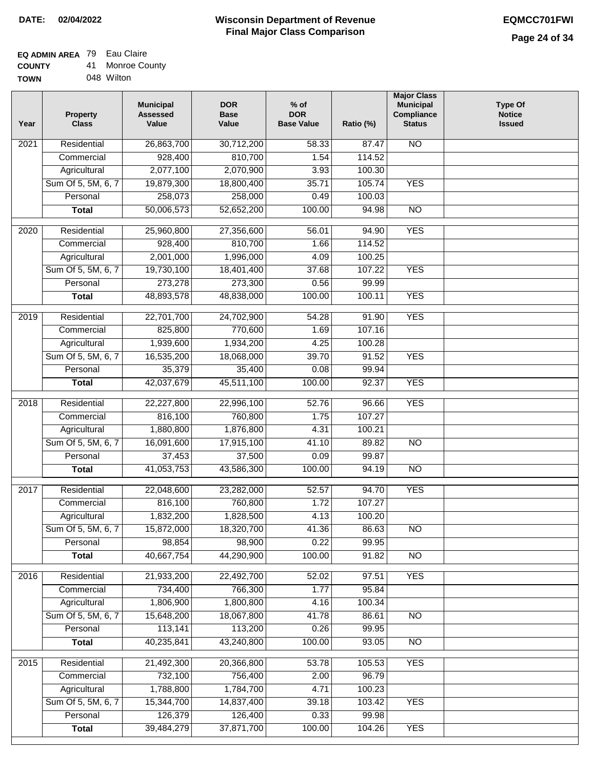#### **EQ ADMIN AREA** 79 Eau Claire **COUNTY** 41 Monroe County

| <b>UUUIII</b> | . . |            |  |
|---------------|-----|------------|--|
| <b>TOWN</b>   |     | 048 Wilton |  |

| Year              | <b>Property</b><br><b>Class</b> | <b>Municipal</b><br><b>Assessed</b><br>Value | <b>DOR</b><br><b>Base</b><br>Value | $%$ of<br><b>DOR</b><br><b>Base Value</b> | Ratio (%) | <b>Major Class</b><br><b>Municipal</b><br>Compliance<br><b>Status</b> | <b>Type Of</b><br><b>Notice</b><br><b>Issued</b> |
|-------------------|---------------------------------|----------------------------------------------|------------------------------------|-------------------------------------------|-----------|-----------------------------------------------------------------------|--------------------------------------------------|
| 2021              | Residential                     | 26,863,700                                   | 30,712,200                         | 58.33                                     | 87.47     | <b>NO</b>                                                             |                                                  |
|                   | Commercial                      | 928,400                                      | 810,700                            | 1.54                                      | 114.52    |                                                                       |                                                  |
|                   | Agricultural                    | 2,077,100                                    | 2,070,900                          | 3.93                                      | 100.30    |                                                                       |                                                  |
|                   | Sum Of 5, 5M, 6, 7              | 19,879,300                                   | 18,800,400                         | 35.71                                     | 105.74    | <b>YES</b>                                                            |                                                  |
|                   | Personal                        | 258,073                                      | 258,000                            | 0.49                                      | 100.03    |                                                                       |                                                  |
|                   | <b>Total</b>                    | 50,006,573                                   | 52,652,200                         | 100.00                                    | 94.98     | $\overline{NO}$                                                       |                                                  |
| $\overline{20}20$ | Residential                     | 25,960,800                                   | 27,356,600                         | 56.01                                     | 94.90     | <b>YES</b>                                                            |                                                  |
|                   | Commercial                      | 928,400                                      | 810,700                            | 1.66                                      | 114.52    |                                                                       |                                                  |
|                   | Agricultural                    | 2,001,000                                    | 1,996,000                          | 4.09                                      | 100.25    |                                                                       |                                                  |
|                   | Sum Of 5, 5M, 6, 7              | 19,730,100                                   | 18,401,400                         | 37.68                                     | 107.22    | <b>YES</b>                                                            |                                                  |
|                   | Personal                        | 273,278                                      | 273,300                            | 0.56                                      | 99.99     |                                                                       |                                                  |
|                   | <b>Total</b>                    | 48,893,578                                   | 48,838,000                         | 100.00                                    | 100.11    | <b>YES</b>                                                            |                                                  |
|                   |                                 |                                              |                                    |                                           |           |                                                                       |                                                  |
| $\frac{1}{2019}$  | Residential                     | 22,701,700                                   | 24,702,900                         | 54.28                                     | 91.90     | <b>YES</b>                                                            |                                                  |
|                   | Commercial                      | 825,800                                      | 770,600                            | 1.69                                      | 107.16    |                                                                       |                                                  |
|                   | Agricultural                    | 1,939,600                                    | 1,934,200                          | 4.25                                      | 100.28    |                                                                       |                                                  |
|                   | Sum Of 5, 5M, 6, 7              | 16,535,200                                   | 18,068,000                         | 39.70                                     | 91.52     | <b>YES</b>                                                            |                                                  |
|                   | Personal                        | 35,379                                       | 35,400                             | 0.08                                      | 99.94     |                                                                       |                                                  |
|                   | <b>Total</b>                    | 42,037,679                                   | 45,511,100                         | 100.00                                    | 92.37     | <b>YES</b>                                                            |                                                  |
| 2018              | Residential                     | 22,227,800                                   | 22,996,100                         | 52.76                                     | 96.66     | <b>YES</b>                                                            |                                                  |
|                   | Commercial                      | 816,100                                      | 760,800                            | 1.75                                      | 107.27    |                                                                       |                                                  |
|                   | Agricultural                    | 1,880,800                                    | 1,876,800                          | 4.31                                      | 100.21    |                                                                       |                                                  |
|                   | Sum Of 5, 5M, 6, 7              | 16,091,600                                   | 17,915,100                         | 41.10                                     | 89.82     | $\overline{NO}$                                                       |                                                  |
|                   | Personal                        | 37,453                                       | 37,500                             | 0.09                                      | 99.87     |                                                                       |                                                  |
|                   | <b>Total</b>                    | 41,053,753                                   | 43,586,300                         | 100.00                                    | 94.19     | $\overline{NO}$                                                       |                                                  |
|                   |                                 |                                              |                                    |                                           |           |                                                                       |                                                  |
| 2017              | Residential                     | 22,048,600                                   | 23,282,000                         | 52.57                                     | 94.70     | <b>YES</b>                                                            |                                                  |
|                   | Commercial                      | 816,100                                      | 760,800                            | 1.72                                      | 107.27    |                                                                       |                                                  |
|                   | Agricultural                    | 1,832,200                                    | 1,828,500                          | 4.13                                      | 100.20    |                                                                       |                                                  |
|                   | Sum Of 5, 5M, 6, 7              | 15,872,000                                   | 18,320,700                         | 41.36                                     | 86.63     | $\overline{NO}$                                                       |                                                  |
|                   | Personal                        | 98,854                                       | 98,900                             | 0.22                                      | 99.95     |                                                                       |                                                  |
|                   | <b>Total</b>                    | 40,667,754                                   | 44,290,900                         | 100.00                                    | 91.82     | $\overline{NO}$                                                       |                                                  |
| 2016              | Residential                     | 21,933,200                                   | 22,492,700                         | 52.02                                     | 97.51     | <b>YES</b>                                                            |                                                  |
|                   | Commercial                      | 734,400                                      | 766,300                            | 1.77                                      | 95.84     |                                                                       |                                                  |
|                   | Agricultural                    | 1,806,900                                    | 1,800,800                          | 4.16                                      | 100.34    |                                                                       |                                                  |
|                   | Sum Of 5, 5M, 6, 7              | 15,648,200                                   | 18,067,800                         | 41.78                                     | 86.61     | <b>NO</b>                                                             |                                                  |
|                   | Personal                        | 113,141                                      | 113,200                            | 0.26                                      | 99.95     |                                                                       |                                                  |
|                   | <b>Total</b>                    | 40,235,841                                   | 43,240,800                         | 100.00                                    | 93.05     | $\overline{NO}$                                                       |                                                  |
|                   |                                 |                                              |                                    |                                           |           |                                                                       |                                                  |
| 2015              | Residential                     | 21,492,300                                   | 20,366,800                         | 53.78                                     | 105.53    | <b>YES</b>                                                            |                                                  |
|                   | Commercial                      | 732,100                                      | 756,400                            | 2.00                                      | 96.79     |                                                                       |                                                  |
|                   | Agricultural                    | 1,788,800                                    | 1,784,700                          | 4.71                                      | 100.23    |                                                                       |                                                  |
|                   | Sum Of 5, 5M, 6, 7              | 15,344,700                                   | 14,837,400                         | 39.18                                     | 103.42    | <b>YES</b>                                                            |                                                  |
|                   | Personal                        | 126,379                                      | 126,400                            | 0.33                                      | 99.98     |                                                                       |                                                  |
|                   | <b>Total</b>                    | 39,484,279                                   | 37,871,700                         | 100.00                                    | 104.26    | <b>YES</b>                                                            |                                                  |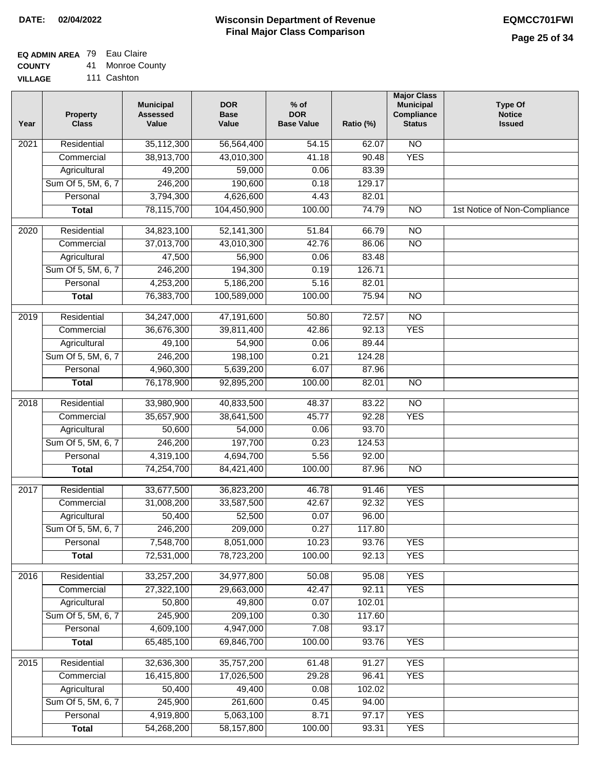### **EQ ADMIN AREA** 79 Eau Claire

**COUNTY** 41 Monroe County

**VILLAGE** 111 Cashton

| Year              | <b>Property</b><br><b>Class</b> | <b>Municipal</b><br><b>Assessed</b><br>Value | <b>DOR</b><br><b>Base</b><br>Value | % of<br><b>DOR</b><br><b>Base Value</b> | Ratio (%) | <b>Major Class</b><br><b>Municipal</b><br>Compliance<br><b>Status</b> | <b>Type Of</b><br><b>Notice</b><br><b>Issued</b> |
|-------------------|---------------------------------|----------------------------------------------|------------------------------------|-----------------------------------------|-----------|-----------------------------------------------------------------------|--------------------------------------------------|
| $\overline{202}1$ | Residential                     | 35,112,300                                   | 56,564,400                         | 54.15                                   | 62.07     | $\overline{NO}$                                                       |                                                  |
|                   | Commercial                      | 38,913,700                                   | 43,010,300                         | 41.18                                   | 90.48     | <b>YES</b>                                                            |                                                  |
|                   | Agricultural                    | 49,200                                       | 59,000                             | 0.06                                    | 83.39     |                                                                       |                                                  |
|                   | Sum Of 5, 5M, 6, 7              | 246,200                                      | 190,600                            | 0.18                                    | 129.17    |                                                                       |                                                  |
|                   | Personal                        | 3,794,300                                    | 4,626,600                          | 4.43                                    | 82.01     |                                                                       |                                                  |
|                   | <b>Total</b>                    | 78,115,700                                   | 104,450,900                        | 100.00                                  | 74.79     | $\overline{NO}$                                                       | 1st Notice of Non-Compliance                     |
| $\overline{2020}$ | Residential                     | 34,823,100                                   | 52,141,300                         | 51.84                                   | 66.79     | $\overline{NO}$                                                       |                                                  |
|                   | Commercial                      | 37,013,700                                   | 43,010,300                         | 42.76                                   | 86.06     | $\overline{NO}$                                                       |                                                  |
|                   | Agricultural                    | 47,500                                       | 56,900                             | 0.06                                    | 83.48     |                                                                       |                                                  |
|                   | Sum Of 5, 5M, 6, 7              | 246,200                                      | 194,300                            | 0.19                                    | 126.71    |                                                                       |                                                  |
|                   | Personal                        | 4,253,200                                    | 5,186,200                          | 5.16                                    | 82.01     |                                                                       |                                                  |
|                   | <b>Total</b>                    | 76,383,700                                   | 100,589,000                        | 100.00                                  | 75.94     | $\overline{NO}$                                                       |                                                  |
| 2019              | Residential                     | 34,247,000                                   | 47,191,600                         | 50.80                                   | 72.57     | $\overline{10}$                                                       |                                                  |
|                   | Commercial                      | 36,676,300                                   | 39,811,400                         | 42.86                                   | 92.13     | <b>YES</b>                                                            |                                                  |
|                   | Agricultural                    | 49,100                                       | 54,900                             | 0.06                                    | 89.44     |                                                                       |                                                  |
|                   | Sum Of 5, 5M, 6, 7              | 246,200                                      | 198,100                            | 0.21                                    | 124.28    |                                                                       |                                                  |
|                   | Personal                        | 4,960,300                                    | 5,639,200                          | 6.07                                    | 87.96     |                                                                       |                                                  |
|                   | <b>Total</b>                    | 76,178,900                                   | 92,895,200                         | 100.00                                  | 82.01     | $\overline{NO}$                                                       |                                                  |
| 2018              | Residential                     | 33,980,900                                   | 40,833,500                         | 48.37                                   | 83.22     | $\overline{NO}$                                                       |                                                  |
|                   | Commercial                      | 35,657,900                                   | 38,641,500                         | 45.77                                   | 92.28     | <b>YES</b>                                                            |                                                  |
|                   | Agricultural                    | 50,600                                       | 54,000                             | 0.06                                    | 93.70     |                                                                       |                                                  |
|                   | Sum Of 5, 5M, 6, 7              | 246,200                                      | 197,700                            | 0.23                                    | 124.53    |                                                                       |                                                  |
|                   | Personal                        | 4,319,100                                    | 4,694,700                          | 5.56                                    | 92.00     |                                                                       |                                                  |
|                   | <b>Total</b>                    | 74,254,700                                   | 84,421,400                         | 100.00                                  | 87.96     | <b>NO</b>                                                             |                                                  |
| 2017              | Residential                     | 33,677,500                                   | 36,823,200                         | 46.78                                   | 91.46     | <b>YES</b>                                                            |                                                  |
|                   | Commercial                      | 31,008,200                                   | 33,587,500                         | 42.67                                   | 92.32     | <b>YES</b>                                                            |                                                  |
|                   | Agricultural                    | 50,400                                       | 52,500                             | 0.07                                    | 96.00     |                                                                       |                                                  |
|                   | Sum Of 5, 5M, 6, 7              | 246,200                                      | 209,000                            | 0.27                                    | 117.80    |                                                                       |                                                  |
|                   | Personal                        | 7,548,700                                    | 8,051,000                          | 10.23                                   | 93.76     | <b>YES</b>                                                            |                                                  |
|                   | <b>Total</b>                    | 72,531,000                                   | 78,723,200                         | 100.00                                  | 92.13     | <b>YES</b>                                                            |                                                  |
| 2016              | Residential                     | 33,257,200                                   | 34,977,800                         | 50.08                                   | 95.08     | <b>YES</b>                                                            |                                                  |
|                   | Commercial                      | 27,322,100                                   | 29,663,000                         | 42.47                                   | 92.11     | <b>YES</b>                                                            |                                                  |
|                   | Agricultural                    | 50,800                                       | 49,800                             | 0.07                                    | 102.01    |                                                                       |                                                  |
|                   | Sum Of 5, 5M, 6, 7              | 245,900                                      | 209,100                            | 0.30                                    | 117.60    |                                                                       |                                                  |
|                   | Personal                        | 4,609,100                                    | 4,947,000                          | 7.08                                    | 93.17     |                                                                       |                                                  |
|                   | <b>Total</b>                    | 65,485,100                                   | 69,846,700                         | 100.00                                  | 93.76     | <b>YES</b>                                                            |                                                  |
| 2015              | Residential                     | 32,636,300                                   | 35,757,200                         | 61.48                                   | 91.27     | <b>YES</b>                                                            |                                                  |
|                   | Commercial                      | 16,415,800                                   | 17,026,500                         | 29.28                                   | 96.41     | <b>YES</b>                                                            |                                                  |
|                   | Agricultural                    | 50,400                                       | 49,400                             | 0.08                                    | 102.02    |                                                                       |                                                  |
|                   | Sum Of 5, 5M, 6, 7              | 245,900                                      | 261,600                            | 0.45                                    | 94.00     |                                                                       |                                                  |
|                   | Personal                        | 4,919,800                                    | 5,063,100                          | 8.71                                    | 97.17     | <b>YES</b>                                                            |                                                  |
|                   | <b>Total</b>                    | 54,268,200                                   | 58,157,800                         | 100.00                                  | 93.31     | <b>YES</b>                                                            |                                                  |
|                   |                                 |                                              |                                    |                                         |           |                                                                       |                                                  |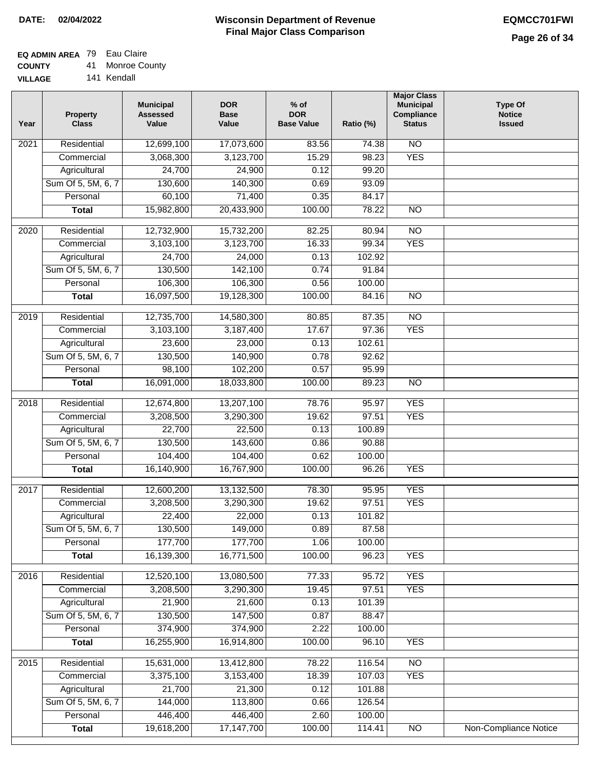## **EQ ADMIN AREA** 79 Eau Claire

**COUNTY** 41 Monroe County

**VILLAGE** 141 Kendall

| Year              | <b>Property</b><br><b>Class</b> | <b>Municipal</b><br><b>Assessed</b><br>Value | <b>DOR</b><br><b>Base</b><br>Value | $%$ of<br><b>DOR</b><br><b>Base Value</b> | Ratio (%) | <b>Major Class</b><br><b>Municipal</b><br>Compliance<br><b>Status</b> | <b>Type Of</b><br><b>Notice</b><br><b>Issued</b> |
|-------------------|---------------------------------|----------------------------------------------|------------------------------------|-------------------------------------------|-----------|-----------------------------------------------------------------------|--------------------------------------------------|
| $\overline{202}1$ | Residential                     | 12,699,100                                   | 17,073,600                         | 83.56                                     | 74.38     | N <sub>O</sub>                                                        |                                                  |
|                   | Commercial                      | 3,068,300                                    | 3,123,700                          | 15.29                                     | 98.23     | <b>YES</b>                                                            |                                                  |
|                   | Agricultural                    | 24,700                                       | 24,900                             | 0.12                                      | 99.20     |                                                                       |                                                  |
|                   | Sum Of 5, 5M, 6, 7              | 130,600                                      | 140,300                            | 0.69                                      | 93.09     |                                                                       |                                                  |
|                   | Personal                        | 60,100                                       | 71,400                             | 0.35                                      | 84.17     |                                                                       |                                                  |
|                   | <b>Total</b>                    | 15,982,800                                   | 20,433,900                         | 100.00                                    | 78.22     | $\overline{NO}$                                                       |                                                  |
| $\overline{2020}$ | Residential                     | 12,732,900                                   | 15,732,200                         | 82.25                                     | 80.94     | $\overline{NO}$                                                       |                                                  |
|                   | Commercial                      | 3,103,100                                    | 3,123,700                          | 16.33                                     | 99.34     | <b>YES</b>                                                            |                                                  |
|                   | Agricultural                    | 24,700                                       | 24,000                             | 0.13                                      | 102.92    |                                                                       |                                                  |
|                   | Sum Of 5, 5M, 6, 7              | 130,500                                      | 142,100                            | 0.74                                      | 91.84     |                                                                       |                                                  |
|                   | Personal                        | 106,300                                      | 106,300                            | 0.56                                      | 100.00    |                                                                       |                                                  |
|                   | <b>Total</b>                    | 16,097,500                                   | 19,128,300                         | 100.00                                    | 84.16     | $\overline{NO}$                                                       |                                                  |
| 2019              | Residential                     | 12,735,700                                   | 14,580,300                         | 80.85                                     | 87.35     | $\overline{10}$                                                       |                                                  |
|                   | Commercial                      | 3,103,100                                    | 3,187,400                          | 17.67                                     | 97.36     | <b>YES</b>                                                            |                                                  |
|                   | Agricultural                    | 23,600                                       | 23,000                             | 0.13                                      | 102.61    |                                                                       |                                                  |
|                   | Sum Of 5, 5M, 6, 7              | 130,500                                      | 140,900                            | 0.78                                      | 92.62     |                                                                       |                                                  |
|                   | Personal                        | 98,100                                       | 102,200                            | 0.57                                      | 95.99     |                                                                       |                                                  |
|                   | <b>Total</b>                    | 16,091,000                                   | 18,033,800                         | 100.00                                    | 89.23     | $\overline{NO}$                                                       |                                                  |
|                   |                                 |                                              |                                    |                                           |           |                                                                       |                                                  |
| 2018              | Residential                     | 12,674,800                                   | 13,207,100                         | 78.76                                     | 95.97     | <b>YES</b>                                                            |                                                  |
|                   | Commercial                      | 3,208,500                                    | 3,290,300                          | 19.62                                     | 97.51     | <b>YES</b>                                                            |                                                  |
|                   | Agricultural                    | 22,700                                       | 22,500                             | 0.13                                      | 100.89    |                                                                       |                                                  |
|                   | Sum Of 5, 5M, 6, 7              | 130,500                                      | 143,600                            | 0.86                                      | 90.88     |                                                                       |                                                  |
|                   | Personal                        | 104,400                                      | 104,400                            | 0.62                                      | 100.00    |                                                                       |                                                  |
|                   | <b>Total</b>                    | 16,140,900                                   | 16,767,900                         | 100.00                                    | 96.26     | <b>YES</b>                                                            |                                                  |
| 2017              | Residential                     | 12,600,200                                   | 13,132,500                         | 78.30                                     | 95.95     | <b>YES</b>                                                            |                                                  |
|                   | Commercial                      | 3,208,500                                    | 3,290,300                          | 19.62                                     | 97.51     | <b>YES</b>                                                            |                                                  |
|                   | Agricultural                    | 22,400                                       | 22,000                             | 0.13                                      | 101.82    |                                                                       |                                                  |
|                   | Sum Of 5, 5M, 6, 7              | 130,500                                      | 149,000                            | 0.89                                      | 87.58     |                                                                       |                                                  |
|                   | Personal                        | 177,700                                      | 177,700                            | 1.06                                      | 100.00    |                                                                       |                                                  |
|                   | <b>Total</b>                    | 16,139,300                                   | 16,771,500                         | 100.00                                    | 96.23     | <b>YES</b>                                                            |                                                  |
| 2016              | Residential                     | 12,520,100                                   | 13,080,500                         | 77.33                                     | 95.72     | <b>YES</b>                                                            |                                                  |
|                   | Commercial                      | 3,208,500                                    | 3,290,300                          | 19.45                                     | 97.51     | <b>YES</b>                                                            |                                                  |
|                   | Agricultural                    | 21,900                                       | 21,600                             | 0.13                                      | 101.39    |                                                                       |                                                  |
|                   | Sum Of 5, 5M, 6, 7              | 130,500                                      | 147,500                            | 0.87                                      | 88.47     |                                                                       |                                                  |
|                   | Personal                        | 374,900                                      | 374,900                            | 2.22                                      | 100.00    |                                                                       |                                                  |
|                   | <b>Total</b>                    | 16,255,900                                   | 16,914,800                         | 100.00                                    | 96.10     | <b>YES</b>                                                            |                                                  |
| 2015              | Residential                     | 15,631,000                                   | 13,412,800                         | 78.22                                     | 116.54    | $\overline{NO}$                                                       |                                                  |
|                   | Commercial                      | 3,375,100                                    | 3,153,400                          | 18.39                                     | 107.03    | <b>YES</b>                                                            |                                                  |
|                   | Agricultural                    | 21,700                                       | 21,300                             | 0.12                                      | 101.88    |                                                                       |                                                  |
|                   | Sum Of 5, 5M, 6, 7              | 144,000                                      | 113,800                            | 0.66                                      | 126.54    |                                                                       |                                                  |
|                   | Personal                        | 446,400                                      | 446,400                            | 2.60                                      | 100.00    |                                                                       |                                                  |
|                   | <b>Total</b>                    | 19,618,200                                   | 17, 147, 700                       | 100.00                                    | 114.41    | NO                                                                    | <b>Non-Compliance Notice</b>                     |
|                   |                                 |                                              |                                    |                                           |           |                                                                       |                                                  |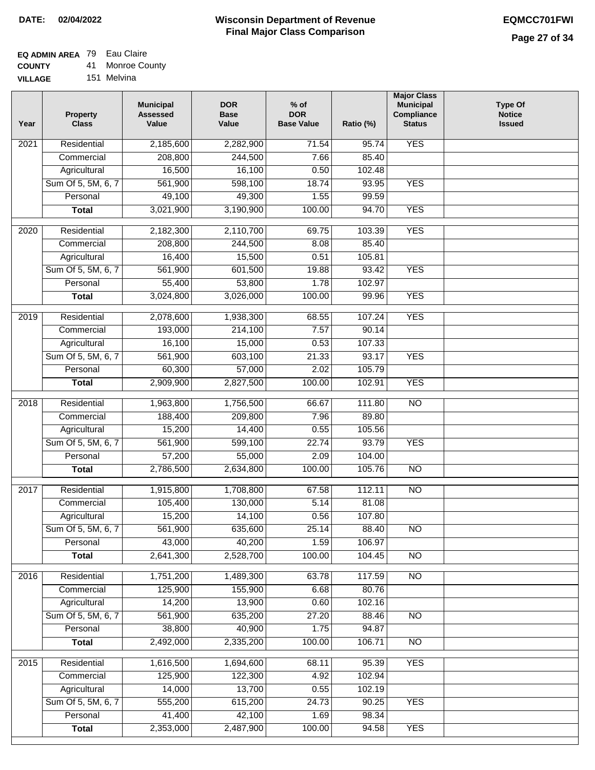## **EQ ADMIN AREA** 79 Eau Claire

**COUNTY** 41 Monroe County

**VILLAGE** 151 Melvina

| Year              | <b>Property</b><br><b>Class</b> | <b>Municipal</b><br><b>Assessed</b><br>Value | <b>DOR</b><br><b>Base</b><br>Value | $%$ of<br><b>DOR</b><br><b>Base Value</b> | Ratio (%) | <b>Major Class</b><br><b>Municipal</b><br>Compliance<br><b>Status</b> | <b>Type Of</b><br><b>Notice</b><br><b>Issued</b> |
|-------------------|---------------------------------|----------------------------------------------|------------------------------------|-------------------------------------------|-----------|-----------------------------------------------------------------------|--------------------------------------------------|
| 2021              | Residential                     | 2,185,600                                    | 2,282,900                          | 71.54                                     | 95.74     | <b>YES</b>                                                            |                                                  |
|                   | Commercial                      | 208,800                                      | 244,500                            | 7.66                                      | 85.40     |                                                                       |                                                  |
|                   | Agricultural                    | 16,500                                       | 16,100                             | 0.50                                      | 102.48    |                                                                       |                                                  |
|                   | Sum Of 5, 5M, 6, 7              | 561,900                                      | 598,100                            | 18.74                                     | 93.95     | <b>YES</b>                                                            |                                                  |
|                   | Personal                        | 49,100                                       | 49,300                             | 1.55                                      | 99.59     |                                                                       |                                                  |
|                   | <b>Total</b>                    | 3,021,900                                    | 3,190,900                          | 100.00                                    | 94.70     | <b>YES</b>                                                            |                                                  |
| $\overline{2020}$ | Residential                     | 2,182,300                                    | 2,110,700                          | 69.75                                     | 103.39    | <b>YES</b>                                                            |                                                  |
|                   | Commercial                      | 208,800                                      | 244,500                            | 8.08                                      | 85.40     |                                                                       |                                                  |
|                   | Agricultural                    | 16,400                                       | 15,500                             | 0.51                                      | 105.81    |                                                                       |                                                  |
|                   | Sum Of 5, 5M, 6, 7              | 561,900                                      | 601,500                            | 19.88                                     | 93.42     | <b>YES</b>                                                            |                                                  |
|                   | Personal                        | 55,400                                       | 53,800                             | 1.78                                      | 102.97    |                                                                       |                                                  |
|                   | <b>Total</b>                    | 3,024,800                                    | 3,026,000                          | 100.00                                    | 99.96     | <b>YES</b>                                                            |                                                  |
| 2019              | Residential                     | 2,078,600                                    | 1,938,300                          | 68.55                                     | 107.24    | <b>YES</b>                                                            |                                                  |
|                   | Commercial                      | 193,000                                      | 214,100                            | 7.57                                      | 90.14     |                                                                       |                                                  |
|                   | Agricultural                    | 16,100                                       | 15,000                             | 0.53                                      | 107.33    |                                                                       |                                                  |
|                   | Sum Of 5, 5M, 6, 7              | 561,900                                      | 603,100                            | 21.33                                     | 93.17     | <b>YES</b>                                                            |                                                  |
|                   | Personal                        | 60,300                                       | 57,000                             | 2.02                                      | 105.79    |                                                                       |                                                  |
|                   | <b>Total</b>                    | 2,909,900                                    | 2,827,500                          | 100.00                                    | 102.91    | <b>YES</b>                                                            |                                                  |
| 2018              | Residential                     | 1,963,800                                    | 1,756,500                          | 66.67                                     | 111.80    | N <sub>O</sub>                                                        |                                                  |
|                   | Commercial                      | 188,400                                      | 209,800                            | 7.96                                      | 89.80     |                                                                       |                                                  |
|                   | Agricultural                    | 15,200                                       | 14,400                             | 0.55                                      | 105.56    |                                                                       |                                                  |
|                   | Sum Of 5, 5M, 6, 7              | 561,900                                      | 599,100                            | 22.74                                     | 93.79     | <b>YES</b>                                                            |                                                  |
|                   | Personal                        | 57,200                                       | 55,000                             | 2.09                                      | 104.00    |                                                                       |                                                  |
|                   | <b>Total</b>                    | 2,786,500                                    | 2,634,800                          | 100.00                                    | 105.76    | <b>NO</b>                                                             |                                                  |
| 2017              | Residential                     | 1,915,800                                    | 1,708,800                          | 67.58                                     | 112.11    | $\overline{NO}$                                                       |                                                  |
|                   | Commercial                      | 105,400                                      | 130,000                            | 5.14                                      | 81.08     |                                                                       |                                                  |
|                   | Agricultural                    | 15,200                                       | 14,100                             | 0.56                                      | 107.80    |                                                                       |                                                  |
|                   | Sum Of 5, 5M, 6, 7              | 561,900                                      | 635,600                            | 25.14                                     | 88.40     | <b>NO</b>                                                             |                                                  |
|                   | Personal                        | 43,000                                       | 40,200                             | 1.59                                      | 106.97    |                                                                       |                                                  |
|                   | <b>Total</b>                    | 2,641,300                                    | 2,528,700                          | 100.00                                    | 104.45    | $\overline{3}$                                                        |                                                  |
| 2016              | Residential                     | 1,751,200                                    | 1,489,300                          | 63.78                                     | 117.59    | N <sub>O</sub>                                                        |                                                  |
|                   | Commercial                      | 125,900                                      | 155,900                            | 6.68                                      | 80.76     |                                                                       |                                                  |
|                   | Agricultural                    | 14,200                                       | 13,900                             | 0.60                                      | 102.16    |                                                                       |                                                  |
|                   | Sum Of 5, 5M, 6, 7              | 561,900                                      | 635,200                            | 27.20                                     | 88.46     | $\overline{NO}$                                                       |                                                  |
|                   | Personal                        | 38,800                                       | 40,900                             | 1.75                                      | 94.87     |                                                                       |                                                  |
|                   | <b>Total</b>                    | 2,492,000                                    | 2,335,200                          | 100.00                                    | 106.71    | $\overline{NO}$                                                       |                                                  |
| 2015              | Residential                     | 1,616,500                                    | 1,694,600                          | 68.11                                     | 95.39     | <b>YES</b>                                                            |                                                  |
|                   | Commercial                      | 125,900                                      | 122,300                            | 4.92                                      | 102.94    |                                                                       |                                                  |
|                   | Agricultural                    | 14,000                                       | 13,700                             | 0.55                                      | 102.19    |                                                                       |                                                  |
|                   | Sum Of 5, 5M, 6, 7              | 555,200                                      | 615,200                            | 24.73                                     | 90.25     | <b>YES</b>                                                            |                                                  |
|                   | Personal                        | 41,400                                       | 42,100                             | 1.69                                      | 98.34     |                                                                       |                                                  |
|                   | <b>Total</b>                    | 2,353,000                                    | 2,487,900                          | 100.00                                    | 94.58     | <b>YES</b>                                                            |                                                  |
|                   |                                 |                                              |                                    |                                           |           |                                                                       |                                                  |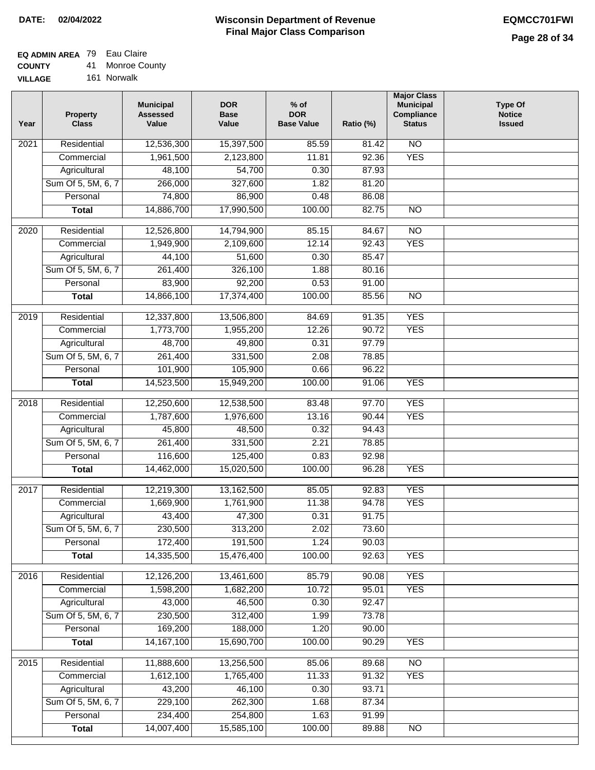## **EQ ADMIN AREA** 79 Eau Claire

**COUNTY** 41 Monroe County

**VILLAGE** 161 Norwalk

| Year              | <b>Property</b><br><b>Class</b> | <b>Municipal</b><br><b>Assessed</b><br>Value | <b>DOR</b><br><b>Base</b><br>Value | $%$ of<br><b>DOR</b><br><b>Base Value</b> | Ratio (%)      | <b>Major Class</b><br><b>Municipal</b><br>Compliance<br><b>Status</b> | <b>Type Of</b><br><b>Notice</b><br><b>Issued</b> |
|-------------------|---------------------------------|----------------------------------------------|------------------------------------|-------------------------------------------|----------------|-----------------------------------------------------------------------|--------------------------------------------------|
| $\overline{202}1$ | Residential                     | 12,536,300                                   | 15,397,500                         | 85.59                                     | 81.42          | N <sub>O</sub>                                                        |                                                  |
|                   | Commercial                      | 1,961,500                                    | 2,123,800                          | 11.81                                     | 92.36          | <b>YES</b>                                                            |                                                  |
|                   | Agricultural                    | 48,100                                       | 54,700                             | 0.30                                      | 87.93          |                                                                       |                                                  |
|                   | Sum Of 5, 5M, 6, 7              | 266,000                                      | 327,600                            | 1.82                                      | 81.20          |                                                                       |                                                  |
|                   | Personal                        | 74,800                                       | 86,900                             | 0.48                                      | 86.08          |                                                                       |                                                  |
|                   | <b>Total</b>                    | 14,886,700                                   | 17,990,500                         | 100.00                                    | 82.75          | $\overline{NO}$                                                       |                                                  |
| $\overline{2020}$ | Residential                     | 12,526,800                                   | 14,794,900                         | 85.15                                     | 84.67          | $\overline{NO}$                                                       |                                                  |
|                   | Commercial                      | 1,949,900                                    | 2,109,600                          | 12.14                                     | 92.43          | <b>YES</b>                                                            |                                                  |
|                   | Agricultural                    | 44,100                                       | 51,600                             | 0.30                                      | 85.47          |                                                                       |                                                  |
|                   | Sum Of 5, 5M, 6, 7              | 261,400                                      | 326,100                            | 1.88                                      | 80.16          |                                                                       |                                                  |
|                   | Personal                        | 83,900                                       | 92,200                             | 0.53                                      | 91.00          |                                                                       |                                                  |
|                   | <b>Total</b>                    | 14,866,100                                   | 17,374,400                         | 100.00                                    | 85.56          | $\overline{NO}$                                                       |                                                  |
|                   |                                 |                                              |                                    |                                           |                |                                                                       |                                                  |
| 2019              | Residential                     | 12,337,800                                   | 13,506,800                         | 84.69                                     | 91.35          | <b>YES</b>                                                            |                                                  |
|                   | Commercial                      | 1,773,700                                    | 1,955,200                          | 12.26                                     | 90.72          | <b>YES</b>                                                            |                                                  |
|                   | Agricultural                    | 48,700                                       | 49,800                             | 0.31                                      | 97.79          |                                                                       |                                                  |
|                   | Sum Of 5, 5M, 6, 7              | 261,400                                      | 331,500                            | 2.08                                      | 78.85          |                                                                       |                                                  |
|                   | Personal                        | 101,900                                      | 105,900                            | 0.66<br>100.00                            | 96.22          | <b>YES</b>                                                            |                                                  |
|                   | <b>Total</b>                    | 14,523,500                                   | 15,949,200                         |                                           | 91.06          |                                                                       |                                                  |
| 2018              | Residential                     | 12,250,600                                   | 12,538,500                         | 83.48                                     | 97.70          | <b>YES</b>                                                            |                                                  |
|                   | Commercial                      | 1,787,600                                    | 1,976,600                          | 13.16                                     | 90.44          | <b>YES</b>                                                            |                                                  |
|                   | Agricultural                    | 45,800                                       | 48,500                             | 0.32                                      | 94.43          |                                                                       |                                                  |
|                   | Sum Of 5, 5M, 6, 7              | 261,400                                      | 331,500                            | 2.21                                      | 78.85          |                                                                       |                                                  |
|                   | Personal                        | 116,600                                      | 125,400                            | 0.83                                      | 92.98          |                                                                       |                                                  |
|                   | <b>Total</b>                    | 14,462,000                                   | 15,020,500                         | 100.00                                    | 96.28          | <b>YES</b>                                                            |                                                  |
| 2017              | Residential                     | 12,219,300                                   | 13,162,500                         | 85.05                                     | 92.83          | <b>YES</b>                                                            |                                                  |
|                   | Commercial                      | 1,669,900                                    | 1,761,900                          | 11.38                                     | 94.78          | <b>YES</b>                                                            |                                                  |
|                   | Agricultural                    | 43,400                                       | 47,300                             | 0.31                                      | 91.75          |                                                                       |                                                  |
|                   | Sum Of 5, 5M, 6, 7              | 230,500                                      | 313,200                            | 2.02                                      | 73.60          |                                                                       |                                                  |
|                   | Personal                        | 172,400                                      | 191,500                            | 1.24                                      | 90.03          |                                                                       |                                                  |
|                   | <b>Total</b>                    | 14,335,500                                   | 15,476,400                         | 100.00                                    | 92.63          | <b>YES</b>                                                            |                                                  |
|                   |                                 |                                              |                                    |                                           |                |                                                                       |                                                  |
| 2016              | Residential                     | 12,126,200<br>1,598,200                      | 13,461,600                         | 85.79                                     | 90.08          | <b>YES</b>                                                            |                                                  |
|                   | Commercial<br>Agricultural      | 43,000                                       | 1,682,200<br>46,500                | 10.72<br>0.30                             | 95.01<br>92.47 | <b>YES</b>                                                            |                                                  |
|                   | Sum Of 5, 5M, 6, 7              | 230,500                                      | 312,400                            | 1.99                                      | 73.78          |                                                                       |                                                  |
|                   | Personal                        | 169,200                                      | 188,000                            | 1.20                                      | 90.00          |                                                                       |                                                  |
|                   | <b>Total</b>                    | 14, 167, 100                                 | 15,690,700                         | 100.00                                    | 90.29          | <b>YES</b>                                                            |                                                  |
|                   |                                 |                                              |                                    |                                           |                |                                                                       |                                                  |
| 2015              | Residential                     | 11,888,600                                   | 13,256,500                         | 85.06                                     | 89.68          | <b>NO</b>                                                             |                                                  |
|                   | Commercial                      | 1,612,100                                    | 1,765,400                          | 11.33                                     | 91.32          | <b>YES</b>                                                            |                                                  |
|                   | Agricultural                    | 43,200                                       | 46,100                             | 0.30                                      | 93.71          |                                                                       |                                                  |
|                   | Sum Of 5, 5M, 6, 7              | 229,100                                      | 262,300                            | 1.68                                      | 87.34          |                                                                       |                                                  |
|                   | Personal                        | 234,400                                      | 254,800                            | 1.63                                      | 91.99          |                                                                       |                                                  |
|                   | <b>Total</b>                    | 14,007,400                                   | 15,585,100                         | 100.00                                    | 89.88          | NO                                                                    |                                                  |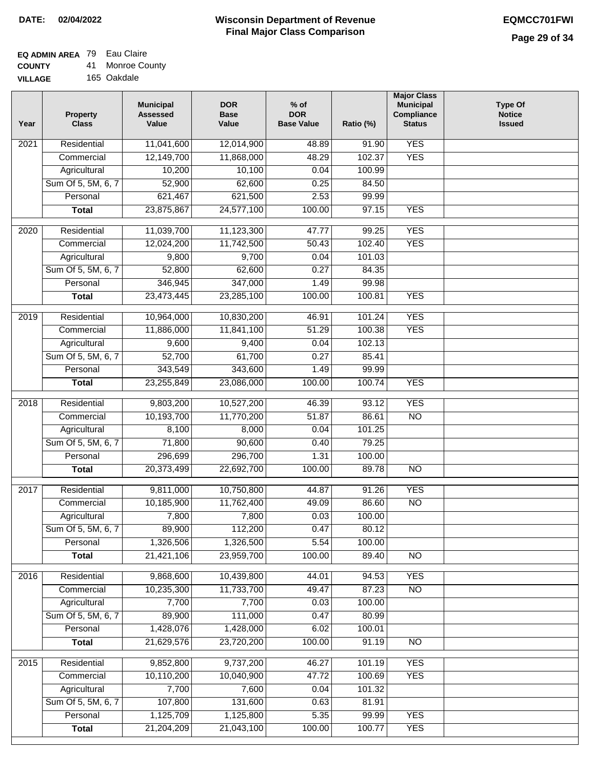## **EQ ADMIN AREA** 79 Eau Claire

**COUNTY** 41 Monroe County

**VILLAGE** 165 Oakdale

| Year              | <b>Property</b><br><b>Class</b> | <b>Municipal</b><br><b>Assessed</b><br>Value | <b>DOR</b><br><b>Base</b><br>Value | % of<br><b>DOR</b><br><b>Base Value</b> | Ratio (%) | <b>Major Class</b><br><b>Municipal</b><br>Compliance<br><b>Status</b> | <b>Type Of</b><br><b>Notice</b><br><b>Issued</b> |
|-------------------|---------------------------------|----------------------------------------------|------------------------------------|-----------------------------------------|-----------|-----------------------------------------------------------------------|--------------------------------------------------|
| $\overline{202}1$ | Residential                     | 11,041,600                                   | 12,014,900                         | 48.89                                   | 91.90     | <b>YES</b>                                                            |                                                  |
|                   | Commercial                      | 12,149,700                                   | 11,868,000                         | 48.29                                   | 102.37    | <b>YES</b>                                                            |                                                  |
|                   | Agricultural                    | 10,200                                       | 10,100                             | 0.04                                    | 100.99    |                                                                       |                                                  |
|                   | Sum Of 5, 5M, 6, 7              | 52,900                                       | 62,600                             | 0.25                                    | 84.50     |                                                                       |                                                  |
|                   | Personal                        | 621,467                                      | 621,500                            | 2.53                                    | 99.99     |                                                                       |                                                  |
|                   | <b>Total</b>                    | 23,875,867                                   | 24,577,100                         | 100.00                                  | 97.15     | <b>YES</b>                                                            |                                                  |
| $\overline{2020}$ | Residential                     | 11,039,700                                   | 11,123,300                         | 47.77                                   | 99.25     | <b>YES</b>                                                            |                                                  |
|                   | Commercial                      | 12,024,200                                   | 11,742,500                         | 50.43                                   | 102.40    | <b>YES</b>                                                            |                                                  |
|                   | Agricultural                    | 9,800                                        | 9,700                              | 0.04                                    | 101.03    |                                                                       |                                                  |
|                   | Sum Of 5, 5M, 6, 7              | 52,800                                       | 62,600                             | 0.27                                    | 84.35     |                                                                       |                                                  |
|                   | Personal                        | 346,945                                      | 347,000                            | 1.49                                    | 99.98     |                                                                       |                                                  |
|                   | <b>Total</b>                    | 23,473,445                                   | 23,285,100                         | 100.00                                  | 100.81    | <b>YES</b>                                                            |                                                  |
|                   |                                 |                                              |                                    |                                         |           |                                                                       |                                                  |
| 2019              | Residential                     | 10,964,000                                   | 10,830,200                         | 46.91                                   | 101.24    | <b>YES</b>                                                            |                                                  |
|                   | Commercial                      | 11,886,000                                   | 11,841,100                         | 51.29                                   | 100.38    | <b>YES</b>                                                            |                                                  |
|                   | Agricultural                    | 9,600                                        | 9,400                              | 0.04                                    | 102.13    |                                                                       |                                                  |
|                   | Sum Of 5, 5M, 6, 7              | 52,700                                       | 61,700                             | 0.27                                    | 85.41     |                                                                       |                                                  |
|                   | Personal                        | 343,549                                      | 343,600                            | 1.49                                    | 99.99     |                                                                       |                                                  |
|                   | <b>Total</b>                    | 23,255,849                                   | 23,086,000                         | 100.00                                  | 100.74    | <b>YES</b>                                                            |                                                  |
| 2018              | Residential                     | 9,803,200                                    | 10,527,200                         | 46.39                                   | 93.12     | <b>YES</b>                                                            |                                                  |
|                   | Commercial                      | 10,193,700                                   | 11,770,200                         | 51.87                                   | 86.61     | N <sub>O</sub>                                                        |                                                  |
|                   | Agricultural                    | 8,100                                        | 8,000                              | 0.04                                    | 101.25    |                                                                       |                                                  |
|                   | Sum Of 5, 5M, 6, 7              | 71,800                                       | 90,600                             | 0.40                                    | 79.25     |                                                                       |                                                  |
|                   | Personal                        | 296,699                                      | 296,700                            | 1.31                                    | 100.00    |                                                                       |                                                  |
|                   | <b>Total</b>                    | 20,373,499                                   | 22,692,700                         | 100.00                                  | 89.78     | <b>NO</b>                                                             |                                                  |
| 2017              | Residential                     | 9,811,000                                    | 10,750,800                         | 44.87                                   | 91.26     | <b>YES</b>                                                            |                                                  |
|                   | Commercial                      | 10,185,900                                   | 11,762,400                         | 49.09                                   | 86.60     | N <sub>O</sub>                                                        |                                                  |
|                   | Agricultural                    | 7,800                                        | 7,800                              | 0.03                                    | 100.00    |                                                                       |                                                  |
|                   | Sum Of 5, 5M, 6, 7              | 89,900                                       | 112,200                            | 0.47                                    | 80.12     |                                                                       |                                                  |
|                   | Personal                        | 1,326,506                                    | 1,326,500                          | 5.54                                    | 100.00    |                                                                       |                                                  |
|                   | <b>Total</b>                    | 21,421,106                                   | 23,959,700                         | 100.00                                  | 89.40     | <b>NO</b>                                                             |                                                  |
| 2016              | Residential                     | 9,868,600                                    | 10,439,800                         | 44.01                                   | 94.53     | <b>YES</b>                                                            |                                                  |
|                   | Commercial                      | 10,235,300                                   | 11,733,700                         | 49.47                                   | 87.23     | $\overline{NO}$                                                       |                                                  |
|                   | Agricultural                    | 7,700                                        | 7,700                              | 0.03                                    | 100.00    |                                                                       |                                                  |
|                   | Sum Of 5, 5M, 6, 7              | 89,900                                       | 111,000                            | 0.47                                    | 80.99     |                                                                       |                                                  |
|                   | Personal                        | 1,428,076                                    | 1,428,000                          | 6.02                                    | 100.01    |                                                                       |                                                  |
|                   | <b>Total</b>                    | 21,629,576                                   | 23,720,200                         | 100.00                                  | 91.19     | $\overline{NO}$                                                       |                                                  |
| 2015              | Residential                     | 9,852,800                                    | 9,737,200                          | 46.27                                   | 101.19    | <b>YES</b>                                                            |                                                  |
|                   | Commercial                      | 10,110,200                                   | 10,040,900                         | 47.72                                   | 100.69    | <b>YES</b>                                                            |                                                  |
|                   | Agricultural                    | 7,700                                        | 7,600                              | 0.04                                    | 101.32    |                                                                       |                                                  |
|                   | Sum Of 5, 5M, 6, 7              | 107,800                                      | 131,600                            | 0.63                                    | 81.91     |                                                                       |                                                  |
|                   | Personal                        | 1,125,709                                    | 1,125,800                          | 5.35                                    | 99.99     | <b>YES</b>                                                            |                                                  |
|                   | <b>Total</b>                    | 21,204,209                                   | 21,043,100                         | 100.00                                  | 100.77    | <b>YES</b>                                                            |                                                  |
|                   |                                 |                                              |                                    |                                         |           |                                                                       |                                                  |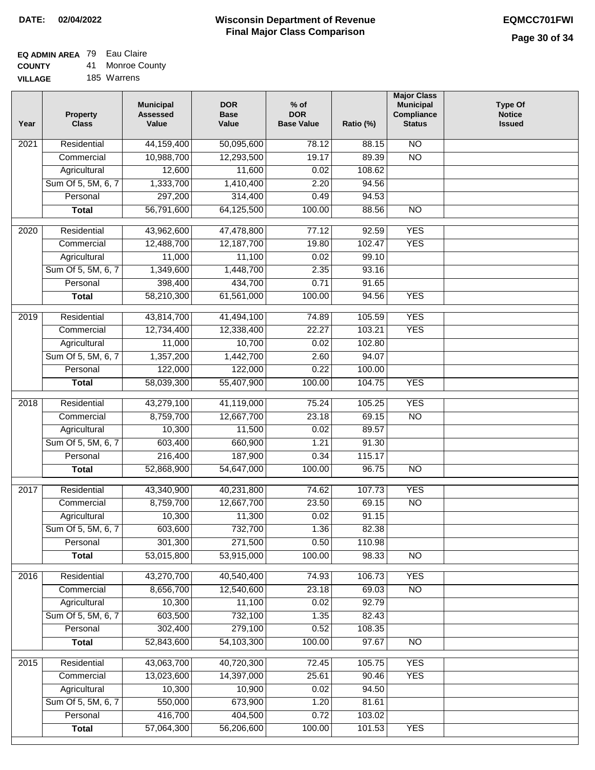## **EQ ADMIN AREA** 79 Eau Claire

**COUNTY** 41 Monroe County

**VILLAGE** 185 Warrens

| Year | <b>Property</b><br><b>Class</b> | <b>Municipal</b><br><b>Assessed</b><br>Value | <b>DOR</b><br><b>Base</b><br>Value | $%$ of<br><b>DOR</b><br><b>Base Value</b> | Ratio (%) | <b>Major Class</b><br><b>Municipal</b><br>Compliance<br><b>Status</b> | <b>Type Of</b><br><b>Notice</b><br><b>Issued</b> |
|------|---------------------------------|----------------------------------------------|------------------------------------|-------------------------------------------|-----------|-----------------------------------------------------------------------|--------------------------------------------------|
| 2021 | Residential                     | 44,159,400                                   | 50,095,600                         | 78.12                                     | 88.15     | N <sub>O</sub>                                                        |                                                  |
|      | Commercial                      | 10,988,700                                   | 12,293,500                         | 19.17                                     | 89.39     | $\overline{NO}$                                                       |                                                  |
|      | Agricultural                    | 12,600                                       | 11,600                             | 0.02                                      | 108.62    |                                                                       |                                                  |
|      | Sum Of 5, 5M, 6, 7              | 1,333,700                                    | 1,410,400                          | 2.20                                      | 94.56     |                                                                       |                                                  |
|      | Personal                        | 297,200                                      | 314,400                            | 0.49                                      | 94.53     |                                                                       |                                                  |
|      | <b>Total</b>                    | 56,791,600                                   | 64,125,500                         | 100.00                                    | 88.56     | $\overline{NO}$                                                       |                                                  |
| 2020 | Residential                     | 43,962,600                                   | 47,478,800                         | 77.12                                     | 92.59     | <b>YES</b>                                                            |                                                  |
|      | Commercial                      | 12,488,700                                   | 12,187,700                         | 19.80                                     | 102.47    | <b>YES</b>                                                            |                                                  |
|      | Agricultural                    | 11,000                                       | 11,100                             | 0.02                                      | 99.10     |                                                                       |                                                  |
|      | Sum Of 5, 5M, 6, 7              | 1,349,600                                    | 1,448,700                          | 2.35                                      | 93.16     |                                                                       |                                                  |
|      | Personal                        | 398,400                                      | 434,700                            | 0.71                                      | 91.65     |                                                                       |                                                  |
|      | <b>Total</b>                    | 58,210,300                                   | 61,561,000                         | 100.00                                    | 94.56     | <b>YES</b>                                                            |                                                  |
| 2019 | Residential                     | 43,814,700                                   | 41,494,100                         | 74.89                                     | 105.59    | <b>YES</b>                                                            |                                                  |
|      | Commercial                      | 12,734,400                                   | 12,338,400                         | 22.27                                     | 103.21    | <b>YES</b>                                                            |                                                  |
|      | Agricultural                    | 11,000                                       | 10,700                             | 0.02                                      | 102.80    |                                                                       |                                                  |
|      | Sum Of 5, 5M, 6, 7              | 1,357,200                                    | 1,442,700                          | 2.60                                      | 94.07     |                                                                       |                                                  |
|      | Personal                        | 122,000                                      | 122,000                            | 0.22                                      | 100.00    |                                                                       |                                                  |
|      | <b>Total</b>                    | 58,039,300                                   | 55,407,900                         | 100.00                                    | 104.75    | <b>YES</b>                                                            |                                                  |
| 2018 | Residential                     | 43,279,100                                   | 41,119,000                         | 75.24                                     | 105.25    | <b>YES</b>                                                            |                                                  |
|      | Commercial                      | 8,759,700                                    | 12,667,700                         | 23.18                                     | 69.15     | <b>NO</b>                                                             |                                                  |
|      | Agricultural                    | 10,300                                       | 11,500                             | 0.02                                      | 89.57     |                                                                       |                                                  |
|      | Sum Of 5, 5M, 6, 7              | 603,400                                      | 660,900                            | 1.21                                      | 91.30     |                                                                       |                                                  |
|      | Personal                        | 216,400                                      | 187,900                            | 0.34                                      | 115.17    |                                                                       |                                                  |
|      | <b>Total</b>                    | 52,868,900                                   | 54,647,000                         | 100.00                                    | 96.75     | <b>NO</b>                                                             |                                                  |
| 2017 | Residential                     | 43,340,900                                   | 40,231,800                         | 74.62                                     | 107.73    | <b>YES</b>                                                            |                                                  |
|      | Commercial                      | 8,759,700                                    | 12,667,700                         | 23.50                                     | 69.15     | <b>NO</b>                                                             |                                                  |
|      | Agricultural                    | 10,300                                       | 11,300                             | 0.02                                      | 91.15     |                                                                       |                                                  |
|      | Sum Of 5, 5M, 6, 7              | 603,600                                      | 732,700                            | 1.36                                      | 82.38     |                                                                       |                                                  |
|      | Personal                        | 301,300                                      | 271,500                            | 0.50                                      | 110.98    |                                                                       |                                                  |
|      | <b>Total</b>                    | 53,015,800                                   | 53,915,000                         | 100.00                                    | 98.33     | <b>NO</b>                                                             |                                                  |
| 2016 | Residential                     | 43,270,700                                   | 40,540,400                         | 74.93                                     | 106.73    | <b>YES</b>                                                            |                                                  |
|      | Commercial                      | 8,656,700                                    | 12,540,600                         | 23.18                                     | 69.03     | $\overline{NO}$                                                       |                                                  |
|      | Agricultural                    | 10,300                                       | 11,100                             | 0.02                                      | 92.79     |                                                                       |                                                  |
|      | Sum Of 5, 5M, 6, 7              | 603,500                                      | 732,100                            | 1.35                                      | 82.43     |                                                                       |                                                  |
|      | Personal                        | 302,400                                      | 279,100                            | 0.52                                      | 108.35    |                                                                       |                                                  |
|      | <b>Total</b>                    | 52,843,600                                   | 54,103,300                         | 100.00                                    | 97.67     | N <sub>O</sub>                                                        |                                                  |
| 2015 | Residential                     | 43,063,700                                   | 40,720,300                         | 72.45                                     | 105.75    | <b>YES</b>                                                            |                                                  |
|      | Commercial                      | 13,023,600                                   | 14,397,000                         | 25.61                                     | 90.46     | <b>YES</b>                                                            |                                                  |
|      | Agricultural                    | 10,300                                       | 10,900                             | 0.02                                      | 94.50     |                                                                       |                                                  |
|      | Sum Of 5, 5M, 6, 7              | 550,000                                      | 673,900                            | 1.20                                      | 81.61     |                                                                       |                                                  |
|      | Personal                        | 416,700                                      | 404,500                            | 0.72                                      | 103.02    |                                                                       |                                                  |
|      | <b>Total</b>                    | 57,064,300                                   | 56,206,600                         | 100.00                                    | 101.53    | <b>YES</b>                                                            |                                                  |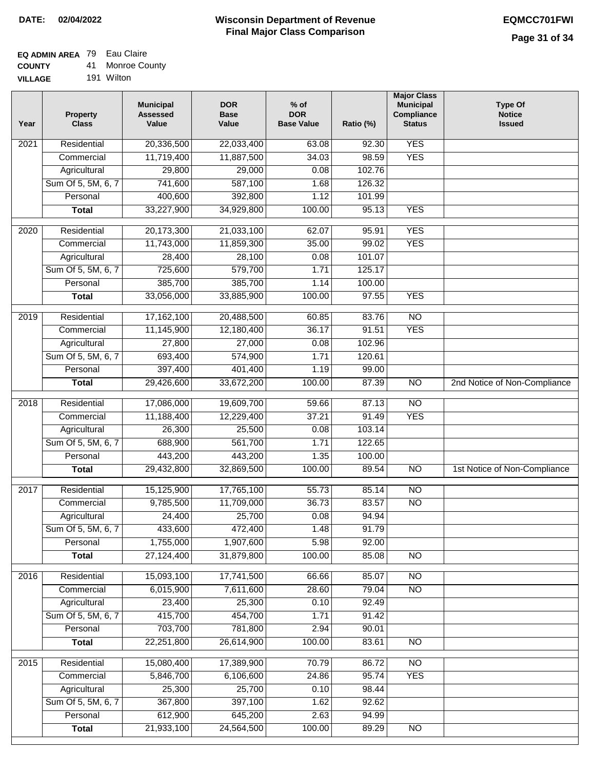# **EQ ADMIN AREA** 79 Eau Claire

**VILLAGE** 191 Wilton

| Year              | <b>Property</b><br><b>Class</b> | <b>Municipal</b><br><b>Assessed</b><br>Value | <b>DOR</b><br><b>Base</b><br>Value | % of<br><b>DOR</b><br><b>Base Value</b> | Ratio (%) | <b>Major Class</b><br><b>Municipal</b><br>Compliance<br><b>Status</b> | <b>Type Of</b><br><b>Notice</b><br><b>Issued</b> |
|-------------------|---------------------------------|----------------------------------------------|------------------------------------|-----------------------------------------|-----------|-----------------------------------------------------------------------|--------------------------------------------------|
| $\overline{202}1$ | Residential                     | 20,336,500                                   | 22,033,400                         | 63.08                                   | 92.30     | <b>YES</b>                                                            |                                                  |
|                   | Commercial                      | 11,719,400                                   | 11,887,500                         | 34.03                                   | 98.59     | <b>YES</b>                                                            |                                                  |
|                   | Agricultural                    | 29,800                                       | 29,000                             | 0.08                                    | 102.76    |                                                                       |                                                  |
|                   | Sum Of 5, 5M, 6, 7              | 741,600                                      | 587,100                            | 1.68                                    | 126.32    |                                                                       |                                                  |
|                   | Personal                        | 400,600                                      | 392,800                            | 1.12                                    | 101.99    |                                                                       |                                                  |
|                   | <b>Total</b>                    | 33,227,900                                   | 34,929,800                         | 100.00                                  | 95.13     | <b>YES</b>                                                            |                                                  |
| $\overline{2020}$ | Residential                     | 20,173,300                                   | 21,033,100                         | 62.07                                   | 95.91     | <b>YES</b>                                                            |                                                  |
|                   | Commercial                      | 11,743,000                                   | 11,859,300                         | 35.00                                   | 99.02     | <b>YES</b>                                                            |                                                  |
|                   | Agricultural                    | 28,400                                       | 28,100                             | 0.08                                    | 101.07    |                                                                       |                                                  |
|                   | Sum Of 5, 5M, 6, 7              | 725,600                                      | 579,700                            | 1.71                                    | 125.17    |                                                                       |                                                  |
|                   | Personal                        | 385,700                                      | 385,700                            | 1.14                                    | 100.00    |                                                                       |                                                  |
|                   | <b>Total</b>                    | 33,056,000                                   | 33,885,900                         | 100.00                                  | 97.55     | <b>YES</b>                                                            |                                                  |
| 2019              | Residential                     | 17,162,100                                   | 20,488,500                         | 60.85                                   | 83.76     | $\overline{3}$                                                        |                                                  |
|                   | Commercial                      | 11,145,900                                   | 12,180,400                         | 36.17                                   | 91.51     | <b>YES</b>                                                            |                                                  |
|                   | Agricultural                    | 27,800                                       | 27,000                             | 0.08                                    | 102.96    |                                                                       |                                                  |
|                   | Sum Of 5, 5M, 6, 7              | 693,400                                      | 574,900                            | 1.71                                    | 120.61    |                                                                       |                                                  |
|                   | Personal                        | 397,400                                      | 401,400                            | 1.19                                    | 99.00     |                                                                       |                                                  |
|                   | <b>Total</b>                    | 29,426,600                                   | 33,672,200                         | 100.00                                  | 87.39     | $\overline{NO}$                                                       | 2nd Notice of Non-Compliance                     |
| 2018              | Residential                     | 17,086,000                                   | 19,609,700                         | 59.66                                   | 87.13     | $\overline{10}$                                                       |                                                  |
|                   | Commercial                      | 11,188,400                                   | 12,229,400                         | 37.21                                   | 91.49     | <b>YES</b>                                                            |                                                  |
|                   | Agricultural                    | 26,300                                       | 25,500                             | 0.08                                    | 103.14    |                                                                       |                                                  |
|                   | Sum Of 5, 5M, 6, 7              | 688,900                                      | 561,700                            | 1.71                                    | 122.65    |                                                                       |                                                  |
|                   | Personal                        | 443,200                                      | 443,200                            | 1.35                                    | 100.00    |                                                                       |                                                  |
|                   | <b>Total</b>                    | 29,432,800                                   | 32,869,500                         | 100.00                                  | 89.54     | $\overline{10}$                                                       | 1st Notice of Non-Compliance                     |
| 2017              | Residential                     | 15,125,900                                   | 17,765,100                         | 55.73                                   | 85.14     | N <sub>O</sub>                                                        |                                                  |
|                   | Commercial                      | 9,785,500                                    | 11,709,000                         | 36.73                                   | 83.57     | $\overline{N}$                                                        |                                                  |
|                   | Agricultural                    | 24,400                                       | 25,700                             | 0.08                                    | 94.94     |                                                                       |                                                  |
|                   | Sum Of 5, 5M, 6, 7              | 433,600                                      | 472,400                            | 1.48                                    | 91.79     |                                                                       |                                                  |
|                   | Personal                        | 1,755,000                                    | 1,907,600                          | 5.98                                    | 92.00     |                                                                       |                                                  |
|                   | <b>Total</b>                    | 27,124,400                                   | 31,879,800                         | 100.00                                  | 85.08     | <b>NO</b>                                                             |                                                  |
| 2016              | Residential                     | 15,093,100                                   | 17,741,500                         | 66.66                                   | 85.07     | N <sub>O</sub>                                                        |                                                  |
|                   | Commercial                      | 6,015,900                                    | 7,611,600                          | 28.60                                   | 79.04     | $\overline{NO}$                                                       |                                                  |
|                   | Agricultural                    | 23,400                                       | 25,300                             | 0.10                                    | 92.49     |                                                                       |                                                  |
|                   | Sum Of 5, 5M, 6, 7              | 415,700                                      | 454,700                            | 1.71                                    | 91.42     |                                                                       |                                                  |
|                   | Personal                        | 703,700                                      | 781,800                            | 2.94                                    | 90.01     |                                                                       |                                                  |
|                   | <b>Total</b>                    | 22,251,800                                   | 26,614,900                         | 100.00                                  | 83.61     | <b>NO</b>                                                             |                                                  |
| 2015              | Residential                     | 15,080,400                                   | 17,389,900                         | 70.79                                   | 86.72     | <b>NO</b>                                                             |                                                  |
|                   | Commercial                      | 5,846,700                                    | 6,106,600                          | 24.86                                   | 95.74     | <b>YES</b>                                                            |                                                  |
|                   | Agricultural                    | 25,300                                       | 25,700                             | 0.10                                    | 98.44     |                                                                       |                                                  |
|                   | Sum Of 5, 5M, 6, 7              | 367,800                                      | 397,100                            | 1.62                                    | 92.62     |                                                                       |                                                  |
|                   | Personal                        | 612,900                                      | 645,200                            | 2.63                                    | 94.99     |                                                                       |                                                  |
|                   | <b>Total</b>                    | 21,933,100                                   | 24,564,500                         | 100.00                                  | 89.29     | N <sub>O</sub>                                                        |                                                  |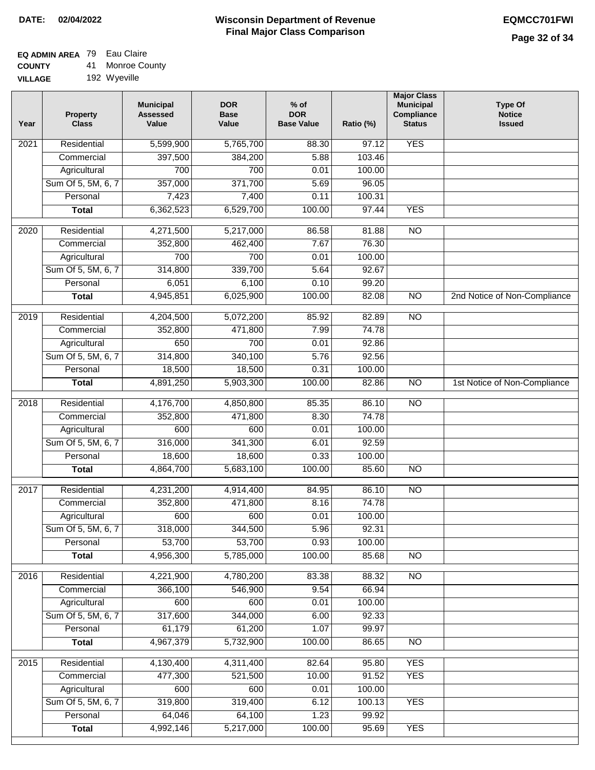## **EQ ADMIN AREA** 79 Eau Claire

**COUNTY** 41 Monroe County

**VILLAGE** 192 Wyeville

| Year | <b>Property</b><br><b>Class</b> | <b>Municipal</b><br><b>Assessed</b><br>Value | <b>DOR</b><br><b>Base</b><br>Value | % of<br><b>DOR</b><br><b>Base Value</b> | Ratio (%) | <b>Major Class</b><br><b>Municipal</b><br>Compliance<br><b>Status</b> | <b>Type Of</b><br><b>Notice</b><br><b>Issued</b> |
|------|---------------------------------|----------------------------------------------|------------------------------------|-----------------------------------------|-----------|-----------------------------------------------------------------------|--------------------------------------------------|
| 2021 | Residential                     | 5,599,900                                    | 5,765,700                          | 88.30                                   | 97.12     | <b>YES</b>                                                            |                                                  |
|      | Commercial                      | 397,500                                      | 384,200                            | 5.88                                    | 103.46    |                                                                       |                                                  |
|      | Agricultural                    | 700                                          | 700                                | 0.01                                    | 100.00    |                                                                       |                                                  |
|      | Sum Of 5, 5M, 6, 7              | 357,000                                      | 371,700                            | 5.69                                    | 96.05     |                                                                       |                                                  |
|      | Personal                        | 7,423                                        | 7,400                              | 0.11                                    | 100.31    |                                                                       |                                                  |
|      | <b>Total</b>                    | 6,362,523                                    | 6,529,700                          | 100.00                                  | 97.44     | <b>YES</b>                                                            |                                                  |
| 2020 | Residential                     | 4,271,500                                    | 5,217,000                          | 86.58                                   | 81.88     | $\overline{NO}$                                                       |                                                  |
|      | Commercial                      | 352,800                                      | 462,400                            | 7.67                                    | 76.30     |                                                                       |                                                  |
|      | Agricultural                    | 700                                          | 700                                | 0.01                                    | 100.00    |                                                                       |                                                  |
|      | Sum Of 5, 5M, 6, 7              | 314,800                                      | 339,700                            | 5.64                                    | 92.67     |                                                                       |                                                  |
|      | Personal                        | 6,051                                        | 6,100                              | 0.10                                    | 99.20     |                                                                       |                                                  |
|      | <b>Total</b>                    | 4,945,851                                    | 6,025,900                          | 100.00                                  | 82.08     | $\overline{NO}$                                                       | 2nd Notice of Non-Compliance                     |
| 2019 | Residential                     | 4,204,500                                    | 5,072,200                          | 85.92                                   | 82.89     | <b>NO</b>                                                             |                                                  |
|      | Commercial                      | 352,800                                      | 471,800                            | 7.99                                    | 74.78     |                                                                       |                                                  |
|      | Agricultural                    | 650                                          | 700                                | 0.01                                    | 92.86     |                                                                       |                                                  |
|      | Sum Of 5, 5M, 6, 7              | 314,800                                      | 340,100                            | 5.76                                    | 92.56     |                                                                       |                                                  |
|      | Personal                        | 18,500                                       | 18,500                             | 0.31                                    | 100.00    |                                                                       |                                                  |
|      | <b>Total</b>                    | 4,891,250                                    | 5,903,300                          | 100.00                                  | 82.86     | $\overline{NO}$                                                       | 1st Notice of Non-Compliance                     |
|      |                                 |                                              |                                    |                                         |           |                                                                       |                                                  |
| 2018 | Residential                     | 4,176,700                                    | 4,850,800                          | 85.35                                   | 86.10     | $\overline{NO}$                                                       |                                                  |
|      | Commercial                      | 352,800                                      | 471,800                            | 8.30                                    | 74.78     |                                                                       |                                                  |
|      | Agricultural                    | 600                                          | 600                                | 0.01                                    | 100.00    |                                                                       |                                                  |
|      | Sum Of 5, 5M, 6, 7              | 316,000                                      | 341,300                            | 6.01                                    | 92.59     |                                                                       |                                                  |
|      | Personal                        | 18,600                                       | 18,600                             | 0.33                                    | 100.00    |                                                                       |                                                  |
|      | <b>Total</b>                    | 4,864,700                                    | 5,683,100                          | 100.00                                  | 85.60     | <b>NO</b>                                                             |                                                  |
| 2017 | Residential                     | 4,231,200                                    | 4,914,400                          | 84.95                                   | 86.10     | N <sub>O</sub>                                                        |                                                  |
|      | Commercial                      | 352,800                                      | 471,800                            | 8.16                                    | 74.78     |                                                                       |                                                  |
|      | Agricultural                    | 600                                          | 600                                | 0.01                                    | 100.00    |                                                                       |                                                  |
|      | Sum Of 5, 5M, 6, 7              | 318,000                                      | 344,500                            | 5.96                                    | 92.31     |                                                                       |                                                  |
|      | Personal                        | 53,700                                       | 53,700                             | 0.93                                    | 100.00    |                                                                       |                                                  |
|      | <b>Total</b>                    | 4,956,300                                    | 5,785,000                          | 100.00                                  | 85.68     | <b>NO</b>                                                             |                                                  |
| 2016 | Residential                     | 4,221,900                                    | 4,780,200                          | 83.38                                   | 88.32     | N <sub>O</sub>                                                        |                                                  |
|      | Commercial                      | 366,100                                      | 546,900                            | 9.54                                    | 66.94     |                                                                       |                                                  |
|      | Agricultural                    | 600                                          | 600                                | 0.01                                    | 100.00    |                                                                       |                                                  |
|      | Sum Of 5, 5M, 6, 7              | 317,600                                      | 344,000                            | 6.00                                    | 92.33     |                                                                       |                                                  |
|      | Personal                        | 61,179                                       | 61,200                             | 1.07                                    | 99.97     |                                                                       |                                                  |
|      | <b>Total</b>                    | 4,967,379                                    | 5,732,900                          | 100.00                                  | 86.65     | $\overline{NO}$                                                       |                                                  |
| 2015 | Residential                     | 4,130,400                                    | 4,311,400                          | 82.64                                   | 95.80     | <b>YES</b>                                                            |                                                  |
|      | Commercial                      | 477,300                                      | 521,500                            | 10.00                                   | 91.52     | <b>YES</b>                                                            |                                                  |
|      | Agricultural                    | 600                                          | 600                                | 0.01                                    | 100.00    |                                                                       |                                                  |
|      | Sum Of 5, 5M, 6, 7              | 319,800                                      | 319,400                            | 6.12                                    | 100.13    | <b>YES</b>                                                            |                                                  |
|      | Personal                        | 64,046                                       | 64,100                             | 1.23                                    | 99.92     |                                                                       |                                                  |
|      | <b>Total</b>                    | 4,992,146                                    | 5,217,000                          | 100.00                                  | 95.69     | <b>YES</b>                                                            |                                                  |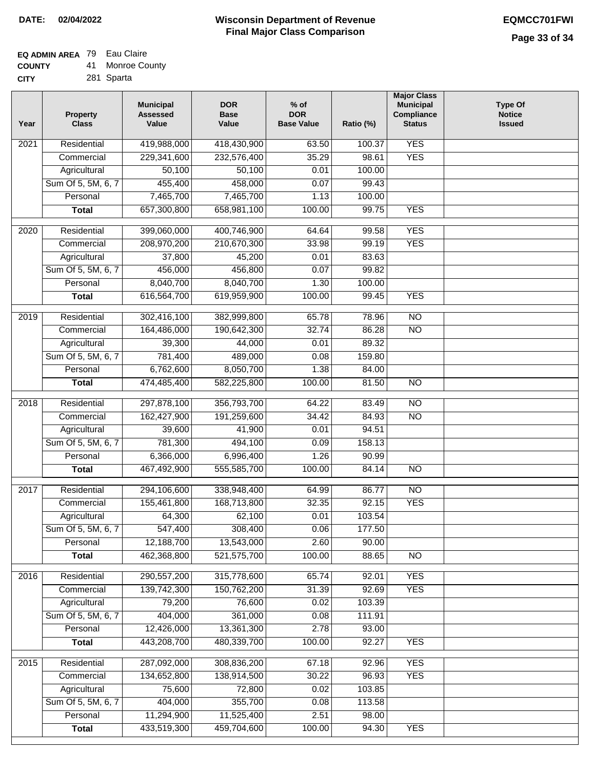# **EQ ADMIN AREA** 79 Eau Claire

| <b>COUNTY</b> | 41. | <b>Monroe County</b> |
|---------------|-----|----------------------|
| <b>CITY</b>   |     | 281 Sparta           |

| 281 Sparta |
|------------|
|            |

| Year | <b>Property</b><br><b>Class</b> | <b>Municipal</b><br><b>Assessed</b><br>Value | <b>DOR</b><br><b>Base</b><br>Value | $%$ of<br><b>DOR</b><br><b>Base Value</b> | Ratio (%) | <b>Major Class</b><br><b>Municipal</b><br>Compliance<br><b>Status</b> | <b>Type Of</b><br><b>Notice</b><br><b>Issued</b> |
|------|---------------------------------|----------------------------------------------|------------------------------------|-------------------------------------------|-----------|-----------------------------------------------------------------------|--------------------------------------------------|
| 2021 | Residential                     | 419,988,000                                  | 418,430,900                        | 63.50                                     | 100.37    | <b>YES</b>                                                            |                                                  |
|      | Commercial                      | 229,341,600                                  | 232,576,400                        | 35.29                                     | 98.61     | <b>YES</b>                                                            |                                                  |
|      | Agricultural                    | 50,100                                       | 50,100                             | 0.01                                      | 100.00    |                                                                       |                                                  |
|      | Sum Of 5, 5M, 6, 7              | 455,400                                      | 458,000                            | 0.07                                      | 99.43     |                                                                       |                                                  |
|      | Personal                        | 7,465,700                                    | 7,465,700                          | 1.13                                      | 100.00    |                                                                       |                                                  |
|      | <b>Total</b>                    | 657,300,800                                  | 658,981,100                        | 100.00                                    | 99.75     | <b>YES</b>                                                            |                                                  |
| 2020 | Residential                     | 399,060,000                                  | 400,746,900                        | 64.64                                     | 99.58     | <b>YES</b>                                                            |                                                  |
|      | Commercial                      | 208,970,200                                  | 210,670,300                        | 33.98                                     | 99.19     | <b>YES</b>                                                            |                                                  |
|      | Agricultural                    | 37,800                                       | 45,200                             | 0.01                                      | 83.63     |                                                                       |                                                  |
|      | Sum Of 5, 5M, 6, 7              | 456,000                                      | 456,800                            | 0.07                                      | 99.82     |                                                                       |                                                  |
|      | Personal                        | 8,040,700                                    | 8,040,700                          | 1.30                                      | 100.00    |                                                                       |                                                  |
|      | <b>Total</b>                    | 616,564,700                                  | 619,959,900                        | 100.00                                    | 99.45     | <b>YES</b>                                                            |                                                  |
|      | Residential                     | 302,416,100                                  | 382,999,800                        | 65.78                                     | 78.96     | $\overline{10}$                                                       |                                                  |
| 2019 | Commercial                      | 164,486,000                                  | 190,642,300                        | 32.74                                     | 86.28     | $\overline{NO}$                                                       |                                                  |
|      | Agricultural                    | 39,300                                       | 44,000                             | 0.01                                      | 89.32     |                                                                       |                                                  |
|      | Sum Of 5, 5M, 6, 7              | 781,400                                      | 489,000                            | 0.08                                      | 159.80    |                                                                       |                                                  |
|      | Personal                        | 6,762,600                                    | 8,050,700                          | 1.38                                      | 84.00     |                                                                       |                                                  |
|      | <b>Total</b>                    | 474,485,400                                  | 582,225,800                        | 100.00                                    | 81.50     | $\overline{NO}$                                                       |                                                  |
|      |                                 |                                              |                                    |                                           |           |                                                                       |                                                  |
| 2018 | Residential                     | 297,878,100                                  | 356,793,700                        | 64.22                                     | 83.49     | $\overline{10}$                                                       |                                                  |
|      | Commercial                      | 162,427,900                                  | 191,259,600                        | 34.42                                     | 84.93     | $\overline{10}$                                                       |                                                  |
|      | Agricultural                    | 39,600                                       | 41,900                             | 0.01                                      | 94.51     |                                                                       |                                                  |
|      | Sum Of 5, 5M, 6, 7              | 781,300                                      | 494,100                            | 0.09                                      | 158.13    |                                                                       |                                                  |
|      | Personal                        | 6,366,000                                    | 6,996,400                          | 1.26                                      | 90.99     |                                                                       |                                                  |
|      | <b>Total</b>                    | 467,492,900                                  | 555,585,700                        | 100.00                                    | 84.14     | <b>NO</b>                                                             |                                                  |
| 2017 | Residential                     | 294,106,600                                  | 338,948,400                        | 64.99                                     | 86.77     | $\overline{NO}$                                                       |                                                  |
|      | Commercial                      | 155,461,800                                  | 168,713,800                        | 32.35                                     | 92.15     | <b>YES</b>                                                            |                                                  |
|      | Agricultural                    | 64,300                                       | 62,100                             | 0.01                                      | 103.54    |                                                                       |                                                  |
|      | Sum Of 5, 5M, 6, 7              | 547,400                                      | 308,400                            | 0.06                                      | 177.50    |                                                                       |                                                  |
|      | Personal                        | 12,188,700                                   | 13,543,000                         | 2.60                                      | 90.00     |                                                                       |                                                  |
|      | <b>Total</b>                    | 462,368,800                                  | 521,575,700                        | 100.00                                    | 88.65     | <b>NO</b>                                                             |                                                  |
| 2016 | Residential                     | 290,557,200                                  | 315,778,600                        | 65.74                                     | 92.01     | <b>YES</b>                                                            |                                                  |
|      | Commercial                      | 139,742,300                                  | 150,762,200                        | 31.39                                     | 92.69     | <b>YES</b>                                                            |                                                  |
|      | Agricultural                    | 79,200                                       | 76,600                             | 0.02                                      | 103.39    |                                                                       |                                                  |
|      | Sum Of 5, 5M, 6, 7              | 404,000                                      | 361,000                            | 0.08                                      | 111.91    |                                                                       |                                                  |
|      | Personal                        | 12,426,000                                   | 13,361,300                         | 2.78                                      | 93.00     |                                                                       |                                                  |
|      | <b>Total</b>                    | 443,208,700                                  | 480,339,700                        | 100.00                                    | 92.27     | <b>YES</b>                                                            |                                                  |
| 2015 | Residential                     | 287,092,000                                  | 308,836,200                        | 67.18                                     | 92.96     | <b>YES</b>                                                            |                                                  |
|      | Commercial                      | 134,652,800                                  | 138,914,500                        | 30.22                                     | 96.93     | <b>YES</b>                                                            |                                                  |
|      | Agricultural                    | 75,600                                       | 72,800                             | 0.02                                      | 103.85    |                                                                       |                                                  |
|      | Sum Of 5, 5M, 6, 7              | 404,000                                      | 355,700                            | 0.08                                      | 113.58    |                                                                       |                                                  |
|      | Personal                        | 11,294,900                                   | 11,525,400                         | 2.51                                      | 98.00     |                                                                       |                                                  |
|      | <b>Total</b>                    | 433,519,300                                  | 459,704,600                        | 100.00                                    | 94.30     | <b>YES</b>                                                            |                                                  |